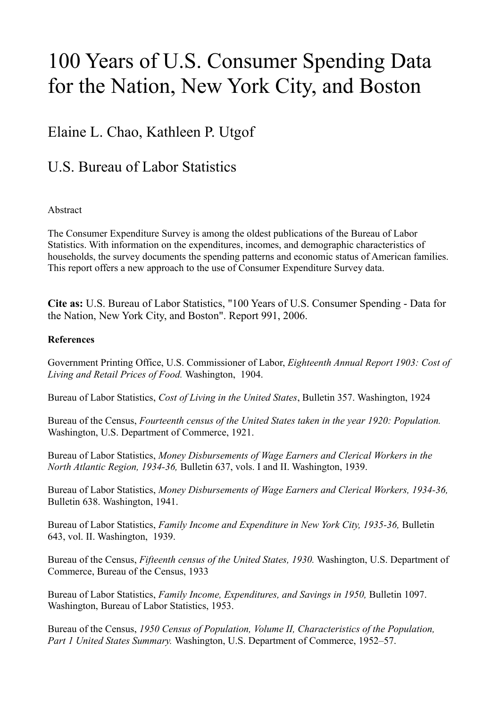# 100 Years of U.S. Consumer Spending Data for the Nation, New York City, and Boston

# Elaine L. Chao, Kathleen P. Utgof

# U.S. Bureau of Labor Statistics

# Abstract

The Consumer Expenditure Survey is among the oldest publications of the Bureau of Labor Statistics. With information on the expenditures, incomes, and demographic characteristics of households, the survey documents the spending patterns and economic status of American families. This report offers a new approach to the use of Consumer Expenditure Survey data.

**Cite as:** U.S. Bureau of Labor Statistics, "100 Years of U.S. Consumer Spending - Data for the Nation, New York City, and Boston". Report 991, 2006.

# **References**

Government Printing Office, U.S. Commissioner of Labor, *Eighteenth Annual Report 1903: Cost of Living and Retail Prices of Food.* Washington, 1904.

Bureau of Labor Statistics, *Cost of Living in the United States*, Bulletin 357. Washington, 1924

Bureau of the Census, *Fourteenth census of the United States taken in the year 1920: Population.* Washington, U.S. Department of Commerce, 1921.

Bureau of Labor Statistics, *Money Disbursements of Wage Earners and Clerical Workers in the North Atlantic Region, 1934-36,* Bulletin 637, vols. I and II. Washington, 1939.

Bureau of Labor Statistics, *Money Disbursements of Wage Earners and Clerical Workers, 1934-36,*  Bulletin 638. Washington, 1941.

Bureau of Labor Statistics, *Family Income and Expenditure in New York City, 1935-36,* Bulletin 643, vol. II. Washington, 1939.

Bureau of the Census, *Fifteenth census of the United States, 1930.* Washington, U.S. Department of Commerce, Bureau of the Census, 1933

Bureau of Labor Statistics, *Family Income, Expenditures, and Savings in 1950*, Bulletin 1097. Washington, Bureau of Labor Statistics, 1953.

Bureau of the Census, *1950 Census of Population, Volume II, Characteristics of the Population, Part 1 United States Summary.* Washington, U.S. Department of Commerce, 1952–57.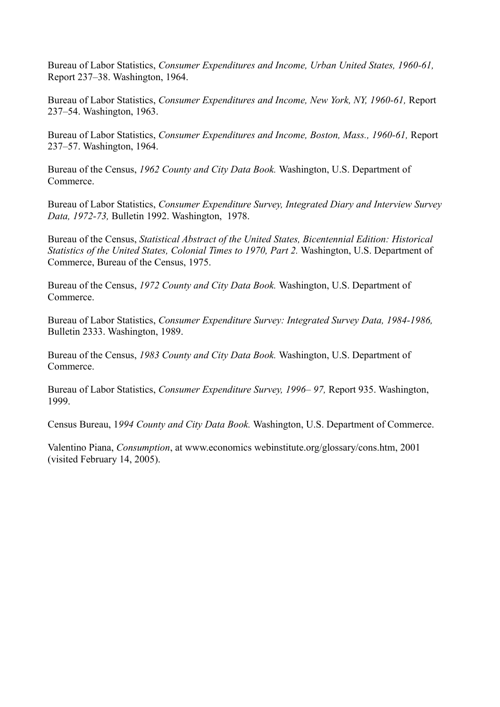Bureau of Labor Statistics, *Consumer Expenditures and Income, Urban United States, 1960-61,* Report 237–38. Washington, 1964.

Bureau of Labor Statistics, *Consumer Expenditures and Income, New York, NY, 1960-61,* Report 237–54. Washington, 1963.

Bureau of Labor Statistics, *Consumer Expenditures and Income, Boston, Mass., 1960-61,* Report 237–57. Washington, 1964.

Bureau of the Census, *1962 County and City Data Book.* Washington, U.S. Department of Commerce.

Bureau of Labor Statistics, *Consumer Expenditure Survey, Integrated Diary and Interview Survey Data, 1972-73,* Bulletin 1992. Washington, 1978.

Bureau of the Census, *Statistical Abstract of the United States, Bicentennial Edition: Historical Statistics of the United States, Colonial Times to 1970, Part 2.* Washington, U.S. Department of Commerce, Bureau of the Census, 1975.

Bureau of the Census, *1972 County and City Data Book.* Washington, U.S. Department of Commerce.

Bureau of Labor Statistics, *Consumer Expenditure Survey: Integrated Survey Data, 1984-1986,* Bulletin 2333. Washington, 1989.

Bureau of the Census, *1983 County and City Data Book.* Washington, U.S. Department of Commerce.

Bureau of Labor Statistics, *Consumer Expenditure Survey, 1996– 97,* Report 935. Washington, 1999.

Census Bureau, 1*994 County and City Data Book.* Washington, U.S. Department of Commerce.

Valentino Piana, *Consumption*, at www.economics webinstitute.org/glossary/cons.htm, 2001 (visited February 14, 2005).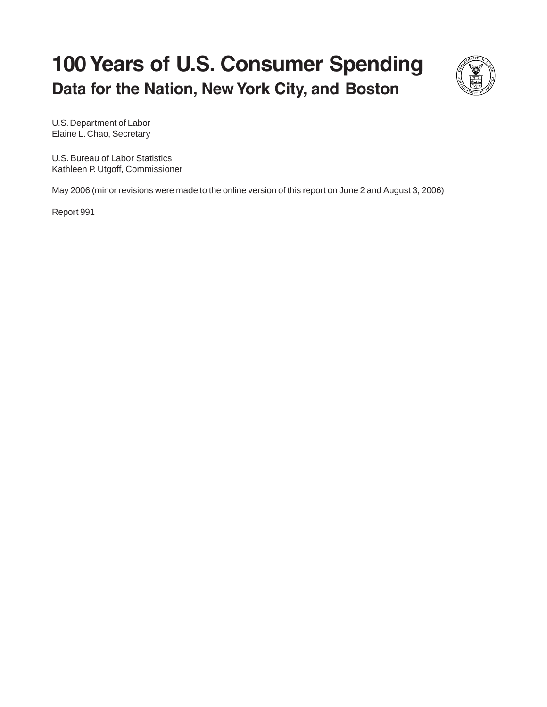# **100 Years of U.S. Consumer Spending Data for the Nation, New York City, and Boston**



U.S. Department of Labor Elaine L. Chao, Secretary

U.S. Bureau of Labor Statistics Kathleen P. Utgoff, Commissioner

May 2006 (minor revisions were made to the online version of this report on June 2 and August 3, 2006)

Report 991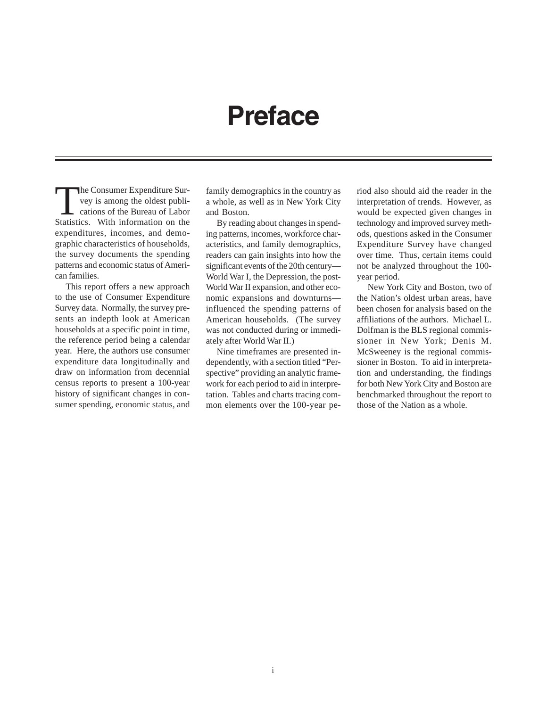# **Preface**

The Consumer Expenditure Survey is among the oldest publications of the Bureau of Labor<br>Statistics With information on the vey is among the oldest publi-Statistics. With information on the expenditures, incomes, and demographic characteristics of households, the survey documents the spending patterns and economic status of American families.

This report offers a new approach to the use of Consumer Expenditure Survey data. Normally, the survey presents an indepth look at American households at a specific point in time, the reference period being a calendar year. Here, the authors use consumer expenditure data longitudinally and draw on information from decennial census reports to present a 100-year history of significant changes in consumer spending, economic status, and family demographics in the country as a whole, as well as in New York City and Boston.

By reading about changes in spending patterns, incomes, workforce characteristics, and family demographics, readers can gain insights into how the significant events of the 20th century— World War I, the Depression, the post-World War II expansion, and other economic expansions and downturns influenced the spending patterns of American households. (The survey was not conducted during or immediately after World War II.)

Nine timeframes are presented independently, with a section titled "Perspective" providing an analytic framework for each period to aid in interpretation. Tables and charts tracing common elements over the 100-year period also should aid the reader in the interpretation of trends. However, as would be expected given changes in technology and improved survey methods, questions asked in the Consumer Expenditure Survey have changed over time. Thus, certain items could not be analyzed throughout the 100 year period.

New York City and Boston, two of the Nation's oldest urban areas, have been chosen for analysis based on the affiliations of the authors. Michael L. Dolfman is the BLS regional commissioner in New York; Denis M. McSweeney is the regional commissioner in Boston. To aid in interpretation and understanding, the findings for both New York City and Boston are benchmarked throughout the report to those of the Nation as a whole.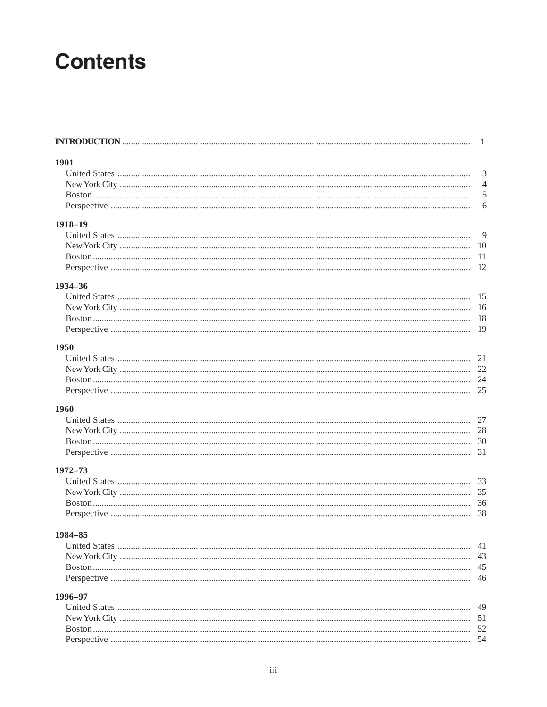# **Contents**

| 1901    |                |
|---------|----------------|
|         | 3              |
|         | $\overline{4}$ |
|         | 5              |
|         | 6              |
| 1918-19 |                |
|         | 9              |
|         |                |
|         |                |
|         |                |
| 1934-36 |                |
|         |                |
|         |                |
|         |                |
|         |                |
| 1950    |                |
|         |                |
|         |                |
|         |                |
|         |                |
| 1960    |                |
|         |                |
|         |                |
|         |                |
|         |                |
| 1972–73 |                |
|         |                |
|         |                |
|         |                |
|         | -38            |
| 1984–85 |                |
|         | 41             |
|         | 43             |
|         | 45             |
|         | 46             |
| 1996-97 |                |
|         | 49             |
|         |                |
|         |                |
|         |                |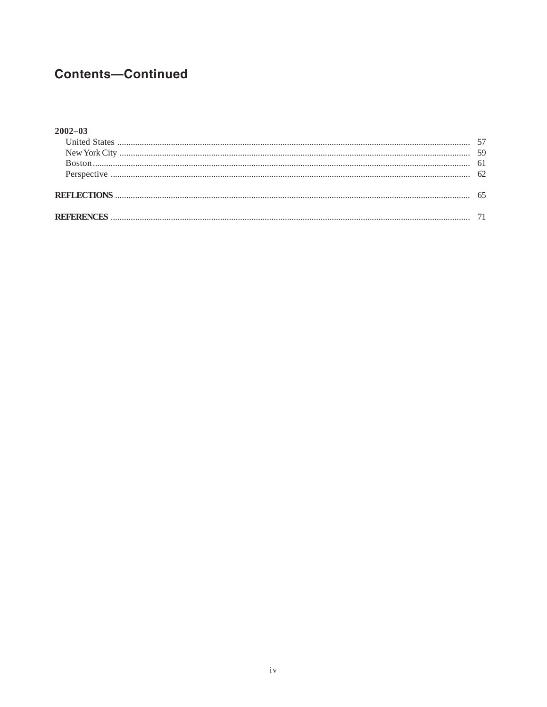# **Contents-Continued**

### $2002 - 03$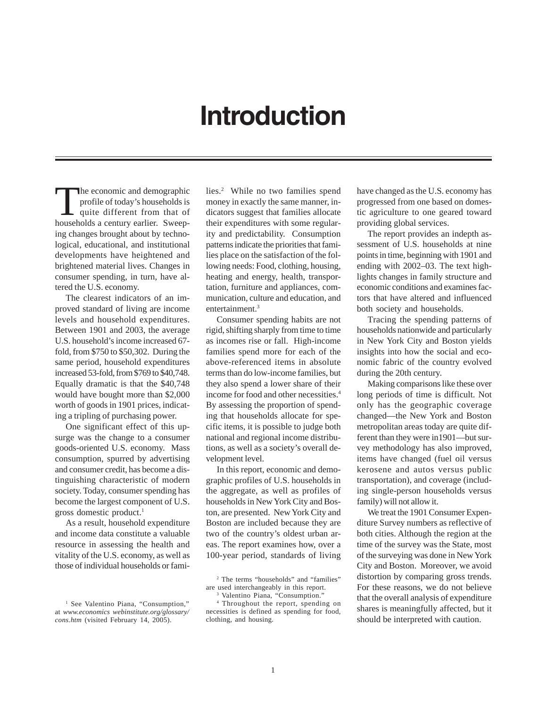# **Introduction**

The economic and demographic profile of today's households is quite different from that of households a century earlier. Sweeping changes brought about by technological, educational, and institutional developments have heightened and brightened material lives. Changes in consumer spending, in turn, have altered the U.S. economy.

The clearest indicators of an improved standard of living are income levels and household expenditures. Between 1901 and 2003, the average U.S. household's income increased 67 fold, from \$750 to \$50,302. During the same period, household expenditures increased 53-fold, from \$769 to \$40,748. Equally dramatic is that the \$40,748 would have bought more than \$2,000 worth of goods in 1901 prices, indicating a tripling of purchasing power.

One significant effect of this upsurge was the change to a consumer goods-oriented U.S. economy. Mass consumption, spurred by advertising and consumer credit, has become a distinguishing characteristic of modern society. Today, consumer spending has become the largest component of U.S. gross domestic product.<sup>1</sup>

As a result, household expenditure and income data constitute a valuable resource in assessing the health and vitality of the U.S. economy, as well as those of individual households or fami-

lies.<sup>2</sup> While no two families spend money in exactly the same manner, indicators suggest that families allocate their expenditures with some regularity and predictability. Consumption patterns indicate the priorities that families place on the satisfaction of the following needs: Food, clothing, housing, heating and energy, health, transportation, furniture and appliances, communication, culture and education, and entertainment.<sup>3</sup>

Consumer spending habits are not rigid, shifting sharply from time to time as incomes rise or fall. High-income families spend more for each of the above-referenced items in absolute terms than do low-income families, but they also spend a lower share of their income for food and other necessities.4 By assessing the proportion of spending that households allocate for specific items, it is possible to judge both national and regional income distributions, as well as a society's overall development level.

In this report, economic and demographic profiles of U.S. households in the aggregate, as well as profiles of households in New York City and Boston, are presented. New York City and Boston are included because they are two of the country's oldest urban areas. The report examines how, over a 100-year period, standards of living

have changed as the U.S. economy has progressed from one based on domestic agriculture to one geared toward providing global services.

The report provides an indepth assessment of U.S. households at nine points in time, beginning with 1901 and ending with 2002–03. The text highlights changes in family structure and economic conditions and examines factors that have altered and influenced both society and households.

Tracing the spending patterns of households nationwide and particularly in New York City and Boston yields insights into how the social and economic fabric of the country evolved during the 20th century.

Making comparisons like these over long periods of time is difficult. Not only has the geographic coverage changed—the New York and Boston metropolitan areas today are quite different than they were in1901—but survey methodology has also improved, items have changed (fuel oil versus kerosene and autos versus public transportation), and coverage (including single-person households versus family) will not allow it.

We treat the 1901 Consumer Expenditure Survey numbers as reflective of both cities. Although the region at the time of the survey was the State, most of the surveying was done in New York City and Boston. Moreover, we avoid distortion by comparing gross trends. For these reasons, we do not believe that the overall analysis of expenditure shares is meaningfully affected, but it should be interpreted with caution.

<sup>&</sup>lt;sup>1</sup> See Valentino Piana, "Consumption," at *www.economics webinstitute.org/glossary/ cons.htm* (visited February 14, 2005).

<sup>2</sup> The terms "households" and "families" are used interchangeably in this report.

<sup>3</sup> Valentino Piana, "Consumption."

<sup>4</sup> Throughout the report, spending on necessities is defined as spending for food, clothing, and housing.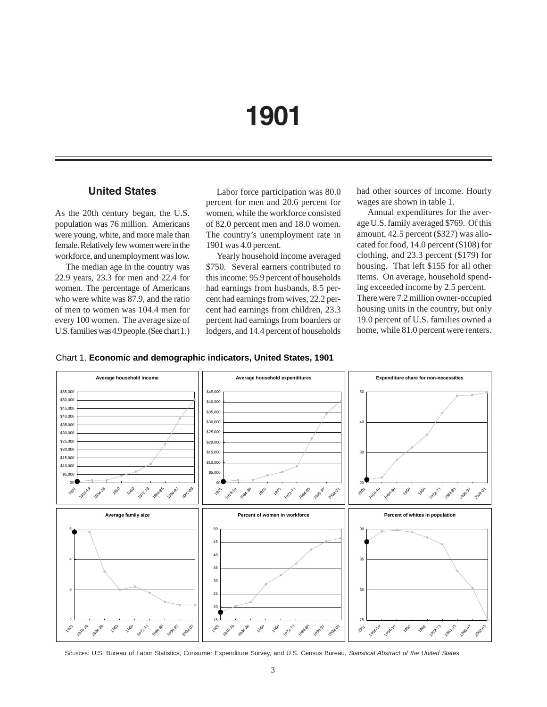# **1901**

## **United States**

As the 20th century began, the U.S. population was 76 million. Americans were young, white, and more male than female. Relatively few women were in the workforce, and unemployment was low.

The median age in the country was 22.9 years, 23.3 for men and 22.4 for women. The percentage of Americans who were white was 87.9, and the ratio of men to women was 104.4 men for every 100 women. The average size of U.S. families was 4.9 people. (See chart 1.)

Labor force participation was 80.0 percent for men and 20.6 percent for women, while the workforce consisted of 82.0 percent men and 18.0 women. The country's unemployment rate in 1901 was 4.0 percent.

Yearly household income averaged \$750. Several earners contributed to this income: 95.9 percent of households had earnings from husbands, 8.5 percent had earnings from wives, 22.2 percent had earnings from children, 23.3 percent had earnings from boarders or lodgers, and 14.4 percent of households

had other sources of income. Hourly wages are shown in table 1.

Annual expenditures for the average U.S. family averaged \$769. Of this amount, 42.5 percent (\$327) was allocated for food, 14.0 percent (\$108) for clothing, and 23.3 percent (\$179) for housing. That left \$155 for all other items. On average, household spending exceeded income by 2.5 percent. There were 7.2 million owner-occupied housing units in the country, but only 19.0 percent of U.S. families owned a home, while 81.0 percent were renters.





SOURCES: U.S. Bureau of Labor Statistics, Consumer Expenditure Survey, and U.S. Census Bureau, *Statistical Abstract of the United States*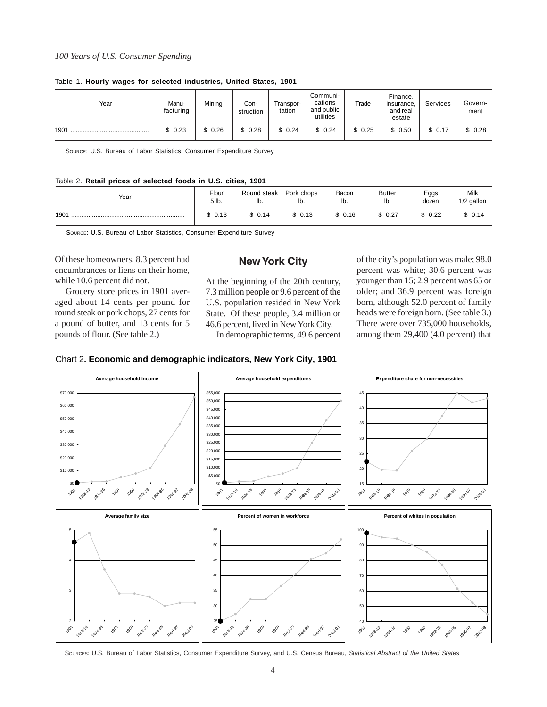| Year | Manu-<br>facturing | Mining | Con-<br>struction | Transpor-<br>tation | Communi-<br>cations<br>and public<br>utilities | Trade  | Finance,<br>insurance,<br>and real<br>estate | Services | Govern-<br>ment |
|------|--------------------|--------|-------------------|---------------------|------------------------------------------------|--------|----------------------------------------------|----------|-----------------|
| 1901 | \$0.23             | \$0.26 | \$0.28            | \$0.24              | \$0.24                                         | \$0.25 | \$0.50                                       | \$0.17   | \$0.28          |

Table 1. **Hourly wages for selected industries, United States, 1901**

SOURCE: U.S. Bureau of Labor Statistics, Consumer Expenditure Survey

#### Table 2. **Retail prices of selected foods in U.S. cities, 1901**

| Year | Flour  | Round steak | Pork chops | Bacon  | <b>Butter</b> | Eggs   | Milk       |
|------|--------|-------------|------------|--------|---------------|--------|------------|
|      | 5 lb.  | lb.         | lb.        | lb.    | ID.           | dozen  | 1/2 gallon |
| 1901 | \$0.13 | 0.14        | \$0.13     | \$0.16 | 0.27          | \$0.22 | \$0.14     |

SOURCE: U.S. Bureau of Labor Statistics, Consumer Expenditure Survey

Of these homeowners, 8.3 percent had encumbrances or liens on their home, while 10.6 percent did not.

Grocery store prices in 1901 averaged about 14 cents per pound for round steak or pork chops, 27 cents for a pound of butter, and 13 cents for 5 pounds of flour. (See table 2.)

### **New York City**

At the beginning of the 20th century, 7.3 million people or 9.6 percent of the U.S. population resided in New York State. Of these people, 3.4 million or 46.6 percent, lived in New York City.

In demographic terms, 49.6 percent

of the city's population was male; 98.0 percent was white; 30.6 percent was younger than 15; 2.9 percent was 65 or older; and 36.9 percent was foreign born, although 52.0 percent of family heads were foreign born. (See table 3.) There were over 735,000 households, among them 29,400 (4.0 percent) that





SOURCES: U.S. Bureau of Labor Statistics, Consumer Expenditure Survey, and U.S. Census Bureau, *Statistical Abstract of the United States*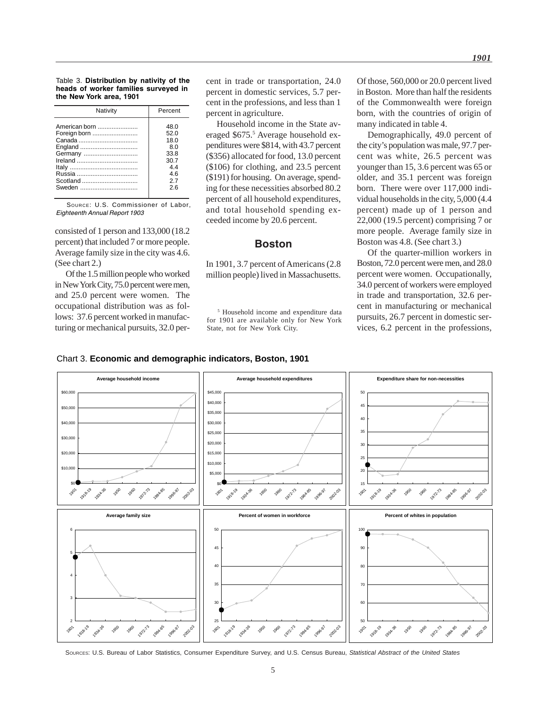Table 3. **Distribution by nativity of the heads of worker families surveyed in the New York area, 1901**

| American born<br>48.0<br>Foreign born<br>52.0<br>18.0<br>England<br>80<br>Germany<br>33.8<br>30.7<br>44<br>46<br>Scotland<br>27<br>Sweden<br>26 |  |
|-------------------------------------------------------------------------------------------------------------------------------------------------|--|

SOURCE: U.S. Commissioner of Labor, Eighteenth Annual Report 1903

consisted of 1 person and 133,000 (18.2 percent) that included 7 or more people. Average family size in the city was 4.6. (See chart 2.)

Of the 1.5 million people who worked in New York City, 75.0 percent were men, and 25.0 percent were women. The occupational distribution was as follows: 37.6 percent worked in manufacturing or mechanical pursuits, 32.0 percent in trade or transportation, 24.0 percent in domestic services, 5.7 percent in the professions, and less than 1 percent in agriculture.

Household income in the State averaged \$675.<sup>5</sup> Average household expenditures were \$814, with 43.7 percent (\$356) allocated for food, 13.0 percent (\$106) for clothing, and 23.5 percent (\$191) for housing. On average, spending for these necessities absorbed 80.2 percent of all household expenditures, and total household spending exceeded income by 20.6 percent.

### **Boston**

In 1901, 3.7 percent of Americans (2.8 million people) lived in Massachusetts.

5 Household income and expenditure data for 1901 are available only for New York State, not for New York City.

Of those, 560,000 or 20.0 percent lived in Boston. More than half the residents of the Commonwealth were foreign born, with the countries of origin of many indicated in table 4.

Demographically, 49.0 percent of the city's population was male, 97.7 percent was white, 26.5 percent was younger than 15, 3.6 percent was 65 or older, and 35.1 percent was foreign born. There were over 117,000 individual households in the city, 5,000 (4.4 percent) made up of 1 person and 22,000 (19.5 percent) comprising 7 or more people. Average family size in Boston was 4.8. (See chart 3.)

Of the quarter-million workers in Boston, 72.0 percent were men, and 28.0 percent were women. Occupationally, 34.0 percent of workers were employed in trade and transportation, 32.6 percent in manufacturing or mechanical pursuits, 26.7 percent in domestic services, 6.2 percent in the professions,

### Chart 3. **Economic and demographic indicators, Boston, 1901**



SOURCES: U.S. Bureau of Labor Statistics, Consumer Expenditure Survey, and U.S. Census Bureau, *Statistical Abstract of the United States*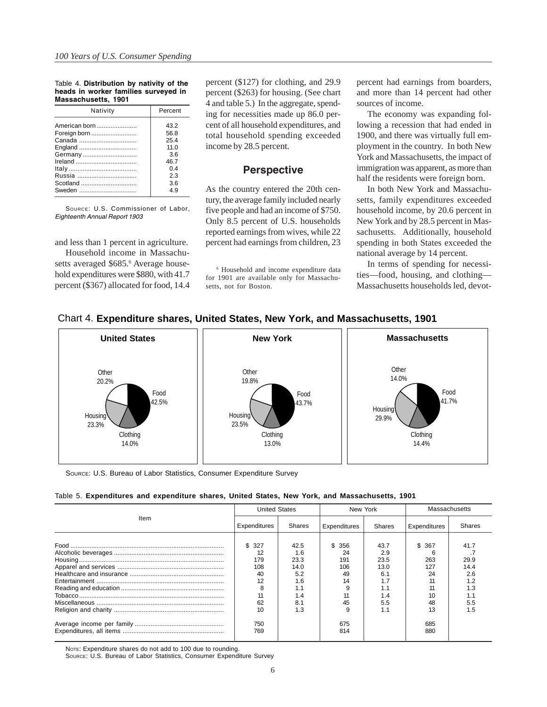#### Table 4. **Distribution by nativity of the heads in worker families surveyed in Massachusetts, 1901**

| Nativity      | Percent        |  |  |  |
|---------------|----------------|--|--|--|
| American born | 432            |  |  |  |
| Foreign born  | 56.8           |  |  |  |
|               | 254            |  |  |  |
| England       | 110            |  |  |  |
| Germany       | 36             |  |  |  |
|               | 46.7           |  |  |  |
|               | 0 <sup>4</sup> |  |  |  |
|               | 23             |  |  |  |
| Scotland      | 3.6            |  |  |  |
| Sweden        | 4 Q            |  |  |  |

SOURCE: U.S. Commissioner of Labor, Eighteenth Annual Report 1903

Household income in Massachusetts averaged \$685.<sup>6</sup> Average household expenditures were \$880, with 41.7 percent (\$367) allocated for food, 14.4 percent (\$127) for clothing, and 29.9 percent (\$263) for housing. (See chart 4 and table 5.) In the aggregate, spending for necessities made up 86.0 percent of all household expenditures, and total household spending exceeded income by 28.5 percent.

### **Perspective**

As the country entered the 20th century, the average family included nearly five people and had an income of \$750. Only 8.5 percent of U.S. households reported earnings from wives, while 22 and less than 1 percent in agriculture. percent had earnings from children, 23

> 6 Household and income expenditure data for 1901 are available only for Massachusetts, not for Boston.

percent had earnings from boarders, and more than 14 percent had other sources of income.

The economy was expanding following a recession that had ended in 1900, and there was virtually full employment in the country. In both New York and Massachusetts, the impact of immigration was apparent, as more than half the residents were foreign born.

In both New York and Massachusetts, family expenditures exceeded household income, by 20.6 percent in New York and by 28.5 percent in Massachusetts. Additionally, household spending in both States exceeded the national average by 14 percent.

In terms of spending for necessities—food, housing, and clothing— Massachusetts households led, devot-



### Chart 4. **Expenditure shares, United States, New York, and Massachusetts, 1901**

SOURCE: U.S. Bureau of Labor Statistics, Consumer Expenditure Survey

|  |  |  |  |  | Table 5. Expenditures and expenditure shares, United States, New York, and Massachusetts, 1901 |  |
|--|--|--|--|--|------------------------------------------------------------------------------------------------|--|
|  |  |  |  |  |                                                                                                |  |

|      | <b>United States</b>                                         |                                                                       | New York                                         |                                                                | Massachusetts                                |                                                         |  |
|------|--------------------------------------------------------------|-----------------------------------------------------------------------|--------------------------------------------------|----------------------------------------------------------------|----------------------------------------------|---------------------------------------------------------|--|
| Item | Expenditures                                                 | Shares                                                                | Expenditures                                     | Shares                                                         | Expenditures                                 | Shares                                                  |  |
|      | \$327<br>12<br>179<br>108<br>40<br>12<br>8<br>11<br>62<br>10 | 42.5<br>1.6<br>23.3<br>14.0<br>5.2<br>1.6<br>1.1<br>1.4<br>8.1<br>1.3 | \$356<br>24<br>191<br>106<br>49<br>14<br>45<br>9 | 43.7<br>2.9<br>23.5<br>13.0<br>6.1<br>1.7<br>1.4<br>5.5<br>1.1 | \$ 367<br>263<br>127<br>24<br>10<br>48<br>13 | 41.7<br>29.9<br>14.4<br>2.6<br>1.2<br>1.3<br>5.5<br>1.5 |  |
|      | 750<br>769                                                   |                                                                       | 675<br>814                                       |                                                                | 685<br>880                                   |                                                         |  |

NOTE: Expenditure shares do not add to 100 due to rounding.

SOURCE: U.S. Bureau of Labor Statistics, Consumer Expenditure Survey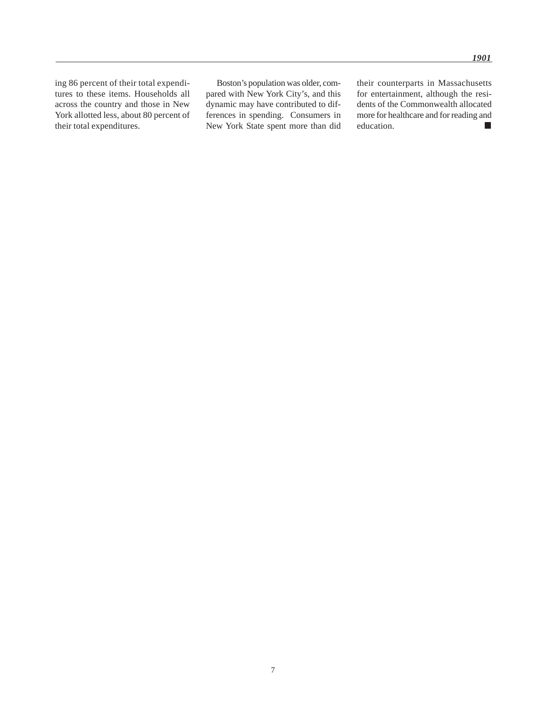ing 86 percent of their total expenditures to these items. Households all across the country and those in New York allotted less, about 80 percent of their total expenditures.

Boston's population was older, compared with New York City's, and this dynamic may have contributed to differences in spending. Consumers in New York State spent more than did their counterparts in Massachusetts for entertainment, although the residents of the Commonwealth allocated more for healthcare and for reading and education.  $\blacksquare$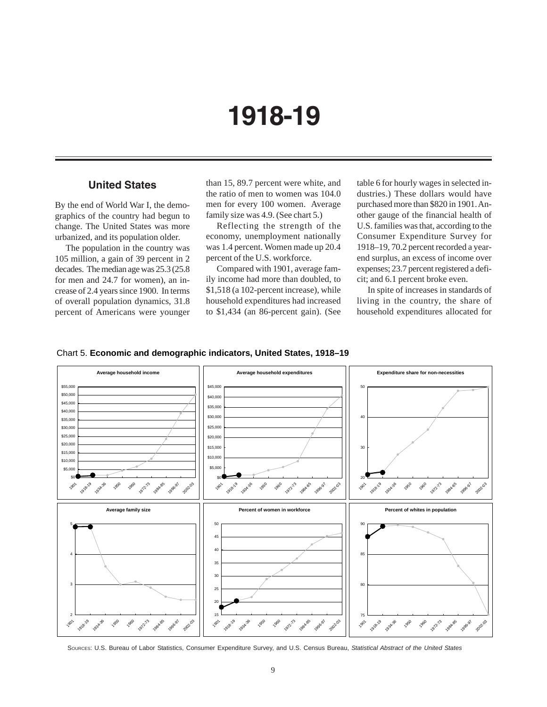# **1918-19**

### **United States**

By the end of World War I, the demographics of the country had begun to change. The United States was more urbanized, and its population older.

The population in the country was 105 million, a gain of 39 percent in 2 decades. The median age was 25.3 (25.8 for men and 24.7 for women), an increase of 2.4 years since 1900. In terms of overall population dynamics, 31.8 percent of Americans were younger

than 15, 89.7 percent were white, and the ratio of men to women was 104.0 men for every 100 women. Average family size was 4.9. (See chart 5.)

Reflecting the strength of the economy, unemployment nationally was 1.4 percent. Women made up 20.4 percent of the U.S. workforce.

Compared with 1901, average family income had more than doubled, to \$1,518 (a 102-percent increase), while household expenditures had increased to \$1,434 (an 86-percent gain). (See

table 6 for hourly wages in selected industries.) These dollars would have purchased more than \$820 in 1901. Another gauge of the financial health of U.S. families was that, according to the Consumer Expenditure Survey for 1918–19, 70.2 percent recorded a yearend surplus, an excess of income over expenses; 23.7 percent registered a deficit; and 6.1 percent broke even.

In spite of increases in standards of living in the country, the share of household expenditures allocated for





SOURCES: U.S. Bureau of Labor Statistics, Consumer Expenditure Survey, and U.S. Census Bureau, *Statistical Abstract of the United States*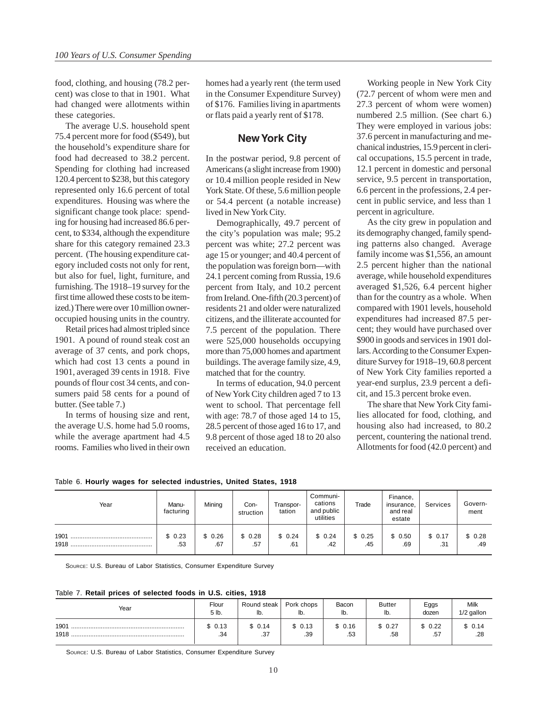food, clothing, and housing (78.2 percent) was close to that in 1901. What had changed were allotments within these categories.

The average U.S. household spent 75.4 percent more for food (\$549), but the household's expenditure share for food had decreased to 38.2 percent. Spending for clothing had increased 120.4 percent to \$238, but this category represented only 16.6 percent of total expenditures. Housing was where the significant change took place: spending for housing had increased 86.6 percent, to \$334, although the expenditure share for this category remained 23.3 percent. (The housing expenditure category included costs not only for rent, but also for fuel, light, furniture, and furnishing. The 1918–19 survey for the first time allowed these costs to be itemized.) There were over 10 million owneroccupied housing units in the country.

Retail prices had almost tripled since 1901. A pound of round steak cost an average of 37 cents, and pork chops, which had cost 13 cents a pound in 1901, averaged 39 cents in 1918. Five pounds of flour cost 34 cents, and consumers paid 58 cents for a pound of butter. (See table 7.)

In terms of housing size and rent, the average U.S. home had 5.0 rooms, while the average apartment had 4.5 rooms. Families who lived in their own

homes had a yearly rent (the term used in the Consumer Expenditure Survey) of \$176. Families living in apartments or flats paid a yearly rent of \$178.

### **New York City**

In the postwar period, 9.8 percent of Americans (a slight increase from 1900) or 10.4 million people resided in New York State. Of these, 5.6 million people or 54.4 percent (a notable increase) lived in New York City.

Demographically, 49.7 percent of the city's population was male; 95.2 percent was white; 27.2 percent was age 15 or younger; and 40.4 percent of the population was foreign born—with 24.1 percent coming from Russia, 19.6 percent from Italy, and 10.2 percent from Ireland. One-fifth (20.3 percent) of residents 21 and older were naturalized citizens, and the illiterate accounted for 7.5 percent of the population. There were 525,000 households occupying more than 75,000 homes and apartment buildings. The average family size, 4.9, matched that for the country.

In terms of education, 94.0 percent of New York City children aged 7 to 13 went to school. That percentage fell with age: 78.7 of those aged 14 to 15, 28.5 percent of those aged 16 to 17, and 9.8 percent of those aged 18 to 20 also received an education.

Working people in New York City (72.7 percent of whom were men and 27.3 percent of whom were women) numbered 2.5 million. (See chart 6.) They were employed in various jobs: 37.6 percent in manufacturing and mechanical industries, 15.9 percent in clerical occupations, 15.5 percent in trade, 12.1 percent in domestic and personal service, 9.5 percent in transportation, 6.6 percent in the professions, 2.4 percent in public service, and less than 1 percent in agriculture.

As the city grew in population and its demography changed, family spending patterns also changed. Average family income was \$1,556, an amount 2.5 percent higher than the national average, while household expenditures averaged \$1,526, 6.4 percent higher than for the country as a whole. When compared with 1901 levels, household expenditures had increased 87.5 percent; they would have purchased over \$900 in goods and services in 1901 dollars. According to the Consumer Expenditure Survey for 1918–19, 60.8 percent of New York City families reported a year-end surplus, 23.9 percent a deficit, and 15.3 percent broke even.

The share that New York City families allocated for food, clothing, and housing also had increased, to 80.2 percent, countering the national trend. Allotments for food (42.0 percent) and

Table 6. **Hourly wages for selected industries, United States, 1918**

| Year | Manu-<br>facturing | Mining | Con-<br>struction | Transpor-<br>tation | Communi-<br>cations<br>and public<br>utilities | Trade  | Finance,<br>insurance,<br>and real<br>estate | Services | Govern-<br>ment |
|------|--------------------|--------|-------------------|---------------------|------------------------------------------------|--------|----------------------------------------------|----------|-----------------|
| 1901 | \$0.23             | \$0.26 | \$0.28            | \$0.24              | \$0.24                                         | \$0.25 | \$0.50                                       | \$0.17   | \$0.28          |
|      | .53                | .67    | .57               | .61                 | .42                                            | .45    | .69                                          | .31      | .49             |

SOURCE: U.S. Bureau of Labor Statistics, Consumer Expenditure Survey

Table 7. **Retail prices of selected foods in U.S. cities, 1918**

| Year         | Flour         | Round steak   | Pork chops    | Bacon         | <b>Butter</b> | Eggs          | Milk          |
|--------------|---------------|---------------|---------------|---------------|---------------|---------------|---------------|
|              | 5 lb.         | lb.           | lb.           | lb.           | lb.           | dozen         | 1/2 gallon    |
| 1901<br>1918 | \$0.13<br>.34 | \$0.14<br>.37 | \$0.13<br>.39 | \$0.16<br>.53 | , 0.27<br>.58 | \$0.22<br>.57 | \$0.14<br>.28 |

SOURCE: U.S. Bureau of Labor Statistics, Consumer Expenditure Survey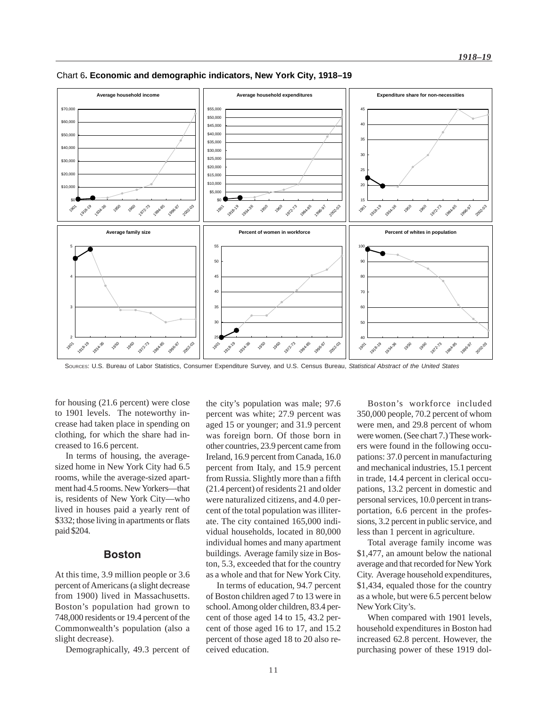

Chart 6**. Economic and demographic indicators, New York City, 1918–19**

SOURCES: U.S. Bureau of Labor Statistics, Consumer Expenditure Survey, and U.S. Census Bureau, *Statistical Abstract of the United States*

for housing (21.6 percent) were close to 1901 levels. The noteworthy increase had taken place in spending on clothing, for which the share had increased to 16.6 percent.

In terms of housing, the averagesized home in New York City had 6.5 rooms, while the average-sized apartment had 4.5 rooms. New Yorkers—that is, residents of New York City—who lived in houses paid a yearly rent of \$332; those living in apartments or flats paid \$204.

### **Boston**

At this time, 3.9 million people or 3.6 percent of Americans (a slight decrease from 1900) lived in Massachusetts. Boston's population had grown to 748,000 residents or 19.4 percent of the Commonwealth's population (also a slight decrease).

Demographically, 49.3 percent of

the city's population was male; 97.6 percent was white; 27.9 percent was aged 15 or younger; and 31.9 percent was foreign born. Of those born in other countries, 23.9 percent came from Ireland, 16.9 percent from Canada, 16.0 percent from Italy, and 15.9 percent from Russia. Slightly more than a fifth (21.4 percent) of residents 21 and older were naturalized citizens, and 4.0 percent of the total population was illiterate. The city contained 165,000 individual households, located in 80,000 individual homes and many apartment buildings. Average family size in Boston, 5.3, exceeded that for the country as a whole and that for New York City.

In terms of education, 94.7 percent of Boston children aged 7 to 13 were in school. Among older children, 83.4 percent of those aged 14 to 15, 43.2 percent of those aged 16 to 17, and 15.2 percent of those aged 18 to 20 also received education.

Boston's workforce included 350,000 people, 70.2 percent of whom were men, and 29.8 percent of whom were women. (See chart 7.) These workers were found in the following occupations: 37.0 percent in manufacturing and mechanical industries, 15.1 percent in trade, 14.4 percent in clerical occupations, 13.2 percent in domestic and personal services, 10.0 percent in transportation, 6.6 percent in the professions, 3.2 percent in public service, and less than 1 percent in agriculture.

Total average family income was \$1,477, an amount below the national average and that recorded for New York City. Average household expenditures, \$1,434, equaled those for the country as a whole, but were 6.5 percent below New York City's.

When compared with 1901 levels, household expenditures in Boston had increased 62.8 percent. However, the purchasing power of these 1919 dol-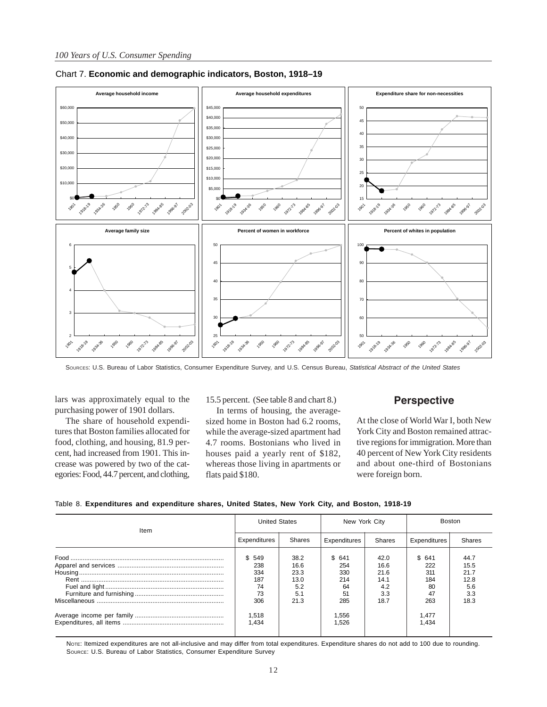

### Chart 7. **Economic and demographic indicators, Boston, 1918–19**

SOURCES: U.S. Bureau of Labor Statistics, Consumer Expenditure Survey, and U.S. Census Bureau, *Statistical Abstract of the United States*

lars was approximately equal to the purchasing power of 1901 dollars.

The share of household expenditures that Boston families allocated for food, clothing, and housing, 81.9 percent, had increased from 1901. This increase was powered by two of the categories: Food, 44.7 percent, and clothing, 15.5 percent. (See table 8 and chart 8.)

In terms of housing, the averagesized home in Boston had 6.2 rooms, while the average-sized apartment had 4.7 rooms. Bostonians who lived in houses paid a yearly rent of \$182, whereas those living in apartments or flats paid \$180.

### **Perspective**

At the close of World War I, both New York City and Boston remained attractive regions for immigration. More than 40 percent of New York City residents and about one-third of Bostonians were foreign born.

| Table 8. Expenditures and expenditure shares, United States, New York City, and Boston, 1918-19 |  |  |  |  |  |  |
|-------------------------------------------------------------------------------------------------|--|--|--|--|--|--|
|                                                                                                 |  |  |  |  |  |  |

|              |               |                      |        | Boston        |        |  |
|--------------|---------------|----------------------|--------|---------------|--------|--|
| Expenditures | <b>Shares</b> | Expenditures         | Shares | Expenditures  | Shares |  |
| \$549        | 38.2          |                      | 42.0   |               | 44.7   |  |
| 238          | 16.6          | 254                  | 16.6   | 222           | 15.5   |  |
| 334          | 23.3          | 330                  | 21.6   | 311           | 21.7   |  |
| 187          | 13.0          | 214                  | 14.1   | 184           | 12.8   |  |
| 74           | 5.2           | 64                   | 4.2    | 80            | 5.6    |  |
| 73           | 5.1           | 51                   | 3.3    | 47            | 3.3    |  |
| 306          | 21.3          | 285                  | 18.7   | 263           | 18.3   |  |
| 1,518        |               | 1,556                |        | 1.477         |        |  |
| 1.434        |               | 1.526                |        | 1.434         |        |  |
|              |               | <b>United States</b> | \$641  | New York City | \$641  |  |

NOTE: Itemized expenditures are not all-inclusive and may differ from total expenditures. Expenditure shares do not add to 100 due to rounding. SOURCE: U.S. Bureau of Labor Statistics, Consumer Expenditure Survey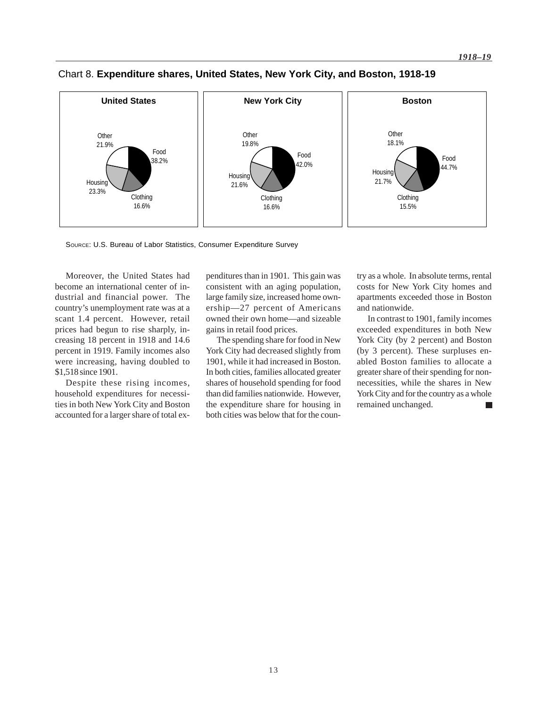

# Chart 8. **Expenditure shares, United States, New York City, and Boston, 1918-19**

SOURCE: U.S. Bureau of Labor Statistics, Consumer Expenditure Survey

Moreover, the United States had become an international center of industrial and financial power. The country's unemployment rate was at a scant 1.4 percent. However, retail prices had begun to rise sharply, increasing 18 percent in 1918 and 14.6 percent in 1919. Family incomes also were increasing, having doubled to \$1,518 since 1901.

Despite these rising incomes, household expenditures for necessities in both New York City and Boston accounted for a larger share of total expenditures than in 1901. This gain was consistent with an aging population, large family size, increased home ownership—27 percent of Americans owned their own home—and sizeable gains in retail food prices.

The spending share for food in New York City had decreased slightly from 1901, while it had increased in Boston. In both cities, families allocated greater shares of household spending for food than did families nationwide. However, the expenditure share for housing in both cities was below that for the country as a whole. In absolute terms, rental costs for New York City homes and apartments exceeded those in Boston and nationwide.

In contrast to 1901, family incomes exceeded expenditures in both New York City (by 2 percent) and Boston (by 3 percent). These surpluses enabled Boston families to allocate a greater share of their spending for nonnecessities, while the shares in New York City and for the country as a whole remained unchanged.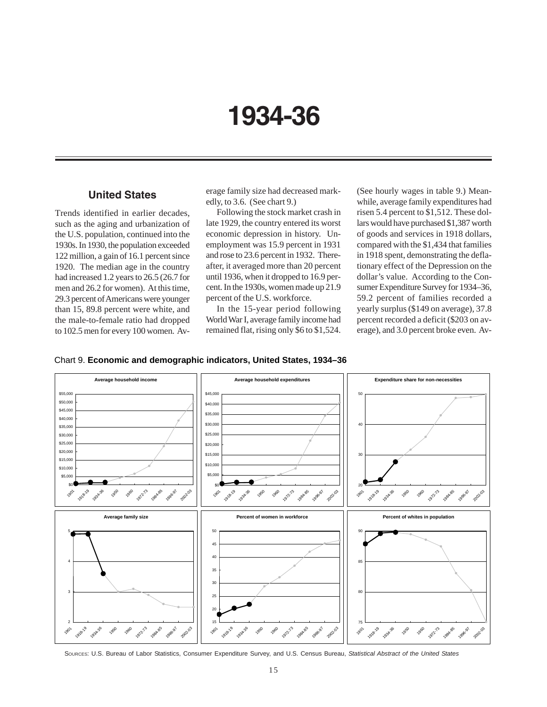# **1934-36**

## **United States**

Trends identified in earlier decades, such as the aging and urbanization of the U.S. population, continued into the 1930s. In 1930, the population exceeded 122 million, a gain of 16.1 percent since 1920. The median age in the country had increased 1.2 years to 26.5 (26.7 for men and 26.2 for women). At this time, 29.3 percent of Americans were younger than 15, 89.8 percent were white, and the male-to-female ratio had dropped to 102.5 men for every 100 women. Average family size had decreased markedly, to 3.6. (See chart 9.)

Following the stock market crash in late 1929, the country entered its worst economic depression in history. Unemployment was 15.9 percent in 1931 and rose to 23.6 percent in 1932. Thereafter, it averaged more than 20 percent until 1936, when it dropped to 16.9 percent. In the 1930s, women made up 21.9 percent of the U.S. workforce.

In the 15-year period following World War I, average family income had remained flat, rising only \$6 to \$1,524. (See hourly wages in table 9.) Meanwhile, average family expenditures had risen 5.4 percent to \$1,512. These dollars would have purchased \$1,387 worth of goods and services in 1918 dollars, compared with the \$1,434 that families in 1918 spent, demonstrating the deflationary effect of the Depression on the dollar's value. According to the Consumer Expenditure Survey for 1934–36, 59.2 percent of families recorded a yearly surplus (\$149 on average), 37.8 percent recorded a deficit (\$203 on average), and 3.0 percent broke even. Av-





SOURCES: U.S. Bureau of Labor Statistics, Consumer Expenditure Survey, and U.S. Census Bureau, *Statistical Abstract of the United States*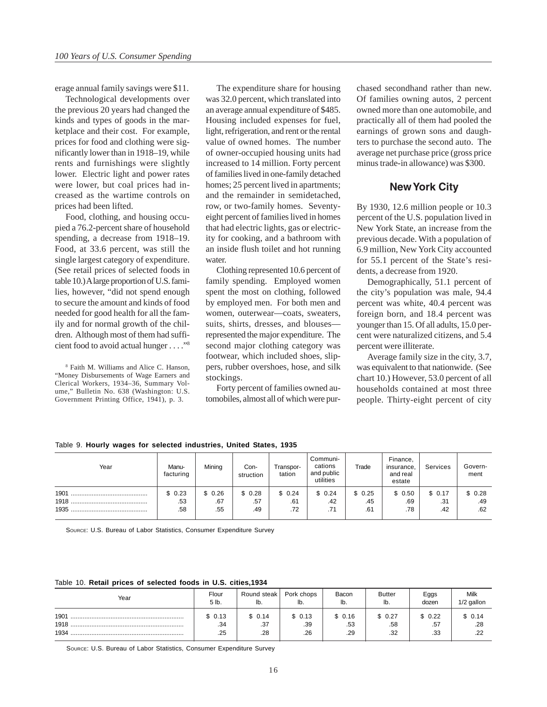erage annual family savings were \$11.

Technological developments over the previous 20 years had changed the kinds and types of goods in the marketplace and their cost. For example, prices for food and clothing were significantly lower than in 1918–19, while rents and furnishings were slightly lower. Electric light and power rates were lower, but coal prices had increased as the wartime controls on prices had been lifted.

Food, clothing, and housing occupied a 76.2-percent share of household spending, a decrease from 1918–19. Food, at 33.6 percent, was still the single largest category of expenditure. (See retail prices of selected foods in table 10.) A large proportion of U.S. families, however, "did not spend enough to secure the amount and kinds of food needed for good health for all the family and for normal growth of the children. Although most of them had sufficient food to avoid actual hunger . . . ."8

8 Faith M. Williams and Alice C. Hanson, "Money Disbursements of Wage Earners and Clerical Workers, 1934–36, Summary Volume," Bulletin No. 638 (Washington: U.S. Government Printing Office, 1941), p. 3.

The expenditure share for housing was 32.0 percent, which translated into an average annual expenditure of \$485. Housing included expenses for fuel, light, refrigeration, and rent or the rental value of owned homes. The number of owner-occupied housing units had increased to 14 million. Forty percent of families lived in one-family detached homes; 25 percent lived in apartments; and the remainder in semidetached, row, or two-family homes. Seventyeight percent of families lived in homes that had electric lights, gas or electricity for cooking, and a bathroom with an inside flush toilet and hot running water.

Clothing represented 10.6 percent of family spending. Employed women spent the most on clothing, followed by employed men. For both men and women, outerwear—coats, sweaters, suits, shirts, dresses, and blouses represented the major expenditure. The second major clothing category was footwear, which included shoes, slippers, rubber overshoes, hose, and silk stockings.

Forty percent of families owned automobiles, almost all of which were purchased secondhand rather than new. Of families owning autos, 2 percent owned more than one automobile, and practically all of them had pooled the earnings of grown sons and daughters to purchase the second auto. The average net purchase price (gross price minus trade-in allowance) was \$300.

### **New York City**

By 1930, 12.6 million people or 10.3 percent of the U.S. population lived in New York State, an increase from the previous decade. With a population of 6.9 million, New York City accounted for 55.1 percent of the State's residents, a decrease from 1920.

Demographically, 51.1 percent of the city's population was male, 94.4 percent was white, 40.4 percent was foreign born, and 18.4 percent was younger than 15. Of all adults, 15.0 percent were naturalized citizens, and 5.4 percent were illiterate.

Average family size in the city, 3.7, was equivalent to that nationwide. (See chart 10.) However, 53.0 percent of all households contained at most three people. Thirty-eight percent of city

Table 9. **Hourly wages for selected industries, United States, 1935**

| Year                 | Manu-<br>facturing   | Mining               | Con-<br>struction    | Transpor-<br>tation  | Communi-<br>cations<br>and public<br>utilities | Trade                | Finance,<br>insurance,<br>and real<br>estate | Services             | Govern-<br>ment      |
|----------------------|----------------------|----------------------|----------------------|----------------------|------------------------------------------------|----------------------|----------------------------------------------|----------------------|----------------------|
| 1901<br>1918<br>1935 | \$0.23<br>.53<br>.58 | \$0.26<br>.67<br>.55 | \$0.28<br>.57<br>.49 | \$0.24<br>.61<br>.72 | \$0.24<br>.42<br>.71                           | \$0.25<br>.45<br>.61 | \$0.50<br>.69<br>.78                         | \$0.17<br>.31<br>.42 | \$0.28<br>.49<br>.62 |

SOURCE: U.S. Bureau of Labor Statistics, Consumer Expenditure Survey

Table 10. **Retail prices of selected foods in U.S. cities,1934**

| Year                 | Flour                | Round steak          | Pork chops           | Bacon                | <b>Butter</b>        | Eggs                 | Milk                 |
|----------------------|----------------------|----------------------|----------------------|----------------------|----------------------|----------------------|----------------------|
|                      | 5 lb.                | IIJ.                 | lb.                  | lb.                  | lb.                  | dozen                | 1/2 gallon           |
| 1901<br>1918<br>1934 | \$0.13<br>.34<br>.25 | \$0.14<br>.37<br>.28 | \$0.13<br>.39<br>.26 | \$0.16<br>.53<br>.29 | \$0.27<br>.58<br>.32 | \$0.22<br>.57<br>.33 | \$0.14<br>.28<br>ົດດ |

SOURCE: U.S. Bureau of Labor Statistics, Consumer Expenditure Survey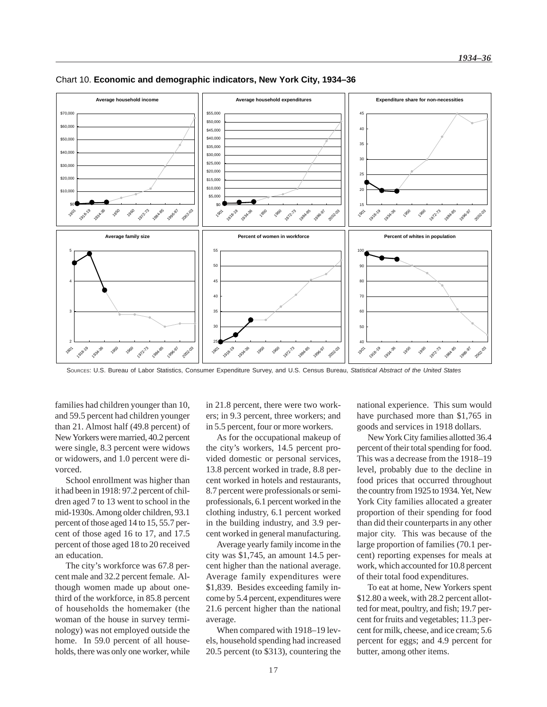

#### Chart 10. **Economic and demographic indicators, New York City, 1934–36**

SOURCES: U.S. Bureau of Labor Statistics, Consumer Expenditure Survey, and U.S. Census Bureau, *Statistical Abstract of the United States*

families had children younger than 10, and 59.5 percent had children younger than 21. Almost half (49.8 percent) of New Yorkers were married, 40.2 percent were single, 8.3 percent were widows or widowers, and 1.0 percent were divorced.

School enrollment was higher than it had been in 1918: 97.2 percent of children aged 7 to 13 went to school in the mid-1930s. Among older children, 93.1 percent of those aged 14 to 15, 55.7 percent of those aged 16 to 17, and 17.5 percent of those aged 18 to 20 received an education.

The city's workforce was 67.8 percent male and 32.2 percent female. Although women made up about onethird of the workforce, in 85.8 percent of households the homemaker (the woman of the house in survey terminology) was not employed outside the home. In 59.0 percent of all households, there was only one worker, while

in 21.8 percent, there were two workers; in 9.3 percent, three workers; and in 5.5 percent, four or more workers.

As for the occupational makeup of the city's workers, 14.5 percent provided domestic or personal services, 13.8 percent worked in trade, 8.8 percent worked in hotels and restaurants, 8.7 percent were professionals or semiprofessionals, 6.1 percent worked in the clothing industry, 6.1 percent worked in the building industry, and 3.9 percent worked in general manufacturing.

Average yearly family income in the city was \$1,745, an amount 14.5 percent higher than the national average. Average family expenditures were \$1,839. Besides exceeding family income by 5.4 percent, expenditures were 21.6 percent higher than the national average.

When compared with 1918–19 levels, household spending had increased 20.5 percent (to \$313), countering the national experience. This sum would have purchased more than \$1,765 in goods and services in 1918 dollars.

New York City families allotted 36.4 percent of their total spending for food. This was a decrease from the 1918–19 level, probably due to the decline in food prices that occurred throughout the country from 1925 to 1934. Yet, New York City families allocated a greater proportion of their spending for food than did their counterparts in any other major city. This was because of the large proportion of families (70.1 percent) reporting expenses for meals at work, which accounted for 10.8 percent of their total food expenditures.

To eat at home, New Yorkers spent \$12.80 a week, with 28.2 percent allotted for meat, poultry, and fish; 19.7 percent for fruits and vegetables; 11.3 percent for milk, cheese, and ice cream; 5.6 percent for eggs; and 4.9 percent for butter, among other items.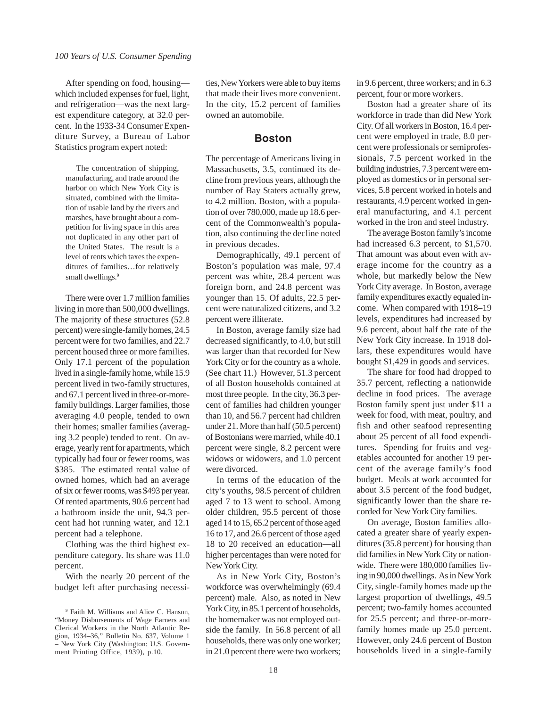After spending on food, housing which included expenses for fuel, light, and refrigeration—was the next largest expenditure category, at 32.0 percent. In the 1933-34 Consumer Expenditure Survey, a Bureau of Labor Statistics program expert noted:

The concentration of shipping, manufacturing, and trade around the harbor on which New York City is situated, combined with the limitation of usable land by the rivers and marshes, have brought about a competition for living space in this area not duplicated in any other part of the United States. The result is a level of rents which taxes the expenditures of families…for relatively small dwellings.<sup>9</sup>

There were over 1.7 million families living in more than 500,000 dwellings. The majority of these structures (52.8 percent) were single-family homes, 24.5 percent were for two families, and 22.7 percent housed three or more families. Only 17.1 percent of the population lived in a single-family home, while 15.9 percent lived in two-family structures, and 67.1 percent lived in three-or-morefamily buildings. Larger families, those averaging 4.0 people, tended to own their homes; smaller families (averaging 3.2 people) tended to rent. On average, yearly rent for apartments, which typically had four or fewer rooms, was \$385. The estimated rental value of owned homes, which had an average of six or fewer rooms, was \$493 per year. Of rented apartments, 90.6 percent had a bathroom inside the unit, 94.3 percent had hot running water, and 12.1 percent had a telephone.

Clothing was the third highest expenditure category. Its share was 11.0 percent.

With the nearly 20 percent of the budget left after purchasing necessities, New Yorkers were able to buy items that made their lives more convenient. In the city, 15.2 percent of families owned an automobile.

### **Boston**

The percentage of Americans living in Massachusetts, 3.5, continued its decline from previous years, although the number of Bay Staters actually grew, to 4.2 million. Boston, with a population of over 780,000, made up 18.6 percent of the Commonwealth's population, also continuing the decline noted in previous decades.

Demographically, 49.1 percent of Boston's population was male, 97.4 percent was white, 28.4 percent was foreign born, and 24.8 percent was younger than 15. Of adults, 22.5 percent were naturalized citizens, and 3.2 percent were illiterate.

In Boston, average family size had decreased significantly, to 4.0, but still was larger than that recorded for New York City or for the country as a whole. (See chart 11.) However, 51.3 percent of all Boston households contained at most three people. In the city, 36.3 percent of families had children younger than 10, and 56.7 percent had children under 21. More than half (50.5 percent) of Bostonians were married, while 40.1 percent were single, 8.2 percent were widows or widowers, and 1.0 percent were divorced.

In terms of the education of the city's youths, 98.5 percent of children aged 7 to 13 went to school. Among older children, 95.5 percent of those aged 14 to 15, 65.2 percent of those aged 16 to 17, and 26.6 percent of those aged 18 to 20 received an education—all higher percentages than were noted for New York City.

As in New York City, Boston's workforce was overwhelmingly (69.4 percent) male. Also, as noted in New York City, in 85.1 percent of households, the homemaker was not employed outside the family. In 56.8 percent of all households, there was only one worker; in 21.0 percent there were two workers; in 9.6 percent, three workers; and in 6.3 percent, four or more workers.

Boston had a greater share of its workforce in trade than did New York City. Of all workers in Boston, 16.4 percent were employed in trade, 8.0 percent were professionals or semiprofessionals, 7.5 percent worked in the building industries, 7.3 percent were employed as domestics or in personal services, 5.8 percent worked in hotels and restaurants, 4.9 percent worked in general manufacturing, and 4.1 percent worked in the iron and steel industry.

The average Boston family's income had increased 6.3 percent, to \$1,570. That amount was about even with average income for the country as a whole, but markedly below the New York City average. In Boston, average family expenditures exactly equaled income. When compared with 1918–19 levels, expenditures had increased by 9.6 percent, about half the rate of the New York City increase. In 1918 dollars, these expenditures would have bought \$1,429 in goods and services.

The share for food had dropped to 35.7 percent, reflecting a nationwide decline in food prices. The average Boston family spent just under \$11 a week for food, with meat, poultry, and fish and other seafood representing about 25 percent of all food expenditures. Spending for fruits and vegetables accounted for another 19 percent of the average family's food budget. Meals at work accounted for about 3.5 percent of the food budget, significantly lower than the share recorded for New York City families.

On average, Boston families allocated a greater share of yearly expenditures (35.8 percent) for housing than did families in New York City or nationwide. There were 180,000 families living in 90,000 dwellings. As in New York City, single-family homes made up the largest proportion of dwellings, 49.5 percent; two-family homes accounted for 25.5 percent; and three-or-morefamily homes made up 25.0 percent. However, only 24.6 percent of Boston households lived in a single-family

<sup>9</sup> Faith M. Williams and Alice C. Hanson, "Money Disbursements of Wage Earners and Clerical Workers in the North Atlantic Region, 1934–36," Bulletin No. 637, Volume 1 – New York City (Washington: U.S. Government Printing Office, 1939), p.10.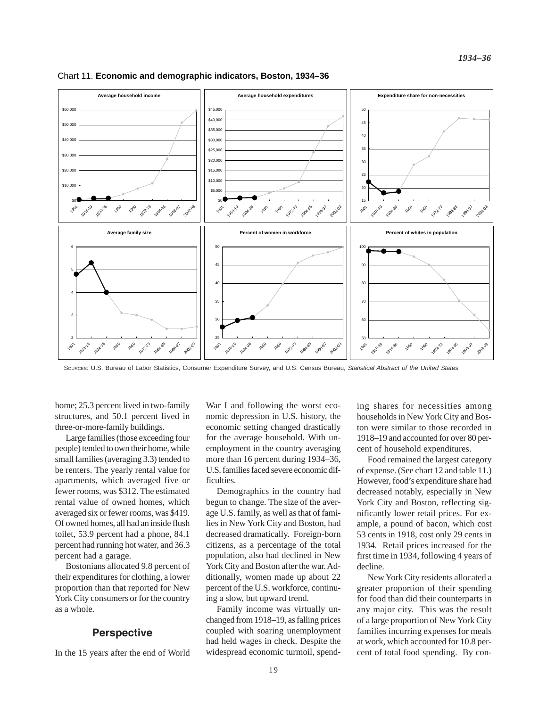

Chart 11. **Economic and demographic indicators, Boston, 1934–36**

SOURCES: U.S. Bureau of Labor Statistics, Consumer Expenditure Survey, and U.S. Census Bureau, *Statistical Abstract of the United States*

home; 25.3 percent lived in two-family structures, and 50.1 percent lived in three-or-more-family buildings.

Large families (those exceeding four people) tended to own their home, while small families (averaging 3.3) tended to be renters. The yearly rental value for apartments, which averaged five or fewer rooms, was \$312. The estimated rental value of owned homes, which averaged six or fewer rooms, was \$419. Of owned homes, all had an inside flush toilet, 53.9 percent had a phone, 84.1 percent had running hot water, and 36.3 percent had a garage.

Bostonians allocated 9.8 percent of their expenditures for clothing, a lower proportion than that reported for New York City consumers or for the country as a whole.

### **Perspective**

In the 15 years after the end of World

War I and following the worst economic depression in U.S. history, the economic setting changed drastically for the average household. With unemployment in the country averaging more than 16 percent during 1934–36, U.S. families faced severe economic difficulties.

Demographics in the country had begun to change. The size of the average U.S. family, as well as that of families in New York City and Boston, had decreased dramatically. Foreign-born citizens, as a percentage of the total population, also had declined in New York City and Boston after the war. Additionally, women made up about 22 percent of the U.S. workforce, continuing a slow, but upward trend.

Family income was virtually unchanged from 1918–19, as falling prices coupled with soaring unemployment had held wages in check. Despite the widespread economic turmoil, spending shares for necessities among households in New York City and Boston were similar to those recorded in 1918–19 and accounted for over 80 percent of household expenditures.

Food remained the largest category of expense. (See chart 12 and table 11.) However, food's expenditure share had decreased notably, especially in New York City and Boston, reflecting significantly lower retail prices. For example, a pound of bacon, which cost 53 cents in 1918, cost only 29 cents in 1934. Retail prices increased for the first time in 1934, following 4 years of decline.

New York City residents allocated a greater proportion of their spending for food than did their counterparts in any major city. This was the result of a large proportion of New York City families incurring expenses for meals at work, which accounted for 10.8 percent of total food spending. By con-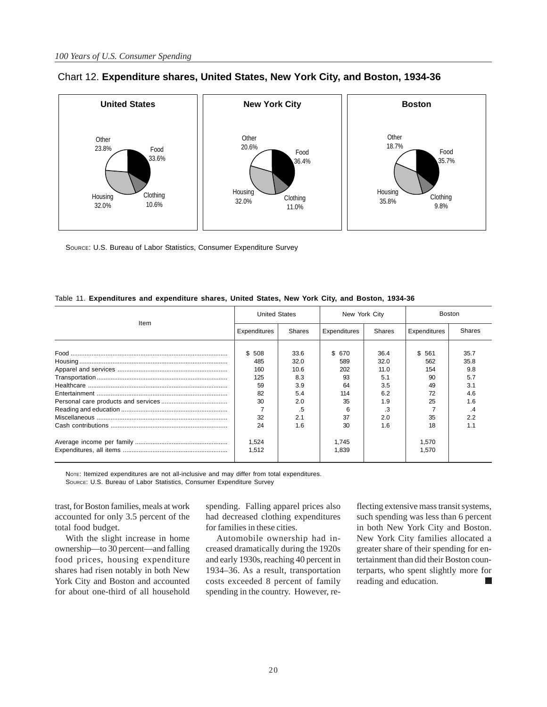

# Chart 12. **Expenditure shares, United States, New York City, and Boston, 1934-36**

SOURCE: U.S. Bureau of Labor Statistics, Consumer Expenditure Survey

|      | <b>United States</b> |        | New York City |        | <b>Boston</b> |        |  |
|------|----------------------|--------|---------------|--------|---------------|--------|--|
| Item | Expenditures         | Shares | Expenditures  | Shares | Expenditures  | Shares |  |
|      |                      |        |               |        |               |        |  |
|      | \$508                | 33.6   | \$ 670        | 36.4   | \$561         | 35.7   |  |
|      | 485                  | 32.0   | 589           | 32.0   | 562           | 35.8   |  |
|      | 160                  | 10.6   | 202           | 11.0   | 154           | 9.8    |  |
|      | 125                  | 8.3    | 93            | 5.1    | 90            | 5.7    |  |
|      | 59                   | 3.9    | 64            | 3.5    | 49            | 3.1    |  |
|      | 82                   | 5.4    | 114           | 6.2    | 72            | 4.6    |  |
|      | 30                   | 2.0    | 35            | 1.9    | 25            | 1.6    |  |
|      |                      | .5     | 6             | .3     |               | .4     |  |
|      | 32                   | 2.1    | 37            | 2.0    | 35            | 2.2    |  |
|      | 24                   | 16     | 30            | 1.6    | 18            | 1.1    |  |
|      | 1.524                |        | 1.745         |        | 1.570         |        |  |
|      | 1,512                |        | 1,839         |        | 1,570         |        |  |
|      |                      |        |               |        |               |        |  |

| Table 11. Expenditures and expenditure shares, United States, New York City, and Boston, 1934-36 |  |  |  |  |  |  |
|--------------------------------------------------------------------------------------------------|--|--|--|--|--|--|
|                                                                                                  |  |  |  |  |  |  |

NOTE: Itemized expenditures are not all-inclusive and may differ from total expenditures.

SOURCE: U.S. Bureau of Labor Statistics, Consumer Expenditure Survey

trast, for Boston families, meals at work accounted for only 3.5 percent of the total food budget.

With the slight increase in home ownership—to 30 percent—and falling food prices, housing expenditure shares had risen notably in both New York City and Boston and accounted for about one-third of all household

spending. Falling apparel prices also had decreased clothing expenditures for families in these cities.

Automobile ownership had increased dramatically during the 1920s and early 1930s, reaching 40 percent in 1934–36. As a result, transportation costs exceeded 8 percent of family spending in the country. However, reflecting extensive mass transit systems, such spending was less than 6 percent in both New York City and Boston. New York City families allocated a greater share of their spending for entertainment than did their Boston counterparts, who spent slightly more for reading and education. ٦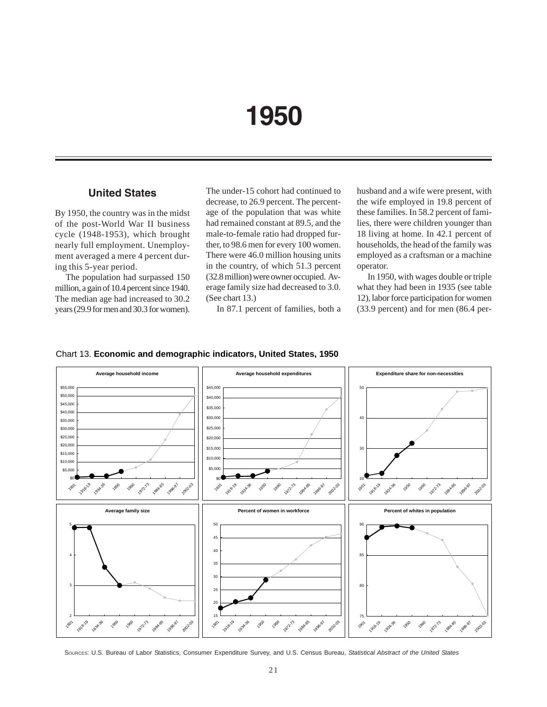# **1950**

## **United States**

By 1950, the country was in the midst of the post-World War II business cycle (1948-1953), which brought nearly full employment. Unemployment averaged a mere 4 percent during this 5-year period.

The population had surpassed 150 million, a gain of 10.4 percent since 1940. The median age had increased to 30.2 years (29.9 for men and 30.3 for women). The under-15 cohort had continued to decrease, to 26.9 percent. The percentage of the population that was white had remained constant at 89.5, and the male-to-female ratio had dropped further, to 98.6 men for every 100 women. There were 46.0 million housing units in the country, of which 51.3 percent (32.8 million) were owner occupied. Average family size had decreased to 3.0. (See chart 13.)

In 87.1 percent of families, both a

husband and a wife were present, with the wife employed in 19.8 percent of these families. In 58.2 percent of families, there were children younger than 18 living at home. In 42.1 percent of households, the head of the family was employed as a craftsman or a machine operator.

In 1950, with wages double or triple what they had been in 1935 (see table 12), labor force participation for women (33.9 percent) and for men (86.4 per-



### Chart 13. **Economic and demographic indicators, United States, 1950**

SOURCES: U.S. Bureau of Labor Statistics, Consumer Expenditure Survey, and U.S. Census Bureau, *Statistical Abstract of the United States*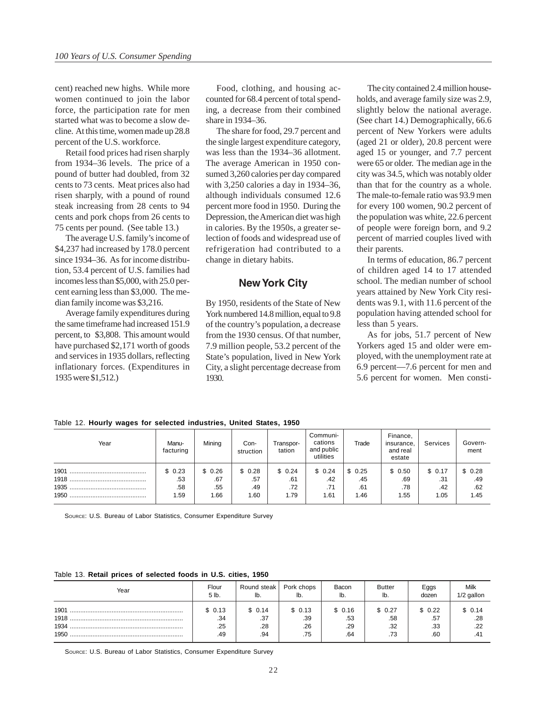cent) reached new highs. While more women continued to join the labor force, the participation rate for men started what was to become a slow decline. At this time, women made up 28.8 percent of the U.S. workforce.

Retail food prices had risen sharply from 1934–36 levels. The price of a pound of butter had doubled, from 32 cents to 73 cents. Meat prices also had risen sharply, with a pound of round steak increasing from 28 cents to 94 cents and pork chops from 26 cents to 75 cents per pound. (See table 13.)

The average U.S. family's income of \$4,237 had increased by 178.0 percent since 1934–36. As for income distribution, 53.4 percent of U.S. families had incomes less than \$5,000, with 25.0 percent earning less than \$3,000. The median family income was \$3,216.

Average family expenditures during the same timeframe had increased 151.9 percent, to \$3,808. This amount would have purchased \$2,171 worth of goods and services in 1935 dollars, reflecting inflationary forces. (Expenditures in 1935 were \$1,512.)

Food, clothing, and housing accounted for 68.4 percent of total spending, a decrease from their combined share in 1934–36.

The share for food, 29.7 percent and the single largest expenditure category, was less than the 1934–36 allotment. The average American in 1950 consumed 3,260 calories per day compared with 3,250 calories a day in 1934–36, although individuals consumed 12.6 percent more food in 1950. During the Depression, the American diet was high in calories. By the 1950s, a greater selection of foods and widespread use of refrigeration had contributed to a change in dietary habits.

### **New York City**

By 1950, residents of the State of New York numbered 14.8 million, equal to 9.8 of the country's population, a decrease from the 1930 census. Of that number, 7.9 million people, 53.2 percent of the State's population, lived in New York City, a slight percentage decrease from 1930.

The city contained 2.4 million households, and average family size was 2.9, slightly below the national average. (See chart 14.) Demographically, 66.6 percent of New Yorkers were adults (aged 21 or older), 20.8 percent were aged 15 or younger, and 7.7 percent were 65 or older. The median age in the city was 34.5, which was notably older than that for the country as a whole. The male-to-female ratio was 93.9 men for every 100 women, 90.2 percent of the population was white, 22.6 percent of people were foreign born, and 9.2 percent of married couples lived with their parents.

In terms of education, 86.7 percent of children aged 14 to 17 attended school. The median number of school years attained by New York City residents was 9.1, with 11.6 percent of the population having attended school for less than 5 years.

As for jobs, 51.7 percent of New Yorkers aged 15 and older were employed, with the unemployment rate at 6.9 percent—7.6 percent for men and 5.6 percent for women. Men consti-

| Year                 | Manu-<br>facturing          | Mining                       | Con-<br>struction            | Transpor-<br>tation          | Communi-<br>cations<br>and public<br>utilities | Trade                        | Finance,<br>insurance,<br>and real<br>estate | Services                     | Govern-<br>ment              |
|----------------------|-----------------------------|------------------------------|------------------------------|------------------------------|------------------------------------------------|------------------------------|----------------------------------------------|------------------------------|------------------------------|
| 1901<br>1935<br>1950 | \$0.23<br>.53<br>.58<br>.59 | \$0.26<br>.67<br>.55<br>1.66 | \$0.28<br>.57<br>.49<br>1.60 | \$0.24<br>.61<br>.72<br>1.79 | \$0.24<br>.42<br>.71<br>1.61                   | \$0.25<br>.45<br>.61<br>1.46 | \$0.50<br>.69<br>.78<br>1.55                 | \$0.17<br>.31<br>.42<br>1.05 | \$0.28<br>.49<br>.62<br>1.45 |

Table 12. **Hourly wages for selected industries, United States, 1950**

SOURCE: U.S. Bureau of Labor Statistics, Consumer Expenditure Survey

#### Table 13. **Retail prices of selected foods in U.S. cities, 1950**

| Year                         | Flour                       | Round steak                 | Pork chops                  | Bacon                       | <b>Butter</b>               | Eggs                        | <b>Milk</b>                 |
|------------------------------|-----------------------------|-----------------------------|-----------------------------|-----------------------------|-----------------------------|-----------------------------|-----------------------------|
|                              | 5 lb.                       | lb.                         | lb.                         | lb.                         | lb.                         | dozen                       | 1/2 gallon                  |
| 1901<br>1918<br>1934<br>1950 | \$0.13<br>.34<br>.25<br>.49 | \$0.14<br>.37<br>.28<br>.94 | \$0.13<br>.39<br>.26<br>.75 | \$0.16<br>.53<br>.29<br>.64 | \$0.27<br>.58<br>.32<br>.73 | \$0.22<br>.57<br>.33<br>.60 | \$ 0.14<br>.28<br>.22<br>4٬ |

SOURCE: U.S. Bureau of Labor Statistics, Consumer Expenditure Survey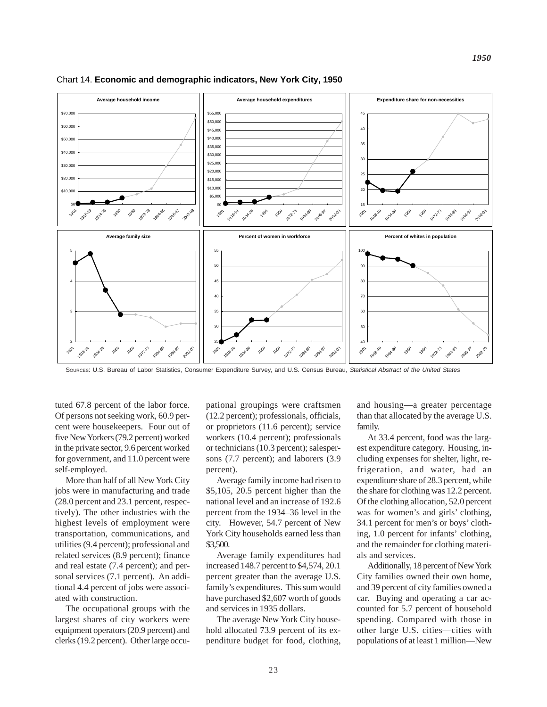

Chart 14. **Economic and demographic indicators, New York City, 1950**

SOURCES: U.S. Bureau of Labor Statistics, Consumer Expenditure Survey, and U.S. Census Bureau, *Statistical Abstract of the United States*

tuted 67.8 percent of the labor force. Of persons not seeking work, 60.9 percent were housekeepers. Four out of five New Yorkers (79.2 percent) worked in the private sector, 9.6 percent worked for government, and 11.0 percent were self-employed.

More than half of all New York City jobs were in manufacturing and trade (28.0 percent and 23.1 percent, respectively). The other industries with the highest levels of employment were transportation, communications, and utilities (9.4 percent); professional and related services (8.9 percent); finance and real estate (7.4 percent); and personal services (7.1 percent). An additional 4.4 percent of jobs were associated with construction.

The occupational groups with the largest shares of city workers were equipment operators (20.9 percent) and clerks (19.2 percent). Other large occupational groupings were craftsmen (12.2 percent); professionals, officials, or proprietors (11.6 percent); service workers (10.4 percent); professionals or technicians (10.3 percent); salespersons (7.7 percent); and laborers (3.9 percent).

Average family income had risen to \$5,105, 20.5 percent higher than the national level and an increase of 192.6 percent from the 1934–36 level in the city. However, 54.7 percent of New York City households earned less than \$3,500.

Average family expenditures had increased 148.7 percent to \$4,574, 20.1 percent greater than the average U.S. family's expenditures. This sum would have purchased \$2,607 worth of goods and services in 1935 dollars.

The average New York City household allocated 73.9 percent of its expenditure budget for food, clothing, and housing—a greater percentage than that allocated by the average U.S. family.

At 33.4 percent, food was the largest expenditure category. Housing, including expenses for shelter, light, refrigeration, and water, had an expenditure share of 28.3 percent, while the share for clothing was 12.2 percent. Of the clothing allocation, 52.0 percent was for women's and girls' clothing, 34.1 percent for men's or boys' clothing, 1.0 percent for infants' clothing, and the remainder for clothing materials and services.

Additionally, 18 percent of New York City families owned their own home, and 39 percent of city families owned a car. Buying and operating a car accounted for 5.7 percent of household spending. Compared with those in other large U.S. cities—cities with populations of at least 1 million—New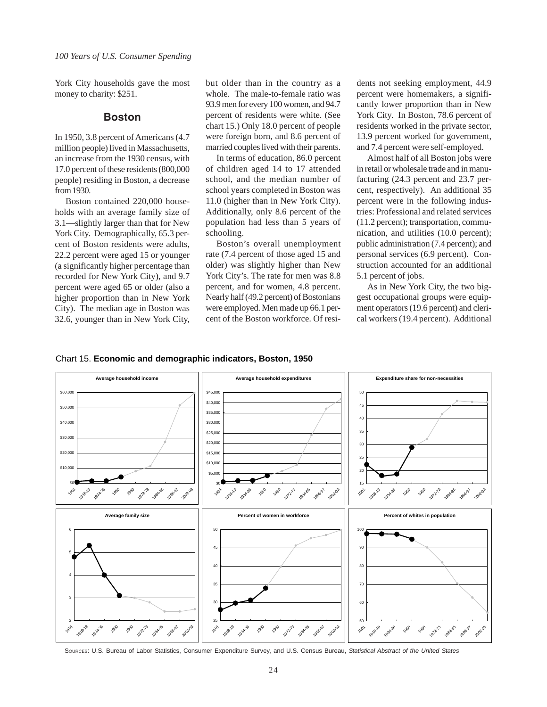York City households gave the most money to charity: \$251.

### **Boston**

In 1950, 3.8 percent of Americans (4.7 million people) lived in Massachusetts, an increase from the 1930 census, with 17.0 percent of these residents (800,000 people) residing in Boston, a decrease from 1930.

Boston contained 220,000 households with an average family size of 3.1—slightly larger than that for New York City. Demographically, 65.3 percent of Boston residents were adults, 22.2 percent were aged 15 or younger (a significantly higher percentage than recorded for New York City), and 9.7 percent were aged 65 or older (also a higher proportion than in New York City). The median age in Boston was 32.6, younger than in New York City,

but older than in the country as a whole. The male-to-female ratio was 93.9 men for every 100 women, and 94.7 percent of residents were white. (See chart 15.) Only 18.0 percent of people were foreign born, and 8.6 percent of married couples lived with their parents.

In terms of education, 86.0 percent of children aged 14 to 17 attended school, and the median number of school years completed in Boston was 11.0 (higher than in New York City). Additionally, only 8.6 percent of the population had less than 5 years of schooling.

Boston's overall unemployment rate (7.4 percent of those aged 15 and older) was slightly higher than New York City's. The rate for men was 8.8 percent, and for women, 4.8 percent. Nearly half (49.2 percent) of Bostonians were employed. Men made up 66.1 percent of the Boston workforce. Of residents not seeking employment, 44.9 percent were homemakers, a significantly lower proportion than in New York City. In Boston, 78.6 percent of residents worked in the private sector, 13.9 percent worked for government, and 7.4 percent were self-employed.

Almost half of all Boston jobs were in retail or wholesale trade and in manufacturing (24.3 percent and 23.7 percent, respectively). An additional 35 percent were in the following industries: Professional and related services (11.2 percent); transportation, communication, and utilities (10.0 percent); public administration (7.4 percent); and personal services (6.9 percent). Construction accounted for an additional 5.1 percent of jobs.

As in New York City, the two biggest occupational groups were equipment operators (19.6 percent) and clerical workers (19.4 percent). Additional





SOURCES: U.S. Bureau of Labor Statistics, Consumer Expenditure Survey, and U.S. Census Bureau, *Statistical Abstract of the United States*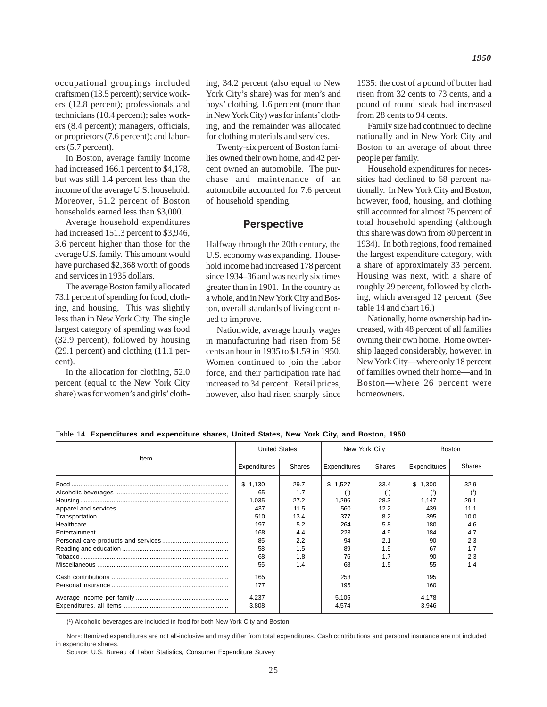occupational groupings included craftsmen (13.5 percent); service workers (12.8 percent); professionals and technicians (10.4 percent); sales workers (8.4 percent); managers, officials, or proprietors (7.6 percent); and laborers (5.7 percent).

In Boston, average family income had increased 166.1 percent to \$4,178, but was still 1.4 percent less than the income of the average U.S. household. Moreover, 51.2 percent of Boston households earned less than \$3,000.

Average household expenditures had increased 151.3 percent to \$3,946, 3.6 percent higher than those for the average U.S. family. This amount would have purchased \$2,368 worth of goods and services in 1935 dollars.

The average Boston family allocated 73.1 percent of spending for food, clothing, and housing. This was slightly less than in New York City. The single largest category of spending was food (32.9 percent), followed by housing (29.1 percent) and clothing (11.1 percent).

In the allocation for clothing, 52.0 percent (equal to the New York City share) was for women's and girls' clothing, 34.2 percent (also equal to New York City's share) was for men's and boys' clothing, 1.6 percent (more than in New York City) was for infants' clothing, and the remainder was allocated for clothing materials and services.

Twenty-six percent of Boston families owned their own home, and 42 percent owned an automobile. The purchase and maintenance of an automobile accounted for 7.6 percent of household spending.

### **Perspective**

Halfway through the 20th century, the U.S. economy was expanding. Household income had increased 178 percent since 1934–36 and was nearly six times greater than in 1901. In the country as a whole, and in New York City and Boston, overall standards of living continued to improve.

Nationwide, average hourly wages in manufacturing had risen from 58 cents an hour in 1935 to \$1.59 in 1950. Women continued to join the labor force, and their participation rate had increased to 34 percent. Retail prices, however, also had risen sharply since 1935: the cost of a pound of butter had risen from 32 cents to 73 cents, and a pound of round steak had increased from 28 cents to 94 cents.

Family size had continued to decline nationally and in New York City and Boston to an average of about three people per family.

Household expenditures for necessities had declined to 68 percent nationally. In New York City and Boston, however, food, housing, and clothing still accounted for almost 75 percent of total household spending (although this share was down from 80 percent in 1934). In both regions, food remained the largest expenditure category, with a share of approximately 33 percent. Housing was next, with a share of roughly 29 percent, followed by clothing, which averaged 12 percent. (See table 14 and chart 16.)

Nationally, home ownership had increased, with 48 percent of all families owning their own home. Home ownership lagged considerably, however, in New York City—where only 18 percent of families owned their home—and in Boston—where 26 percent were homeowners.

Table 14. **Expenditures and expenditure shares, United States, New York City, and Boston, 1950**

|      | <b>United States</b> |        | New York City  |               | Boston         |               |  |
|------|----------------------|--------|----------------|---------------|----------------|---------------|--|
| Item | Expenditures         | Shares | Expenditures   | <b>Shares</b> | Expenditures   | <b>Shares</b> |  |
|      | \$1.130              | 29.7   | \$1.527        | 33.4          | \$1,300        | 32.9          |  |
|      | 65                   | 17     |                |               |                |               |  |
|      | 1.035                | 27.2   | 1,296          | 28.3          | 1.147          | 29.1          |  |
|      | 437                  | 11.5   | 560            | 12.2          | 439            | 11.1          |  |
|      | 510                  | 13.4   | 377            | 8.2           | 395            | 10.0          |  |
|      | 197                  | 5.2    | 264            | 5.8           | 180            | 4.6           |  |
|      | 168                  | 4.4    | 223            | 4.9           | 184            | 4.7           |  |
|      | 85                   | 2.2    | 94             | 2.1           | 90             | 2.3           |  |
|      | 58                   | 1.5    | 89             | 1.9           | 67             | 1.7           |  |
|      | 68                   | 1.8    | 76             | 1.7           | 90             | 2.3           |  |
|      | 55                   | 1.4    | 68             | 1.5           | 55             | 1.4           |  |
|      | 165                  |        | 253            |               | 195            |               |  |
|      | 177                  |        | 195            |               | 160            |               |  |
|      | 4,237<br>3,808       |        | 5,105<br>4,574 |               | 4,178<br>3,946 |               |  |

(1) Alcoholic beverages are included in food for both New York City and Boston.

NOTE: Itemized expenditures are not all-inclusive and may differ from total expenditures. Cash contributions and personal insurance are not included in expenditure shares.

SOURCE: U.S. Bureau of Labor Statistics, Consumer Expenditure Survey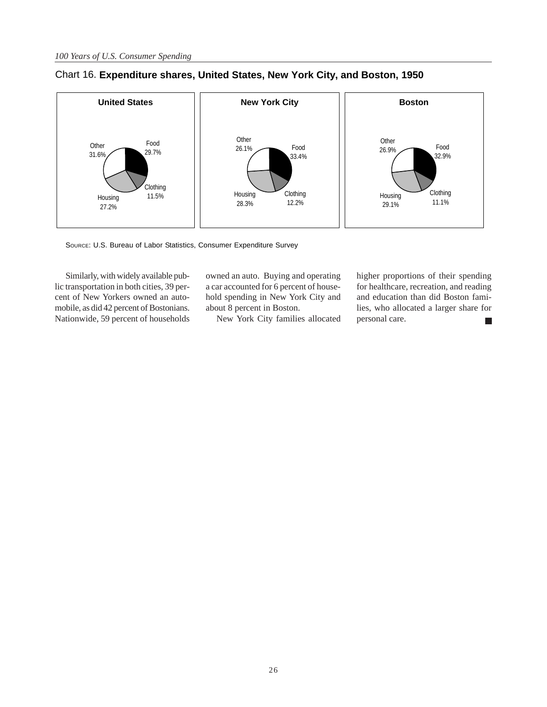

### Chart 16. **Expenditure shares, United States, New York City, and Boston, 1950**

SOURCE: U.S. Bureau of Labor Statistics, Consumer Expenditure Survey

Similarly, with widely available public transportation in both cities, 39 percent of New Yorkers owned an automobile, as did 42 percent of Bostonians. Nationwide, 59 percent of households

owned an auto. Buying and operating a car accounted for 6 percent of household spending in New York City and about 8 percent in Boston.

New York City families allocated

higher proportions of their spending for healthcare, recreation, and reading and education than did Boston families, who allocated a larger share for personal care.  $\Box$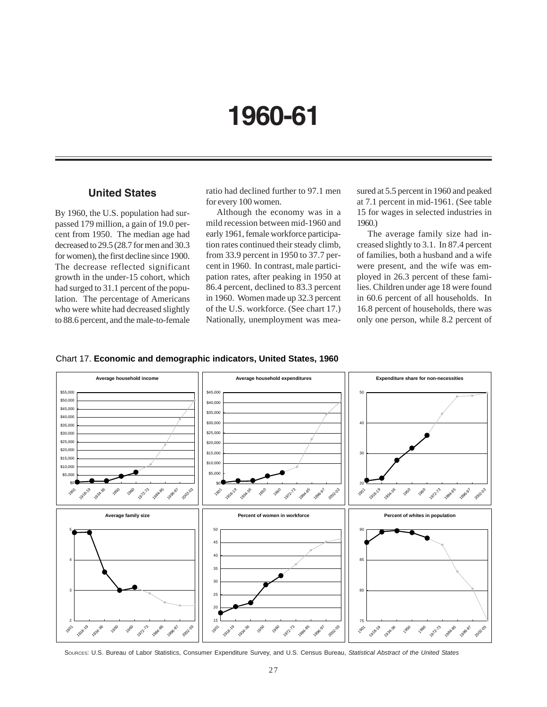# **1960-61**

# **United States**

By 1960, the U.S. population had surpassed 179 million, a gain of 19.0 percent from 1950. The median age had decreased to 29.5 (28.7 for men and 30.3 for women), the first decline since 1900. The decrease reflected significant growth in the under-15 cohort, which had surged to 31.1 percent of the population. The percentage of Americans who were white had decreased slightly to 88.6 percent, and the male-to-female ratio had declined further to 97.1 men for every 100 women.

Although the economy was in a mild recession between mid-1960 and early 1961, female workforce participation rates continued their steady climb, from 33.9 percent in 1950 to 37.7 percent in 1960. In contrast, male participation rates, after peaking in 1950 at 86.4 percent, declined to 83.3 percent in 1960. Women made up 32.3 percent of the U.S. workforce. (See chart 17.) Nationally, unemployment was measured at 5.5 percent in 1960 and peaked at 7.1 percent in mid-1961. (See table 15 for wages in selected industries in 1960.)

The average family size had increased slightly to 3.1. In 87.4 percent of families, both a husband and a wife were present, and the wife was employed in 26.3 percent of these families. Children under age 18 were found in 60.6 percent of all households. In 16.8 percent of households, there was only one person, while 8.2 percent of





SOURCES: U.S. Bureau of Labor Statistics, Consumer Expenditure Survey, and U.S. Census Bureau, *Statistical Abstract of the United States*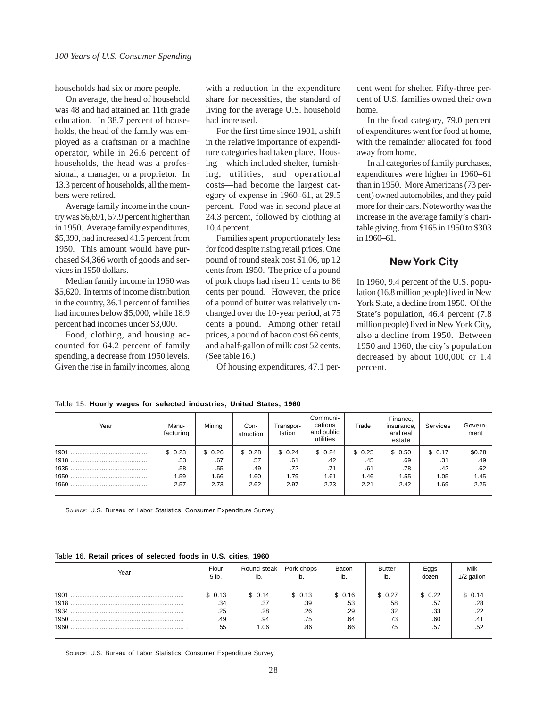households had six or more people.

On average, the head of household was 48 and had attained an 11th grade education. In 38.7 percent of households, the head of the family was employed as a craftsman or a machine operator, while in 26.6 percent of households, the head was a professional, a manager, or a proprietor. In 13.3 percent of households, all the members were retired.

Average family income in the country was \$6,691, 57.9 percent higher than in 1950. Average family expenditures, \$5,390, had increased 41.5 percent from 1950. This amount would have purchased \$4,366 worth of goods and services in 1950 dollars.

Median family income in 1960 was \$5,620. In terms of income distribution in the country, 36.1 percent of families had incomes below \$5,000, while 18.9 percent had incomes under \$3,000.

Food, clothing, and housing accounted for 64.2 percent of family spending, a decrease from 1950 levels. Given the rise in family incomes, along with a reduction in the expenditure share for necessities, the standard of living for the average U.S. household had increased.

For the first time since 1901, a shift in the relative importance of expenditure categories had taken place. Housing—which included shelter, furnishing, utilities, and operational costs—had become the largest category of expense in 1960–61, at 29.5 percent. Food was in second place at 24.3 percent, followed by clothing at 10.4 percent.

Families spent proportionately less for food despite rising retail prices. One pound of round steak cost \$1.06, up 12 cents from 1950. The price of a pound of pork chops had risen 11 cents to 86 cents per pound. However, the price of a pound of butter was relatively unchanged over the 10-year period, at 75 cents a pound. Among other retail prices, a pound of bacon cost 66 cents, and a half-gallon of milk cost 52 cents. (See table 16.)

Of housing expenditures, 47.1 per-

cent went for shelter. Fifty-three percent of U.S. families owned their own home.

In the food category, 79.0 percent of expenditures went for food at home, with the remainder allocated for food away from home.

In all categories of family purchases, expenditures were higher in 1960–61 than in 1950. More Americans (73 percent) owned automobiles, and they paid more for their cars. Noteworthy was the increase in the average family's charitable giving, from \$165 in 1950 to \$303 in 1960–61.

### **New York City**

In 1960, 9.4 percent of the U.S. population (16.8 million people) lived in New York State, a decline from 1950. Of the State's population, 46.4 percent (7.8 million people) lived in New York City, also a decline from 1950. Between 1950 and 1960, the city's population decreased by about 100,000 or 1.4 percent.

> Government

| Year | Manu-<br>facturing | Mining | Con-<br>struction | Transpor-<br>tation | Communi-<br>cations<br>and public<br>utilities | Trade  | Finance,<br>insurance,<br>and real<br>estate | Services | Govern<br>ment |
|------|--------------------|--------|-------------------|---------------------|------------------------------------------------|--------|----------------------------------------------|----------|----------------|
|      | \$0.23             | \$0.26 | \$0.28            | \$0.24              | \$0.24                                         | \$0.25 | \$0.50                                       | \$0.17   | \$0.28         |
|      | .53                | .67    | .57               | .61                 | .42                                            | .45    | .69                                          | .31      | .49            |
|      | .58                | .55    | .49               | .72                 | .71                                            | .61    | .78                                          | .42      | .62            |
|      | 1.59               | 1.66   | 1.60              | 1.79                | 1.61                                           | 1.46   | 1.55                                         | 1.05     | 1.45           |
|      | 2.57               | 2.73   | 2.62              | 2.97                | 2.73                                           | 2.21   | 2.42                                         | 1.69     | 2.25           |

Table 15. **Hourly wages for selected industries, United States, 1960**

SOURCE: U.S. Bureau of Labor Statistics, Consumer Expenditure Survey

#### Table 16. **Retail prices of selected foods in U.S. cities, 1960**

| Year | Flour  | Round steak | Pork chops | Bacon  | Butter | Eggs   | Milk       |
|------|--------|-------------|------------|--------|--------|--------|------------|
|      | 5 lb.  | lb.         | lb.        | lb.    | lb.    | dozen  | 1/2 gallon |
|      | \$0.13 | \$ 0.14     | \$0.13     | \$0.16 | \$0.27 | \$0.22 | \$0.14     |
|      | .34    | .37         | .39        | .53    | .58    | .57    | .28        |
|      | .25    | .28         | .26        | .29    | .32    | .33    | .22        |
|      | .49    | .94         | .75        | .64    | .73    | .60    | .41        |
|      | 55     | 1.06        | .86        | .66    | .75    | .57    | .52        |

SOURCE: U.S. Bureau of Labor Statistics, Consumer Expenditure Survey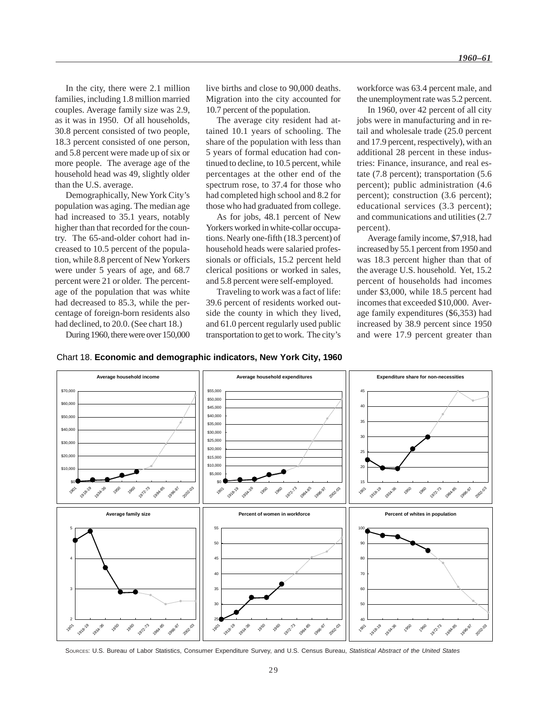In the city, there were 2.1 million families, including 1.8 million married couples. Average family size was 2.9, as it was in 1950. Of all households, 30.8 percent consisted of two people, 18.3 percent consisted of one person, and 5.8 percent were made up of six or more people. The average age of the household head was 49, slightly older than the U.S. average.

Demographically, New York City's population was aging. The median age had increased to 35.1 years, notably higher than that recorded for the country. The 65-and-older cohort had increased to 10.5 percent of the population, while 8.8 percent of New Yorkers were under 5 years of age, and 68.7 percent were 21 or older. The percentage of the population that was white had decreased to 85.3, while the percentage of foreign-born residents also had declined, to 20.0. (See chart 18.)

During 1960, there were over 150,000

live births and close to 90,000 deaths. Migration into the city accounted for 10.7 percent of the population.

The average city resident had attained 10.1 years of schooling. The share of the population with less than 5 years of formal education had continued to decline, to 10.5 percent, while percentages at the other end of the spectrum rose, to 37.4 for those who had completed high school and 8.2 for those who had graduated from college.

As for jobs, 48.1 percent of New Yorkers worked in white-collar occupations. Nearly one-fifth (18.3 percent) of household heads were salaried professionals or officials, 15.2 percent held clerical positions or worked in sales, and 5.8 percent were self-employed.

Traveling to work was a fact of life: 39.6 percent of residents worked outside the county in which they lived, and 61.0 percent regularly used public transportation to get to work. The city's workforce was 63.4 percent male, and the unemployment rate was 5.2 percent.

In 1960, over 42 percent of all city jobs were in manufacturing and in retail and wholesale trade (25.0 percent and 17.9 percent, respectively), with an additional 28 percent in these industries: Finance, insurance, and real estate (7.8 percent); transportation (5.6 percent); public administration (4.6 percent); construction (3.6 percent); educational services (3.3 percent); and communications and utilities (2.7 percent).

Average family income, \$7,918, had increased by 55.1 percent from 1950 and was 18.3 percent higher than that of the average U.S. household. Yet, 15.2 percent of households had incomes under \$3,000, while 18.5 percent had incomes that exceeded \$10,000. Average family expenditures (\$6,353) had increased by 38.9 percent since 1950 and were 17.9 percent greater than





SOURCES: U.S. Bureau of Labor Statistics, Consumer Expenditure Survey, and U.S. Census Bureau, *Statistical Abstract of the United States*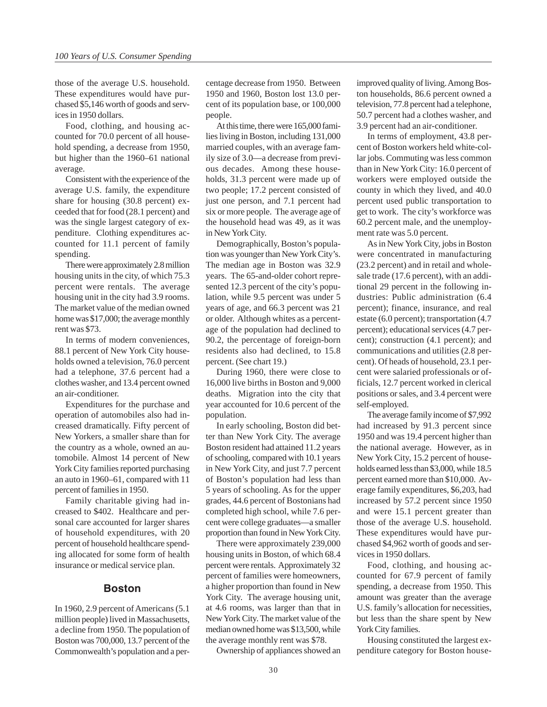those of the average U.S. household. These expenditures would have purchased \$5,146 worth of goods and services in 1950 dollars.

Food, clothing, and housing accounted for 70.0 percent of all household spending, a decrease from 1950, but higher than the 1960–61 national average.

Consistent with the experience of the average U.S. family, the expenditure share for housing (30.8 percent) exceeded that for food (28.1 percent) and was the single largest category of expenditure. Clothing expenditures accounted for 11.1 percent of family spending.

There were approximately 2.8 million housing units in the city, of which 75.3 percent were rentals. The average housing unit in the city had 3.9 rooms. The market value of the median owned home was \$17,000; the average monthly rent was \$73.

In terms of modern conveniences, 88.1 percent of New York City households owned a television, 76.0 percent had a telephone, 37.6 percent had a clothes washer, and 13.4 percent owned an air-conditioner.

Expenditures for the purchase and operation of automobiles also had increased dramatically. Fifty percent of New Yorkers, a smaller share than for the country as a whole, owned an automobile. Almost 14 percent of New York City families reported purchasing an auto in 1960–61, compared with 11 percent of families in 1950.

Family charitable giving had increased to \$402. Healthcare and personal care accounted for larger shares of household expenditures, with 20 percent of household healthcare spending allocated for some form of health insurance or medical service plan.

### **Boston**

In 1960, 2.9 percent of Americans (5.1 million people) lived in Massachusetts, a decline from 1950. The population of Boston was 700,000, 13.7 percent of the Commonwealth's population and a percentage decrease from 1950. Between 1950 and 1960, Boston lost 13.0 percent of its population base, or 100,000 people.

At this time, there were 165,000 families living in Boston, including 131,000 married couples, with an average family size of 3.0—a decrease from previous decades. Among these households, 31.3 percent were made up of two people; 17.2 percent consisted of just one person, and 7.1 percent had six or more people. The average age of the household head was 49, as it was in New York City.

Demographically, Boston's population was younger than New York City's. The median age in Boston was 32.9 years. The 65-and-older cohort represented 12.3 percent of the city's population, while 9.5 percent was under 5 years of age, and 66.3 percent was 21 or older. Although whites as a percentage of the population had declined to 90.2, the percentage of foreign-born residents also had declined, to 15.8 percent. (See chart 19.)

During 1960, there were close to 16,000 live births in Boston and 9,000 deaths. Migration into the city that year accounted for 10.6 percent of the population.

In early schooling, Boston did better than New York City. The average Boston resident had attained 11.2 years of schooling, compared with 10.1 years in New York City, and just 7.7 percent of Boston's population had less than 5 years of schooling. As for the upper grades, 44.6 percent of Bostonians had completed high school, while 7.6 percent were college graduates—a smaller proportion than found in New York City.

There were approximately 239,000 housing units in Boston, of which 68.4 percent were rentals. Approximately 32 percent of families were homeowners, a higher proportion than found in New York City. The average housing unit, at 4.6 rooms, was larger than that in New York City. The market value of the median owned home was \$13,500, while the average monthly rent was \$78.

Ownership of appliances showed an

improved quality of living. Among Boston households, 86.6 percent owned a television, 77.8 percent had a telephone, 50.7 percent had a clothes washer, and 3.9 percent had an air-conditioner.

In terms of employment, 43.8 percent of Boston workers held white-collar jobs. Commuting was less common than in New York City: 16.0 percent of workers were employed outside the county in which they lived, and 40.0 percent used public transportation to get to work. The city's workforce was 60.2 percent male, and the unemployment rate was 5.0 percent.

As in New York City, jobs in Boston were concentrated in manufacturing (23.2 percent) and in retail and wholesale trade (17.6 percent), with an additional 29 percent in the following industries: Public administration (6.4 percent); finance, insurance, and real estate (6.0 percent); transportation (4.7 percent); educational services (4.7 percent); construction (4.1 percent); and communications and utilities (2.8 percent). Of heads of household, 23.1 percent were salaried professionals or officials, 12.7 percent worked in clerical positions or sales, and 3.4 percent were self-employed.

The average family income of \$7,992 had increased by 91.3 percent since 1950 and was 19.4 percent higher than the national average. However, as in New York City, 15.2 percent of households earned less than \$3,000, while 18.5 percent earned more than \$10,000. Average family expenditures, \$6,203, had increased by 57.2 percent since 1950 and were 15.1 percent greater than those of the average U.S. household. These expenditures would have purchased \$4,962 worth of goods and services in 1950 dollars.

Food, clothing, and housing accounted for 67.9 percent of family spending, a decrease from 1950. This amount was greater than the average U.S. family's allocation for necessities, but less than the share spent by New York City families.

Housing constituted the largest expenditure category for Boston house-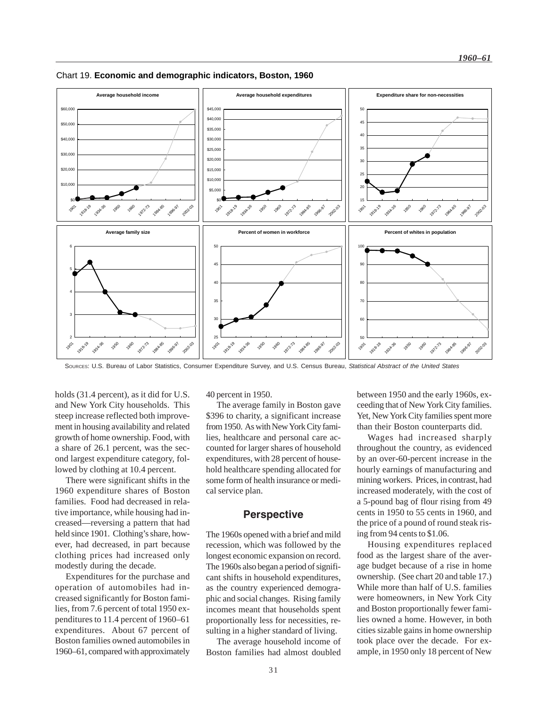

Chart 19. **Economic and demographic indicators, Boston, 1960**

SOURCES: U.S. Bureau of Labor Statistics, Consumer Expenditure Survey, and U.S. Census Bureau, *Statistical Abstract of the United States*

holds (31.4 percent), as it did for U.S. and New York City households. This steep increase reflected both improvement in housing availability and related growth of home ownership. Food, with a share of 26.1 percent, was the second largest expenditure category, followed by clothing at 10.4 percent.

There were significant shifts in the 1960 expenditure shares of Boston families. Food had decreased in relative importance, while housing had increased—reversing a pattern that had held since 1901. Clothing's share, however, had decreased, in part because clothing prices had increased only modestly during the decade.

Expenditures for the purchase and operation of automobiles had increased significantly for Boston families, from 7.6 percent of total 1950 expenditures to 11.4 percent of 1960–61 expenditures. About 67 percent of Boston families owned automobiles in 1960–61, compared with approximately 40 percent in 1950.

The average family in Boston gave \$396 to charity, a significant increase from 1950. As with New York City families, healthcare and personal care accounted for larger shares of household expenditures, with 28 percent of household healthcare spending allocated for some form of health insurance or medical service plan.

### **Perspective**

The 1960s opened with a brief and mild recession, which was followed by the longest economic expansion on record. The 1960s also began a period of significant shifts in household expenditures, as the country experienced demographic and social changes. Rising family incomes meant that households spent proportionally less for necessities, resulting in a higher standard of living.

The average household income of Boston families had almost doubled

between 1950 and the early 1960s, exceeding that of New York City families. Yet, New York City families spent more than their Boston counterparts did.

Wages had increased sharply throughout the country, as evidenced by an over-60-percent increase in the hourly earnings of manufacturing and mining workers. Prices, in contrast, had increased moderately, with the cost of a 5-pound bag of flour rising from 49 cents in 1950 to 55 cents in 1960, and the price of a pound of round steak rising from 94 cents to \$1.06.

Housing expenditures replaced food as the largest share of the average budget because of a rise in home ownership. (See chart 20 and table 17.) While more than half of U.S. families were homeowners, in New York City and Boston proportionally fewer families owned a home. However, in both cities sizable gains in home ownership took place over the decade. For example, in 1950 only 18 percent of New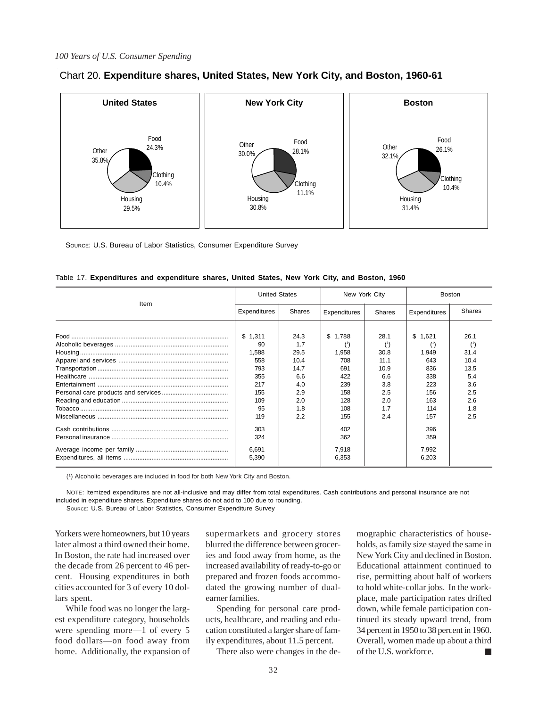

### Chart 20. **Expenditure shares, United States, New York City, and Boston, 1960-61**

SOURCE: U.S. Bureau of Labor Statistics, Consumer Expenditure Survey

| Item | <b>United States</b> |               | New York City |        | <b>Boston</b> |        |  |
|------|----------------------|---------------|---------------|--------|---------------|--------|--|
|      | <b>Expenditures</b>  | <b>Shares</b> | Expenditures  | Shares | Expenditures  | Shares |  |
|      |                      |               |               |        |               |        |  |
|      | \$1,311              | 24.3          | \$1,788       | 28.1   | \$1,621       | 26.1   |  |
|      | 90                   | 1.7           |               |        |               |        |  |
|      | 1,588                | 29.5          | 1,958         | 30.8   | 1,949         | 31.4   |  |
|      | 558                  | 10.4          | 708           | 11.1   | 643           | 10.4   |  |
|      | 793                  | 14.7          | 691           | 10.9   | 836           | 13.5   |  |
|      | 355                  | 6.6           | 422           | 6.6    | 338           | 5.4    |  |
|      | 217                  | 4.0           | 239           | 3.8    | 223           | 3.6    |  |
|      | 155                  | 2.9           | 158           | 2.5    | 156           | 2.5    |  |
|      | 109                  | 2.0           | 128           | 2.0    | 163           | 2.6    |  |
|      | 95                   | 1.8           | 108           | 1.7    | 114           | 1.8    |  |
|      | 119                  | 2.2           | 155           | 2.4    | 157           | 2.5    |  |
|      | 303                  |               | 402           |        | 396           |        |  |
|      | 324                  |               | 362           |        | 359           |        |  |
|      | 6,691                |               | 7,918         |        | 7,992         |        |  |
|      | 5,390                |               | 6,353         |        | 6,203         |        |  |

|  |  |  | Table 17. Expenditures and expenditure shares, United States, New York City, and Boston, 1960 |  |  |  |
|--|--|--|-----------------------------------------------------------------------------------------------|--|--|--|
|  |  |  |                                                                                               |  |  |  |

(1) Alcoholic beverages are included in food for both New York City and Boston.

NOTE: Itemized expenditures are not all-inclusive and may differ from total expenditures. Cash contributions and personal insurance are not included in expenditure shares. Expenditure shares do not add to 100 due to rounding.

SOURCE: U.S. Bureau of Labor Statistics, Consumer Expenditure Survey

Yorkers were homeowners, but 10 years later almost a third owned their home. In Boston, the rate had increased over the decade from 26 percent to 46 percent. Housing expenditures in both cities accounted for 3 of every 10 dollars spent.

While food was no longer the largest expenditure category, households were spending more—1 of every 5 food dollars—on food away from home. Additionally, the expansion of supermarkets and grocery stores blurred the difference between groceries and food away from home, as the increased availability of ready-to-go or prepared and frozen foods accommodated the growing number of dualearner families.

Spending for personal care products, healthcare, and reading and education constituted a larger share of family expenditures, about 11.5 percent.

There also were changes in the de-

mographic characteristics of households, as family size stayed the same in New York City and declined in Boston. Educational attainment continued to rise, permitting about half of workers to hold white-collar jobs. In the workplace, male participation rates drifted down, while female participation continued its steady upward trend, from 34 percent in 1950 to 38 percent in 1960. Overall, women made up about a third of the U.S. workforce.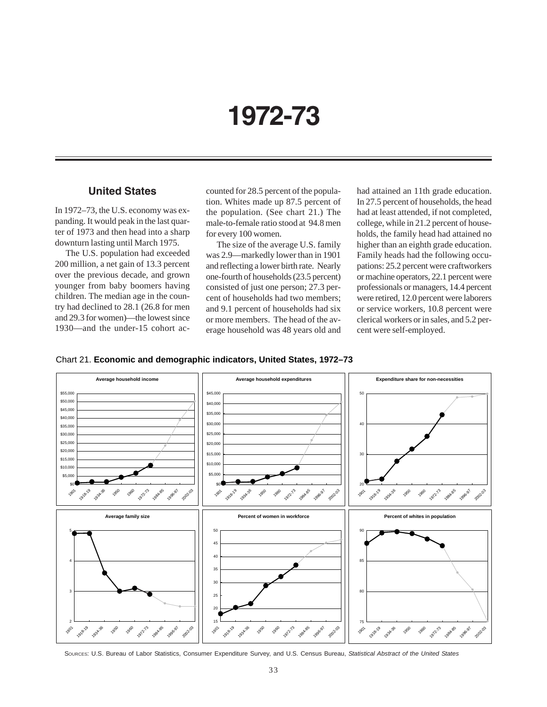# **1972-73**

## **United States**

In 1972–73, the U.S. economy was expanding. It would peak in the last quarter of 1973 and then head into a sharp downturn lasting until March 1975.

The U.S. population had exceeded 200 million, a net gain of 13.3 percent over the previous decade, and grown younger from baby boomers having children. The median age in the country had declined to 28.1 (26.8 for men and 29.3 for women)—the lowest since 1930—and the under-15 cohort accounted for 28.5 percent of the population. Whites made up 87.5 percent of the population. (See chart 21.) The male-to-female ratio stood at 94.8 men for every 100 women.

The size of the average U.S. family was 2.9—markedly lower than in 1901 and reflecting a lower birth rate. Nearly one-fourth of households (23.5 percent) consisted of just one person; 27.3 percent of households had two members; and 9.1 percent of households had six or more members. The head of the average household was 48 years old and had attained an 11th grade education. In 27.5 percent of households, the head had at least attended, if not completed, college, while in 21.2 percent of households, the family head had attained no higher than an eighth grade education. Family heads had the following occupations: 25.2 percent were craftworkers or machine operators, 22.1 percent were professionals or managers, 14.4 percent were retired, 12.0 percent were laborers or service workers, 10.8 percent were clerical workers or in sales, and 5.2 percent were self-employed.





SOURCES: U.S. Bureau of Labor Statistics, Consumer Expenditure Survey, and U.S. Census Bureau, *Statistical Abstract of the United States*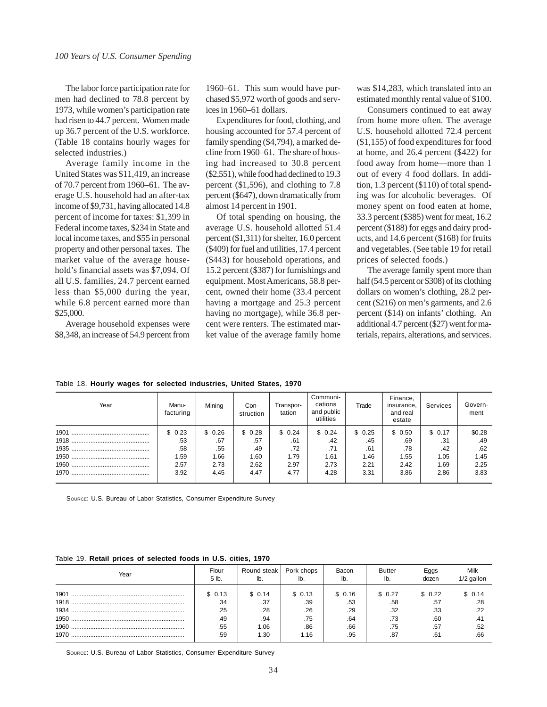The labor force participation rate for men had declined to 78.8 percent by 1973, while women's participation rate had risen to 44.7 percent. Women made up 36.7 percent of the U.S. workforce. (Table 18 contains hourly wages for selected industries.)

Average family income in the United States was \$11,419, an increase of 70.7 percent from 1960–61. The average U.S. household had an after-tax income of \$9,731, having allocated 14.8 percent of income for taxes: \$1,399 in Federal income taxes, \$234 in State and local income taxes, and \$55 in personal property and other personal taxes. The market value of the average household's financial assets was \$7,094. Of all U.S. families, 24.7 percent earned less than \$5,000 during the year, while 6.8 percent earned more than \$25,000.

Average household expenses were \$8,348, an increase of 54.9 percent from 1960–61. This sum would have purchased \$5,972 worth of goods and services in 1960–61 dollars.

Expenditures for food, clothing, and housing accounted for 57.4 percent of family spending (\$4,794), a marked decline from 1960–61. The share of housing had increased to 30.8 percent (\$2,551), while food had declined to 19.3 percent (\$1,596), and clothing to 7.8 percent (\$647), down dramatically from almost 14 percent in 1901.

Of total spending on housing, the average U.S. household allotted 51.4 percent (\$1,311) for shelter, 16.0 percent (\$409) for fuel and utilities, 17.4 percent (\$443) for household operations, and 15.2 percent (\$387) for furnishings and equipment. Most Americans, 58.8 percent, owned their home (33.4 percent having a mortgage and 25.3 percent having no mortgage), while 36.8 percent were renters. The estimated market value of the average family home was \$14,283, which translated into an estimated monthly rental value of \$100.

Consumers continued to eat away from home more often. The average U.S. household allotted 72.4 percent (\$1,155) of food expenditures for food at home, and 26.4 percent (\$422) for food away from home—more than 1 out of every 4 food dollars. In addition, 1.3 percent (\$110) of total spending was for alcoholic beverages. Of money spent on food eaten at home, 33.3 percent (\$385) went for meat, 16.2 percent (\$188) for eggs and dairy products, and 14.6 percent (\$168) for fruits and vegetables. (See table 19 for retail prices of selected foods.)

The average family spent more than half (54.5 percent or \$308) of its clothing dollars on women's clothing, 28.2 percent (\$216) on men's garments, and 2.6 percent (\$14) on infants' clothing. An additional 4.7 percent (\$27) went for materials, repairs, alterations, and services.

Table 18. **Hourly wages for selected industries, United States, 1970**

| Year | Manu-<br>facturing | Mining | Con-<br>struction | Transpor-<br>tation | Communi-<br>cations<br>and public<br>utilities | Trade  | Finance,<br>insurance.<br>and real<br>estate | Services | Govern-<br>ment |
|------|--------------------|--------|-------------------|---------------------|------------------------------------------------|--------|----------------------------------------------|----------|-----------------|
|      | \$0.23             | \$0.26 | \$0.28            | \$0.24              | \$0.24                                         | \$0.25 | \$0.50                                       | \$0.17   | \$0.28          |
|      | .53                | .67    | .57               | .61                 | .42                                            | .45    | .69                                          | .31      | .49             |
|      | .58                | .55    | .49               | .72                 | .71                                            | .61    | .78                                          | .42      | .62             |
|      | 1.59               | 1.66   | 1.60              | 1.79                | 1.61                                           | 1.46   | 1.55                                         | 1.05     | 1.45            |
|      | 2.57               | 2.73   | 2.62              | 2.97                | 2.73                                           | 2.21   | 2.42                                         | 1.69     | 2.25            |
| 1970 | 3.92               | 4.45   | 4.47              | 4.77                | 4.28                                           | 3.31   | 3.86                                         | 2.86     | 3.83            |

SOURCE: U.S. Bureau of Labor Statistics, Consumer Expenditure Survey

### Table 19. **Retail prices of selected foods in U.S. cities, 1970**

| Year                 | Flour                                     | Round steak                                 | Pork chops                                  | Bacon                                     | Butter                                     | Eggs                                       | Milk                                                |
|----------------------|-------------------------------------------|---------------------------------------------|---------------------------------------------|-------------------------------------------|--------------------------------------------|--------------------------------------------|-----------------------------------------------------|
|                      | 5 lb.                                     | lb.                                         | lb.                                         | lb.                                       | lb.                                        | dozen                                      | 1/2 gallon                                          |
| 1901<br>1960<br>1970 | \$0.13<br>.34<br>.25<br>.49<br>.55<br>.59 | \$0.14<br>.37<br>.28<br>.94<br>1.06<br>1.30 | \$ 0.13<br>.39<br>.26<br>.75<br>.86<br>1.16 | \$0.16<br>.53<br>.29<br>.64<br>.66<br>.95 | \$ 0.27<br>.58<br>.32<br>.73<br>.75<br>.87 | \$ 0.22<br>.57<br>.33<br>.60<br>.57<br>.61 | \$ 0.14<br>.28<br>.22<br>$.4^{\circ}$<br>.52<br>.66 |

SOURCE: U.S. Bureau of Labor Statistics, Consumer Expenditure Survey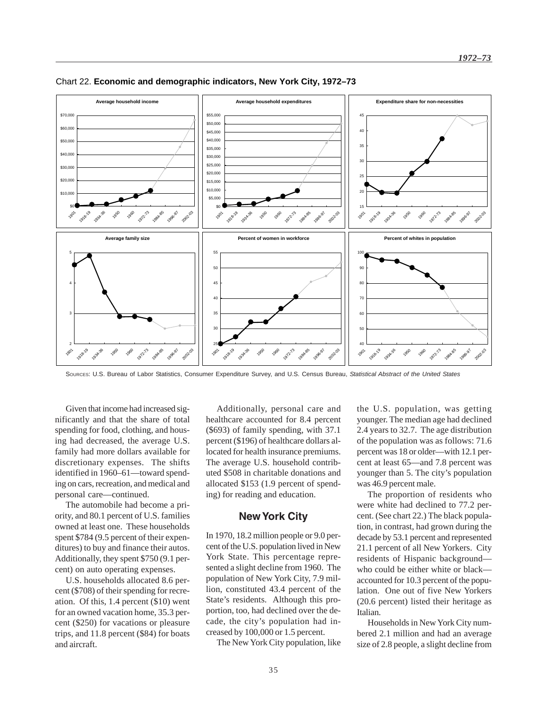

#### Chart 22. **Economic and demographic indicators, New York City, 1972–73**

SOURCES: U.S. Bureau of Labor Statistics, Consumer Expenditure Survey, and U.S. Census Bureau, *Statistical Abstract of the United States*

Given that income had increased significantly and that the share of total spending for food, clothing, and housing had decreased, the average U.S. family had more dollars available for discretionary expenses. The shifts identified in 1960–61—toward spending on cars, recreation, and medical and personal care—continued.

The automobile had become a priority, and 80.1 percent of U.S. families owned at least one. These households spent \$784 (9.5 percent of their expenditures) to buy and finance their autos. Additionally, they spent \$750 (9.1 percent) on auto operating expenses.

U.S. households allocated 8.6 percent (\$708) of their spending for recreation. Of this, 1.4 percent (\$10) went for an owned vacation home, 35.3 percent (\$250) for vacations or pleasure trips, and 11.8 percent (\$84) for boats and aircraft.

Additionally, personal care and healthcare accounted for 8.4 percent (\$693) of family spending, with 37.1 percent (\$196) of healthcare dollars allocated for health insurance premiums. The average U.S. household contributed \$508 in charitable donations and allocated \$153 (1.9 percent of spending) for reading and education.

### **New York City**

In 1970, 18.2 million people or 9.0 percent of the U.S. population lived in New York State. This percentage represented a slight decline from 1960. The population of New York City, 7.9 million, constituted 43.4 percent of the State's residents. Although this proportion, too, had declined over the decade, the city's population had increased by 100,000 or 1.5 percent.

The New York City population, like

the U.S. population, was getting younger. The median age had declined 2.4 years to 32.7. The age distribution of the population was as follows: 71.6 percent was 18 or older—with 12.1 percent at least 65—and 7.8 percent was younger than 5. The city's population was 46.9 percent male.

The proportion of residents who were white had declined to 77.2 percent. (See chart 22.) The black population, in contrast, had grown during the decade by 53.1 percent and represented 21.1 percent of all New Yorkers. City residents of Hispanic background who could be either white or black accounted for 10.3 percent of the population. One out of five New Yorkers (20.6 percent) listed their heritage as Italian.

Households in New York City numbered 2.1 million and had an average size of 2.8 people, a slight decline from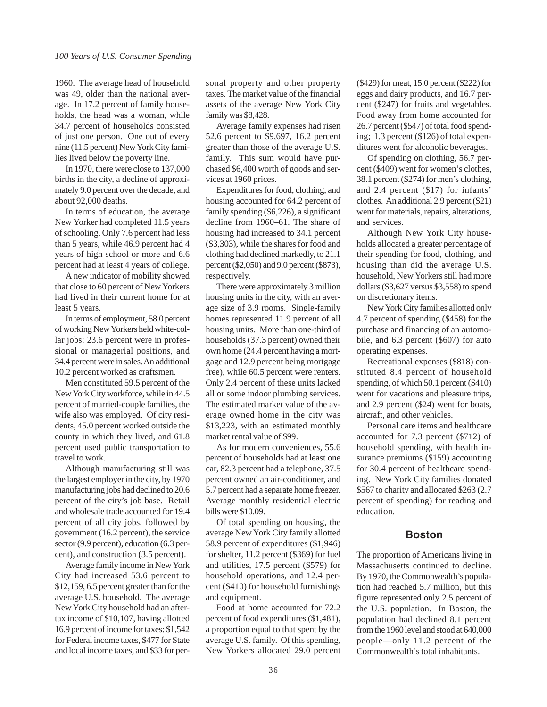1960. The average head of household was 49, older than the national average. In 17.2 percent of family households, the head was a woman, while 34.7 percent of households consisted of just one person. One out of every nine (11.5 percent) New York City families lived below the poverty line.

In 1970, there were close to 137,000 births in the city, a decline of approximately 9.0 percent over the decade, and about 92,000 deaths.

In terms of education, the average New Yorker had completed 11.5 years of schooling. Only 7.6 percent had less than 5 years, while 46.9 percent had 4 years of high school or more and 6.6 percent had at least 4 years of college.

A new indicator of mobility showed that close to 60 percent of New Yorkers had lived in their current home for at least 5 years.

In terms of employment, 58.0 percent of working New Yorkers held white-collar jobs: 23.6 percent were in professional or managerial positions, and 34.4 percent were in sales. An additional 10.2 percent worked as craftsmen.

Men constituted 59.5 percent of the New York City workforce, while in 44.5 percent of married-couple families, the wife also was employed. Of city residents, 45.0 percent worked outside the county in which they lived, and 61.8 percent used public transportation to travel to work.

Although manufacturing still was the largest employer in the city, by 1970 manufacturing jobs had declined to 20.6 percent of the city's job base. Retail and wholesale trade accounted for 19.4 percent of all city jobs, followed by government (16.2 percent), the service sector (9.9 percent), education (6.3 percent), and construction (3.5 percent).

Average family income in New York City had increased 53.6 percent to \$12,159, 6.5 percent greater than for the average U.S. household. The average New York City household had an aftertax income of \$10,107, having allotted 16.9 percent of income for taxes: \$1,542 for Federal income taxes, \$477 for State and local income taxes, and \$33 for personal property and other property taxes. The market value of the financial assets of the average New York City family was \$8,428.

Average family expenses had risen 52.6 percent to \$9,697, 16.2 percent greater than those of the average U.S. family. This sum would have purchased \$6,400 worth of goods and services at 1960 prices.

Expenditures for food, clothing, and housing accounted for 64.2 percent of family spending (\$6,226), a significant decline from 1960–61. The share of housing had increased to 34.1 percent (\$3,303), while the shares for food and clothing had declined markedly, to 21.1 percent (\$2,050) and 9.0 percent (\$873), respectively.

There were approximately 3 million housing units in the city, with an average size of 3.9 rooms. Single-family homes represented 11.9 percent of all housing units. More than one-third of households (37.3 percent) owned their own home (24.4 percent having a mortgage and 12.9 percent being mortgage free), while 60.5 percent were renters. Only 2.4 percent of these units lacked all or some indoor plumbing services. The estimated market value of the average owned home in the city was \$13,223, with an estimated monthly market rental value of \$99.

As for modern conveniences, 55.6 percent of households had at least one car, 82.3 percent had a telephone, 37.5 percent owned an air-conditioner, and 5.7 percent had a separate home freezer. Average monthly residential electric bills were \$10.09.

Of total spending on housing, the average New York City family allotted 58.9 percent of expenditures (\$1,946) for shelter, 11.2 percent (\$369) for fuel and utilities, 17.5 percent (\$579) for household operations, and 12.4 percent (\$410) for household furnishings and equipment.

Food at home accounted for 72.2 percent of food expenditures (\$1,481), a proportion equal to that spent by the average U.S. family. Of this spending, New Yorkers allocated 29.0 percent (\$429) for meat, 15.0 percent (\$222) for eggs and dairy products, and 16.7 percent (\$247) for fruits and vegetables. Food away from home accounted for 26.7 percent (\$547) of total food spending; 1.3 percent (\$126) of total expenditures went for alcoholic beverages.

Of spending on clothing, 56.7 percent (\$409) went for women's clothes, 38.1 percent (\$274) for men's clothing, and 2.4 percent (\$17) for infants' clothes. An additional 2.9 percent (\$21) went for materials, repairs, alterations, and services.

Although New York City households allocated a greater percentage of their spending for food, clothing, and housing than did the average U.S. household, New Yorkers still had more dollars (\$3,627 versus \$3,558) to spend on discretionary items.

New York City families allotted only 4.7 percent of spending (\$458) for the purchase and financing of an automobile, and 6.3 percent (\$607) for auto operating expenses.

Recreational expenses (\$818) constituted 8.4 percent of household spending, of which 50.1 percent (\$410) went for vacations and pleasure trips, and 2.9 percent (\$24) went for boats, aircraft, and other vehicles.

Personal care items and healthcare accounted for 7.3 percent (\$712) of household spending, with health insurance premiums (\$159) accounting for 30.4 percent of healthcare spending. New York City families donated \$567 to charity and allocated \$263 (2.7 percent of spending) for reading and education.

### **Boston**

The proportion of Americans living in Massachusetts continued to decline. By 1970, the Commonwealth's population had reached 5.7 million, but this figure represented only 2.5 percent of the U.S. population. In Boston, the population had declined 8.1 percent from the 1960 level and stood at 640,000 people—only 11.2 percent of the Commonwealth's total inhabitants.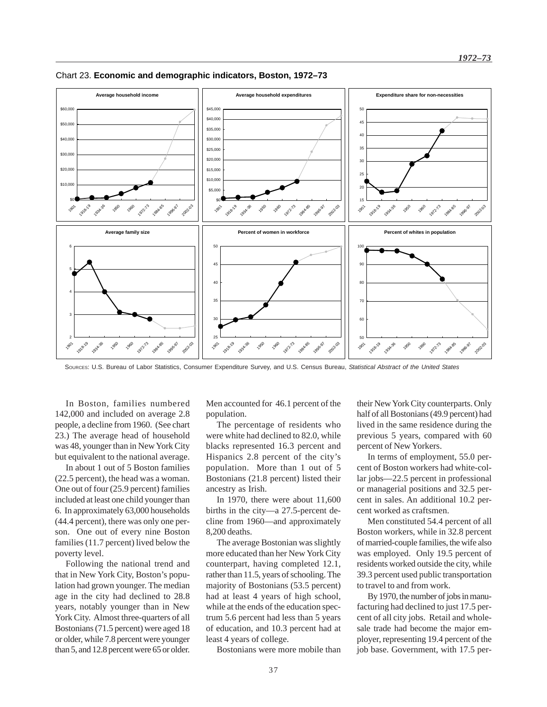

Chart 23. **Economic and demographic indicators, Boston, 1972–73**

SOURCES: U.S. Bureau of Labor Statistics, Consumer Expenditure Survey, and U.S. Census Bureau, *Statistical Abstract of the United States*

In Boston, families numbered 142,000 and included on average 2.8 people, a decline from 1960. (See chart 23.) The average head of household was 48, younger than in New York City but equivalent to the national average.

In about 1 out of 5 Boston families (22.5 percent), the head was a woman. One out of four (25.9 percent) families included at least one child younger than 6. In approximately 63,000 households (44.4 percent), there was only one person. One out of every nine Boston families (11.7 percent) lived below the poverty level.

Following the national trend and that in New York City, Boston's population had grown younger. The median age in the city had declined to 28.8 years, notably younger than in New York City. Almost three-quarters of all Bostonians (71.5 percent) were aged 18 or older, while 7.8 percent were younger than 5, and 12.8 percent were 65 or older.

Men accounted for 46.1 percent of the population.

The percentage of residents who were white had declined to 82.0, while blacks represented 16.3 percent and Hispanics 2.8 percent of the city's population. More than 1 out of 5 Bostonians (21.8 percent) listed their ancestry as Irish.

In 1970, there were about 11,600 births in the city—a 27.5-percent decline from 1960—and approximately 8,200 deaths.

The average Bostonian was slightly more educated than her New York City counterpart, having completed 12.1, rather than 11.5, years of schooling. The majority of Bostonians (53.5 percent) had at least 4 years of high school, while at the ends of the education spectrum 5.6 percent had less than 5 years of education, and 10.3 percent had at least 4 years of college.

their New York City counterparts. Only half of all Bostonians (49.9 percent) had lived in the same residence during the previous 5 years, compared with 60 percent of New Yorkers.

In terms of employment, 55.0 percent of Boston workers had white-collar jobs—22.5 percent in professional or managerial positions and 32.5 percent in sales. An additional 10.2 percent worked as craftsmen.

Men constituted 54.4 percent of all Boston workers, while in 32.8 percent of married-couple families, the wife also was employed. Only 19.5 percent of residents worked outside the city, while 39.3 percent used public transportation to travel to and from work.

By 1970, the number of jobs in manufacturing had declined to just 17.5 percent of all city jobs. Retail and wholesale trade had become the major employer, representing 19.4 percent of the job base. Government, with 17.5 per-

37

Bostonians were more mobile than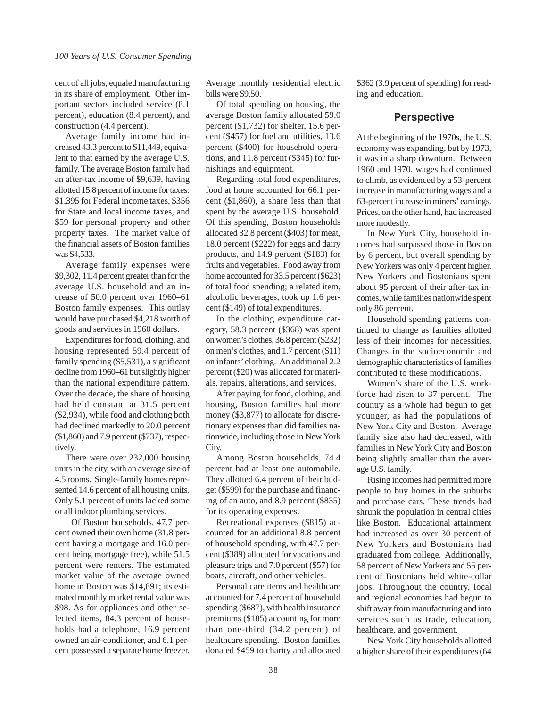cent of all jobs, equaled manufacturing in its share of employment. Other important sectors included service (8.1 percent), education (8.4 percent), and construction (4.4 percent).

Average family income had increased 43.3 percent to \$11,449, equivalent to that earned by the average U.S. family. The average Boston family had an after-tax income of \$9,639, having allotted 15.8 percent of income for taxes: \$1,395 for Federal income taxes, \$356 for State and local income taxes, and \$59 for personal property and other property taxes. The market value of the financial assets of Boston families was \$4,533.

Average family expenses were \$9,302, 11.4 percent greater than for the average U.S. household and an increase of 50.0 percent over 1960–61 Boston family expenses. This outlay would have purchased \$4,218 worth of goods and services in 1960 dollars.

Expenditures for food, clothing, and housing represented 59.4 percent of family spending (\$5,531), a significant decline from 1960–61 but slightly higher than the national expenditure pattern. Over the decade, the share of housing had held constant at 31.5 percent (\$2,934), while food and clothing both had declined markedly to 20.0 percent (\$1,860) and 7.9 percent (\$737), respectively.

There were over 232,000 housing units in the city, with an average size of 4.5 rooms. Single-family homes represented 14.6 percent of all housing units. Only 5.1 percent of units lacked some or all indoor plumbing services.

 Of Boston households, 47.7 percent owned their own home (31.8 percent having a mortgage and 16.0 percent being mortgage free), while 51.5 percent were renters. The estimated market value of the average owned home in Boston was \$14,891; its estimated monthly market rental value was \$98. As for appliances and other selected items, 84.3 percent of households had a telephone, 16.9 percent owned an air-conditioner, and 6.1 percent possessed a separate home freezer.

Average monthly residential electric bills were \$9.50.

Of total spending on housing, the average Boston family allocated 59.0 percent (\$1,732) for shelter, 15.6 percent (\$457) for fuel and utilities, 13.6 percent (\$400) for household operations, and 11.8 percent (\$345) for furnishings and equipment.

Regarding total food expenditures, food at home accounted for 66.1 percent (\$1,860), a share less than that spent by the average U.S. household. Of this spending, Boston households allocated 32.8 percent (\$403) for meat, 18.0 percent (\$222) for eggs and dairy products, and 14.9 percent (\$183) for fruits and vegetables. Food away from home accounted for 33.5 percent (\$623) of total food spending; a related item, alcoholic beverages, took up 1.6 percent (\$149) of total expenditures.

In the clothing expenditure category, 58.3 percent (\$368) was spent on women's clothes, 36.8 percent (\$232) on men's clothes, and 1.7 percent (\$11) on infants' clothing. An additional 2.2 percent (\$20) was allocated for materials, repairs, alterations, and services.

After paying for food, clothing, and housing, Boston families had more money (\$3,877) to allocate for discretionary expenses than did families nationwide, including those in New York City.

Among Boston households, 74.4 percent had at least one automobile. They allotted 6.4 percent of their budget (\$599) for the purchase and financing of an auto, and 8.9 percent (\$835) for its operating expenses.

Recreational expenses (\$815) accounted for an additional 8.8 percent of household spending, with 47.7 percent (\$389) allocated for vacations and pleasure trips and 7.0 percent (\$57) for boats, aircraft, and other vehicles.

Personal care items and healthcare accounted for 7.4 percent of household spending (\$687), with health insurance premiums (\$185) accounting for more than one-third (34.2 percent) of healthcare spending. Boston families donated \$459 to charity and allocated \$362 (3.9 percent of spending) for reading and education.

### **Perspective**

At the beginning of the 1970s, the U.S. economy was expanding, but by 1973, it was in a sharp downturn. Between 1960 and 1970, wages had continued to climb, as evidenced by a 53-percent increase in manufacturing wages and a 63-percent increase in miners' earnings. Prices, on the other hand, had increased more modestly.

In New York City, household incomes had surpassed those in Boston by 6 percent, but overall spending by New Yorkers was only 4 percent higher. New Yorkers and Bostonians spent about 95 percent of their after-tax incomes, while families nationwide spent only 86 percent.

Household spending patterns continued to change as families allotted less of their incomes for necessities. Changes in the socioeconomic and demographic characteristics of families contributed to these modifications.

Women's share of the U.S. workforce had risen to 37 percent. The country as a whole had begun to get younger, as had the populations of New York City and Boston. Average family size also had decreased, with families in New York City and Boston being slightly smaller than the average U.S. family.

Rising incomes had permitted more people to buy homes in the suburbs and purchase cars. These trends had shrunk the population in central cities like Boston. Educational attainment had increased as over 30 percent of New Yorkers and Bostonians had graduated from college. Additionally, 58 percent of New Yorkers and 55 percent of Bostonians held white-collar jobs. Throughout the country, local and regional economies had begun to shift away from manufacturing and into services such as trade, education, healthcare, and government.

New York City households allotted a higher share of their expenditures (64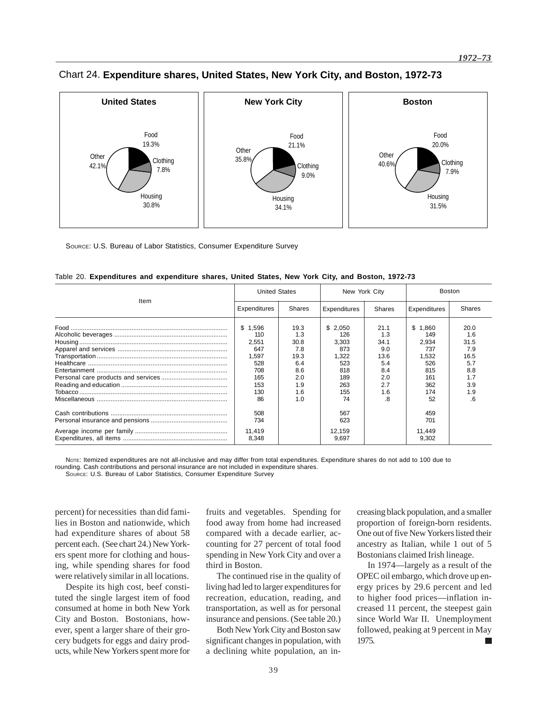

Chart 24. **Expenditure shares, United States, New York City, and Boston, 1972-73**

SOURCE: U.S. Bureau of Labor Statistics, Consumer Expenditure Survey

|      | <b>United States</b>                                                             |                                                                              | New York City                                                                    |                                                                             | <b>Boston</b>                                                                        |                                                                             |
|------|----------------------------------------------------------------------------------|------------------------------------------------------------------------------|----------------------------------------------------------------------------------|-----------------------------------------------------------------------------|--------------------------------------------------------------------------------------|-----------------------------------------------------------------------------|
| Item | Expenditures                                                                     | <b>Shares</b>                                                                | Expenditures                                                                     | Shares                                                                      | Expenditures                                                                         | <b>Shares</b>                                                               |
|      | \$1.596<br>110<br>2.551<br>647<br>1,597<br>528<br>708<br>165<br>153<br>130<br>86 | 19.3<br>1.3<br>30.8<br>7.8<br>19.3<br>6.4<br>8.6<br>2.0<br>1.9<br>1.6<br>1.0 | \$2,050<br>126<br>3,303<br>873<br>1,322<br>523<br>818<br>189<br>263<br>155<br>74 | 21.1<br>1.3<br>34.1<br>9.0<br>13.6<br>5.4<br>8.4<br>2.0<br>2.7<br>1.6<br>.8 | \$.<br>.860<br>149<br>2.934<br>737<br>1,532<br>526<br>815<br>161<br>362<br>174<br>52 | 20.0<br>1.6<br>31.5<br>7.9<br>16.5<br>5.7<br>8.8<br>1.7<br>3.9<br>1.9<br>.6 |
|      | 508<br>734                                                                       |                                                                              | 567<br>623                                                                       |                                                                             | 459<br>701                                                                           |                                                                             |
|      | 11.419<br>8,348                                                                  |                                                                              | 12,159<br>9,697                                                                  |                                                                             | 11,449<br>9,302                                                                      |                                                                             |

Table 20. **Expenditures and expenditure shares, United States, New York City, and Boston, 1972-73**

NOTE: Itemized expenditures are not all-inclusive and may differ from total expenditures. Expenditure shares do not add to 100 due to rounding. Cash contributions and personal insurance are not included in expenditure shares.

SOURCE: U.S. Bureau of Labor Statistics, Consumer Expenditure Survey

percent) for necessities than did families in Boston and nationwide, which had expenditure shares of about 58 percent each. (See chart 24.) New Yorkers spent more for clothing and housing, while spending shares for food were relatively similar in all locations.

Despite its high cost, beef constituted the single largest item of food consumed at home in both New York City and Boston. Bostonians, however, spent a larger share of their grocery budgets for eggs and dairy products, while New Yorkers spent more for

fruits and vegetables. Spending for food away from home had increased compared with a decade earlier, accounting for 27 percent of total food spending in New York City and over a third in Boston.

The continued rise in the quality of living had led to larger expenditures for recreation, education, reading, and transportation, as well as for personal insurance and pensions. (See table 20.)

Both New York City and Boston saw significant changes in population, with a declining white population, an increasing black population, and a smaller proportion of foreign-born residents. One out of five New Yorkers listed their ancestry as Italian, while 1 out of 5 Bostonians claimed Irish lineage.

In 1974—largely as a result of the OPEC oil embargo, which drove up energy prices by 29.6 percent and led to higher food prices—inflation increased 11 percent, the steepest gain since World War II. Unemployment followed, peaking at 9 percent in May 1975. ×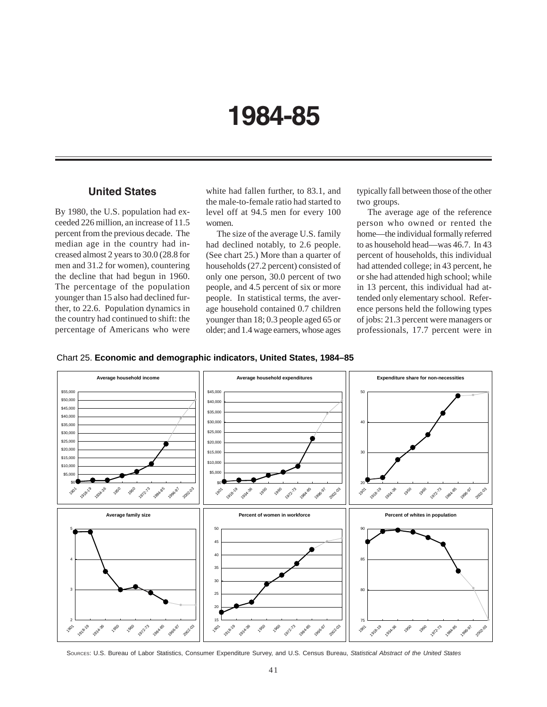# **1984-85**

# **United States**

By 1980, the U.S. population had exceeded 226 million, an increase of 11.5 percent from the previous decade. The median age in the country had increased almost 2 years to 30.0 (28.8 for men and 31.2 for women), countering the decline that had begun in 1960. The percentage of the population younger than 15 also had declined further, to 22.6. Population dynamics in the country had continued to shift: the percentage of Americans who were white had fallen further, to 83.1, and the male-to-female ratio had started to level off at 94.5 men for every 100 women.

The size of the average U.S. family had declined notably, to 2.6 people. (See chart 25.) More than a quarter of households (27.2 percent) consisted of only one person, 30.0 percent of two people, and 4.5 percent of six or more people. In statistical terms, the average household contained 0.7 children younger than 18; 0.3 people aged 65 or older; and 1.4 wage earners, whose ages

typically fall between those of the other two groups.

The average age of the reference person who owned or rented the home—the individual formally referred to as household head—was 46.7. In 43 percent of households, this individual had attended college; in 43 percent, he or she had attended high school; while in 13 percent, this individual had attended only elementary school. Reference persons held the following types of jobs: 21.3 percent were managers or professionals, 17.7 percent were in





SOURCES: U.S. Bureau of Labor Statistics, Consumer Expenditure Survey, and U.S. Census Bureau, *Statistical Abstract of the United States*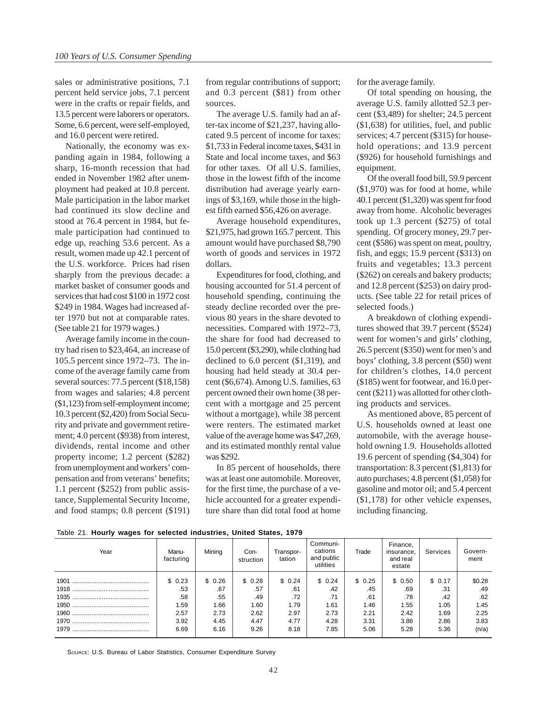sales or administrative positions, 7.1 percent held service jobs, 7.1 percent were in the crafts or repair fields, and 13.5 percent were laborers or operators. Some, 6.6 percent, were self-employed, and 16.0 percent were retired.

Nationally, the economy was expanding again in 1984, following a sharp, 16-month recession that had ended in November 1982 after unemployment had peaked at 10.8 percent. Male participation in the labor market had continued its slow decline and stood at 76.4 percent in 1984, but female participation had continued to edge up, reaching 53.6 percent. As a result, women made up 42.1 percent of the U.S. workforce. Prices had risen sharply from the previous decade: a market basket of consumer goods and services that had cost \$100 in 1972 cost \$249 in 1984. Wages had increased after 1970 but not at comparable rates. (See table 21 for 1979 wages.)

Average family income in the country had risen to \$23,464, an increase of 105.5 percent since 1972–73. The income of the average family came from several sources: 77.5 percent (\$18,158) from wages and salaries; 4.8 percent (\$1,123) from self-employment income; 10.3 percent (\$2,420) from Social Security and private and government retirement; 4.0 percent (\$938) from interest, dividends, rental income and other property income; 1.2 percent (\$282) from unemployment and workers' compensation and from veterans' benefits; 1.1 percent (\$252) from public assistance, Supplemental Security Income, and food stamps; 0.8 percent (\$191) from regular contributions of support; and 0.3 percent (\$81) from other sources.

The average U.S. family had an after-tax income of \$21,237, having allocated 9.5 percent of income for taxes: \$1,733 in Federal income taxes, \$431 in State and local income taxes, and \$63 for other taxes. Of all U.S. families, those in the lowest fifth of the income distribution had average yearly earnings of \$3,169, while those in the highest fifth earned \$56,426 on average.

Average household expenditures, \$21,975, had grown 165.7 percent. This amount would have purchased \$8,790 worth of goods and services in 1972 dollars.

Expenditures for food, clothing, and housing accounted for 51.4 percent of household spending, continuing the steady decline recorded over the previous 80 years in the share devoted to necessities. Compared with 1972–73, the share for food had decreased to 15.0 percent (\$3,290), while clothing had declined to 6.0 percent (\$1,319), and housing had held steady at 30.4 percent (\$6,674). Among U.S. families, 63 percent owned their own home (38 percent with a mortgage and 25 percent without a mortgage), while 38 percent were renters. The estimated market value of the average home was \$47,269, and its estimated monthly rental value was \$292.

In 85 percent of households, there was at least one automobile. Moreover, for the first time, the purchase of a vehicle accounted for a greater expenditure share than did total food at home

for the average family.

Of total spending on housing, the average U.S. family allotted 52.3 percent (\$3,489) for shelter; 24.5 percent (\$1,638) for utilities, fuel, and public services; 4.7 percent (\$315) for household operations; and 13.9 percent (\$926) for household furnishings and equipment.

Of the overall food bill, 59.9 percent (\$1,970) was for food at home, while 40.1 percent (\$1,320) was spent for food away from home. Alcoholic beverages took up 1.3 percent (\$275) of total spending. Of grocery money, 29.7 percent (\$586) was spent on meat, poultry, fish, and eggs; 15.9 percent (\$313) on fruits and vegetables; 13.3 percent (\$262) on cereals and bakery products; and 12.8 percent (\$253) on dairy products. (See table 22 for retail prices of selected foods.)

A breakdown of clothing expenditures showed that 39.7 percent (\$524) went for women's and girls' clothing, 26.5 percent (\$350) went for men's and boys' clothing, 3.8 percent (\$50) went for children's clothes, 14.0 percent (\$185) went for footwear, and 16.0 percent (\$211) was allotted for other clothing products and services.

As mentioned above, 85 percent of U.S. households owned at least one automobile, with the average household owning 1.9. Households allotted 19.6 percent of spending (\$4,304) for transportation: 8.3 percent (\$1,813) for auto purchases; 4.8 percent (\$1,058) for gasoline and motor oil; and 5.4 percent (\$1,178) for other vehicle expenses, including financing.

|  |  |  |  |  | Table 21. Hourly wages for selected industries, United States, 1979 |  |  |  |
|--|--|--|--|--|---------------------------------------------------------------------|--|--|--|
|--|--|--|--|--|---------------------------------------------------------------------|--|--|--|

| Year | Manu-<br>facturing | Mining | Con-<br>struction | Transpor-<br>tation | Communi-<br>cations<br>and public<br>utilities | Trade  | Finance,<br>insurance,<br>and real<br>estate | Services | Govern-<br>ment |
|------|--------------------|--------|-------------------|---------------------|------------------------------------------------|--------|----------------------------------------------|----------|-----------------|
|      | \$0.23             | \$0.26 | \$0.28            | \$0.24              | \$0.24                                         | \$0.25 | \$0.50                                       | \$0.17   | \$0.28          |
|      | .53                | .67    | .57               | .61                 | .42                                            | .45    | .69                                          | .31      | .49             |
|      | .58                | .55    | .49               | .72                 | .71                                            | .61    | .78                                          | .42      | .62             |
|      | 1.59               | 1.66   | 1.60              | 1.79                | 1.61                                           | 1.46   | 1.55                                         | 1.05     | 1.45            |
|      | 2.57               | 2.73   | 2.62              | 2.97                | 2.73                                           | 2.21   | 2.42                                         | 1.69     | 2.25            |
|      | 3.92               | 4.45   | 4.47              | 4.77                | 4.28                                           | 3.31   | 3.86                                         | 2.86     | 3.83            |
| 1979 | 6.69               | 6.16   | 9.26              | 8.18                | 7.85                                           | 5.06   | 5.28                                         | 5.36     | (n/a)           |

SOURCE: U.S. Bureau of Labor Statistics, Consumer Expenditure Survey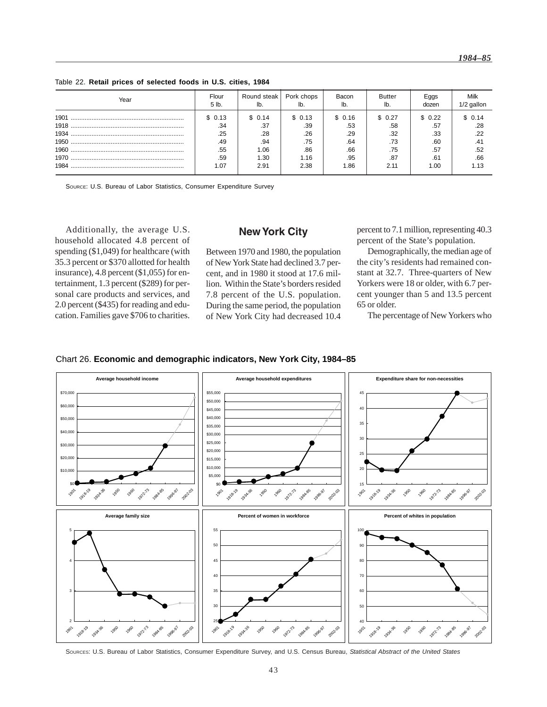| Year | Flour<br>5 lb. | Round steak | Pork chops | Bacon   | Butter | Eggs<br>dozen | Milk<br>1/2 gallon |
|------|----------------|-------------|------------|---------|--------|---------------|--------------------|
| 1901 | \$0.13         | \$ 0.14     | \$ 0.13    | \$ 0.16 | \$0.27 | \$ 0.22       | \$0.14             |
|      | .34            | .37         | .39        | .53     | .58    | .57           | .28                |
| 1934 | .25            | .28         | .26        | .29     | .32    | .33           | .22                |
|      | .49            | .94         | .75        | .64     | .73    | .60           | .41                |
|      | .55            | 1.06        | .86        | .66     | .75    | .57           | .52                |
|      | .59            | 1.30        | 1.16       | .95     | .87    | .61           | .66                |
| 1984 | l.O7           | 2.91        | 2.38       | 1.86    | 2.11   | 1.00          |                    |

Table 22. **Retail prices of selected foods in U.S. cities, 1984**

SOURCE: U.S. Bureau of Labor Statistics, Consumer Expenditure Survey

Additionally, the average U.S. household allocated 4.8 percent of spending (\$1,049) for healthcare (with 35.3 percent or \$370 allotted for health insurance), 4.8 percent (\$1,055) for entertainment, 1.3 percent (\$289) for personal care products and services, and 2.0 percent (\$435) for reading and education. Families gave \$706 to charities.

### **New York City**

Between 1970 and 1980, the population of New York State had declined 3.7 percent, and in 1980 it stood at 17.6 million. Within the State's borders resided 7.8 percent of the U.S. population. During the same period, the population of New York City had decreased 10.4 percent to 7.1 million, representing 40.3 percent of the State's population.

Demographically, the median age of the city's residents had remained constant at 32.7. Three-quarters of New Yorkers were 18 or older, with 6.7 percent younger than 5 and 13.5 percent 65 or older.

The percentage of New Yorkers who



### Chart 26. **Economic and demographic indicators, New York City, 1984–85**

SOURCES: U.S. Bureau of Labor Statistics, Consumer Expenditure Survey, and U.S. Census Bureau, *Statistical Abstract of the United States*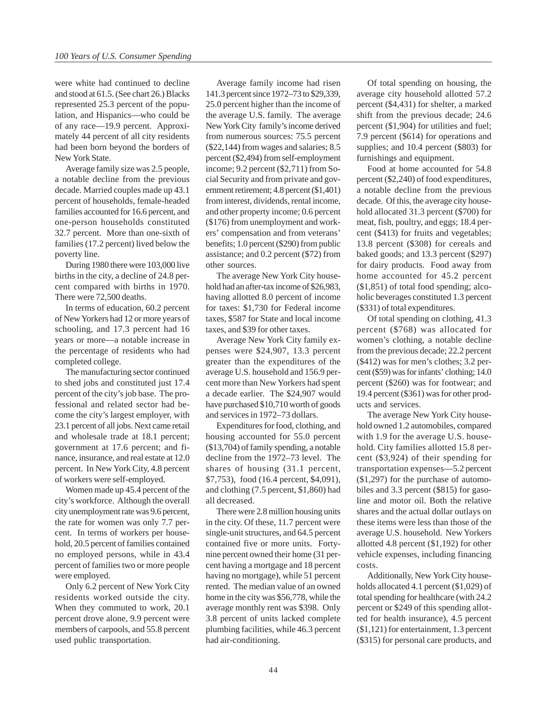were white had continued to decline and stood at 61.5. (See chart 26.) Blacks represented 25.3 percent of the population, and Hispanics—who could be of any race—19.9 percent. Approximately 44 percent of all city residents had been born beyond the borders of New York State.

Average family size was 2.5 people, a notable decline from the previous decade. Married couples made up 43.1 percent of households, female-headed families accounted for 16.6 percent, and one-person households constituted 32.7 percent. More than one-sixth of families (17.2 percent) lived below the poverty line.

During 1980 there were 103,000 live births in the city, a decline of 24.8 percent compared with births in 1970. There were 72,500 deaths.

In terms of education, 60.2 percent of New Yorkers had 12 or more years of schooling, and 17.3 percent had 16 years or more—a notable increase in the percentage of residents who had completed college.

The manufacturing sector continued to shed jobs and constituted just 17.4 percent of the city's job base. The professional and related sector had become the city's largest employer, with 23.1 percent of all jobs. Next came retail and wholesale trade at 18.1 percent; government at 17.6 percent; and finance, insurance, and real estate at 12.0 percent. In New York City, 4.8 percent of workers were self-employed.

Women made up 45.4 percent of the city's workforce. Although the overall city unemployment rate was 9.6 percent, the rate for women was only 7.7 percent. In terms of workers per household, 20.5 percent of families contained no employed persons, while in 43.4 percent of families two or more people were employed.

Only 6.2 percent of New York City residents worked outside the city. When they commuted to work, 20.1 percent drove alone, 9.9 percent were members of carpools, and 55.8 percent used public transportation.

Average family income had risen 141.3 percent since 1972–73 to \$29,339, 25.0 percent higher than the income of the average U.S. family. The average New York City family's income derived from numerous sources: 75.5 percent (\$22,144) from wages and salaries; 8.5 percent (\$2,494) from self-employment income; 9.2 percent (\$2,711) from Social Security and from private and government retirement; 4.8 percent (\$1,401) from interest, dividends, rental income, and other property income; 0.6 percent (\$176) from unemployment and workers' compensation and from veterans' benefits; 1.0 percent (\$290) from public assistance; and 0.2 percent (\$72) from other sources.

The average New York City household had an after-tax income of \$26,983, having allotted 8.0 percent of income for taxes: \$1,730 for Federal income taxes, \$587 for State and local income taxes, and \$39 for other taxes.

Average New York City family expenses were \$24,907, 13.3 percent greater than the expenditures of the average U.S. household and 156.9 percent more than New Yorkers had spent a decade earlier. The \$24,907 would have purchased \$10,710 worth of goods and services in 1972–73 dollars.

Expenditures for food, clothing, and housing accounted for 55.0 percent (\$13,704) of family spending, a notable decline from the 1972–73 level. The shares of housing (31.1 percent, \$7,753), food (16.4 percent, \$4,091), and clothing (7.5 percent, \$1,860) had all decreased.

There were 2.8 million housing units in the city. Of these, 11.7 percent were single-unit structures, and 64.5 percent contained five or more units. Fortynine percent owned their home (31 percent having a mortgage and 18 percent having no mortgage), while 51 percent rented. The median value of an owned home in the city was \$56,778, while the average monthly rent was \$398. Only 3.8 percent of units lacked complete plumbing facilities, while 46.3 percent had air-conditioning.

Of total spending on housing, the average city household allotted 57.2 percent (\$4,431) for shelter, a marked shift from the previous decade; 24.6 percent (\$1,904) for utilities and fuel; 7.9 percent (\$614) for operations and supplies; and 10.4 percent (\$803) for furnishings and equipment.

Food at home accounted for 54.8 percent (\$2,240) of food expenditures, a notable decline from the previous decade. Of this, the average city household allocated 31.3 percent (\$700) for meat, fish, poultry, and eggs; 18.4 percent (\$413) for fruits and vegetables; 13.8 percent (\$308) for cereals and baked goods; and 13.3 percent (\$297) for dairy products. Food away from home accounted for 45.2 percent (\$1,851) of total food spending; alcoholic beverages constituted 1.3 percent (\$331) of total expenditures.

Of total spending on clothing, 41.3 percent (\$768) was allocated for women's clothing, a notable decline from the previous decade; 22.2 percent (\$412) was for men's clothes; 3.2 percent (\$59) was for infants' clothing; 14.0 percent (\$260) was for footwear; and 19.4 percent (\$361) was for other products and services.

The average New York City household owned 1.2 automobiles, compared with 1.9 for the average U.S. household. City families allotted 15.8 percent (\$3,924) of their spending for transportation expenses—5.2 percent (\$1,297) for the purchase of automobiles and 3.3 percent (\$815) for gasoline and motor oil. Both the relative shares and the actual dollar outlays on these items were less than those of the average U.S. household. New Yorkers allotted 4.8 percent (\$1,192) for other vehicle expenses, including financing costs.

Additionally, New York City households allocated 4.1 percent (\$1,029) of total spending for healthcare (with 24.2 percent or \$249 of this spending allotted for health insurance), 4.5 percent (\$1,121) for entertainment, 1.3 percent (\$315) for personal care products, and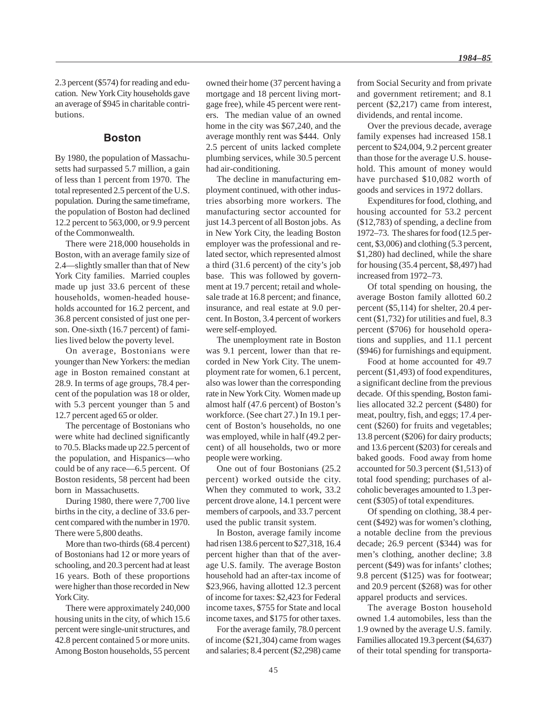2.3 percent (\$574) for reading and education. New York City households gave an average of \$945 in charitable contributions.

### **Boston**

By 1980, the population of Massachusetts had surpassed 5.7 million, a gain of less than 1 percent from 1970. The total represented 2.5 percent of the U.S. population. During the same timeframe, the population of Boston had declined 12.2 percent to 563,000, or 9.9 percent of the Commonwealth.

There were 218,000 households in Boston, with an average family size of 2.4—slightly smaller than that of New York City families. Married couples made up just 33.6 percent of these households, women-headed households accounted for 16.2 percent, and 36.8 percent consisted of just one person. One-sixth (16.7 percent) of families lived below the poverty level.

On average, Bostonians were younger than New Yorkers: the median age in Boston remained constant at 28.9. In terms of age groups, 78.4 percent of the population was 18 or older, with 5.3 percent younger than 5 and 12.7 percent aged 65 or older.

The percentage of Bostonians who were white had declined significantly to 70.5. Blacks made up 22.5 percent of the population, and Hispanics—who could be of any race—6.5 percent. Of Boston residents, 58 percent had been born in Massachusetts.

During 1980, there were 7,700 live births in the city, a decline of 33.6 percent compared with the number in 1970. There were 5,800 deaths.

More than two-thirds (68.4 percent) of Bostonians had 12 or more years of schooling, and 20.3 percent had at least 16 years. Both of these proportions were higher than those recorded in New York City.

There were approximately 240,000 housing units in the city, of which 15.6 percent were single-unit structures, and 42.8 percent contained 5 or more units. Among Boston households, 55 percent owned their home (37 percent having a mortgage and 18 percent living mortgage free), while 45 percent were renters. The median value of an owned home in the city was \$67,240, and the average monthly rent was \$444. Only 2.5 percent of units lacked complete plumbing services, while 30.5 percent had air-conditioning.

The decline in manufacturing employment continued, with other industries absorbing more workers. The manufacturing sector accounted for just 14.3 percent of all Boston jobs. As in New York City, the leading Boston employer was the professional and related sector, which represented almost a third (31.6 percent) of the city's job base. This was followed by government at 19.7 percent; retail and wholesale trade at 16.8 percent; and finance, insurance, and real estate at 9.0 percent. In Boston, 3.4 percent of workers were self-employed.

The unemployment rate in Boston was 9.1 percent, lower than that recorded in New York City. The unemployment rate for women, 6.1 percent, also was lower than the corresponding rate in New York City. Women made up almost half (47.6 percent) of Boston's workforce. (See chart 27.) In 19.1 percent of Boston's households, no one was employed, while in half (49.2 percent) of all households, two or more people were working.

One out of four Bostonians (25.2 percent) worked outside the city. When they commuted to work, 33.2 percent drove alone, 14.1 percent were members of carpools, and 33.7 percent used the public transit system.

In Boston, average family income had risen 138.6 percent to \$27,318, 16.4 percent higher than that of the average U.S. family. The average Boston household had an after-tax income of \$23,966, having allotted 12.3 percent of income for taxes: \$2,423 for Federal income taxes, \$755 for State and local income taxes, and \$175 for other taxes.

For the average family, 78.0 percent of income (\$21,304) came from wages and salaries; 8.4 percent (\$2,298) came

from Social Security and from private and government retirement; and 8.1 percent (\$2,217) came from interest, dividends, and rental income.

Over the previous decade, average family expenses had increased 158.1 percent to \$24,004, 9.2 percent greater than those for the average U.S. household. This amount of money would have purchased \$10,082 worth of goods and services in 1972 dollars.

Expenditures for food, clothing, and housing accounted for 53.2 percent (\$12,783) of spending, a decline from 1972–73. The shares for food (12.5 percent, \$3,006) and clothing (5.3 percent, \$1,280) had declined, while the share for housing (35.4 percent, \$8,497) had increased from 1972–73.

Of total spending on housing, the average Boston family allotted 60.2 percent (\$5,114) for shelter, 20.4 percent (\$1,732) for utilities and fuel, 8.3 percent (\$706) for household operations and supplies, and 11.1 percent (\$946) for furnishings and equipment.

Food at home accounted for 49.7 percent (\$1,493) of food expenditures, a significant decline from the previous decade. Of this spending, Boston families allocated 32.2 percent (\$480) for meat, poultry, fish, and eggs; 17.4 percent (\$260) for fruits and vegetables; 13.8 percent (\$206) for dairy products; and 13.6 percent (\$203) for cereals and baked goods. Food away from home accounted for 50.3 percent (\$1,513) of total food spending; purchases of alcoholic beverages amounted to 1.3 percent (\$305) of total expenditures.

Of spending on clothing, 38.4 percent (\$492) was for women's clothing, a notable decline from the previous decade; 26.9 percent (\$344) was for men's clothing, another decline; 3.8 percent (\$49) was for infants' clothes; 9.8 percent (\$125) was for footwear; and 20.9 percent (\$268) was for other apparel products and services.

The average Boston household owned 1.4 automobiles, less than the 1.9 owned by the average U.S. family. Families allocated 19.3 percent (\$4,637) of their total spending for transporta-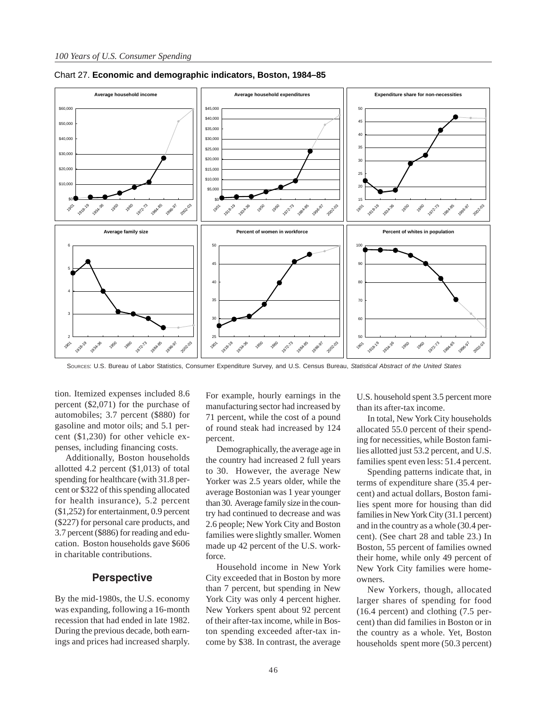

Chart 27. **Economic and demographic indicators, Boston, 1984–85**

SOURCES: U.S. Bureau of Labor Statistics, Consumer Expenditure Survey, and U.S. Census Bureau, *Statistical Abstract of the United States*

tion. Itemized expenses included 8.6 percent (\$2,071) for the purchase of automobiles; 3.7 percent (\$880) for gasoline and motor oils; and 5.1 percent (\$1,230) for other vehicle expenses, including financing costs.

Additionally, Boston households allotted 4.2 percent (\$1,013) of total spending for healthcare (with 31.8 percent or \$322 of this spending allocated for health insurance), 5.2 percent (\$1,252) for entertainment, 0.9 percent (\$227) for personal care products, and 3.7 percent (\$886) for reading and education. Boston households gave \$606 in charitable contributions.

### **Perspective**

By the mid-1980s, the U.S. economy was expanding, following a 16-month recession that had ended in late 1982. During the previous decade, both earnings and prices had increased sharply. For example, hourly earnings in the manufacturing sector had increased by 71 percent, while the cost of a pound of round steak had increased by 124 percent.

Demographically, the average age in the country had increased 2 full years to 30. However, the average New Yorker was 2.5 years older, while the average Bostonian was 1 year younger than 30. Average family size in the country had continued to decrease and was 2.6 people; New York City and Boston families were slightly smaller. Women made up 42 percent of the U.S. workforce.

Household income in New York City exceeded that in Boston by more than 7 percent, but spending in New York City was only 4 percent higher. New Yorkers spent about 92 percent of their after-tax income, while in Boston spending exceeded after-tax income by \$38. In contrast, the average

U.S. household spent 3.5 percent more than its after-tax income.

In total, New York City households allocated 55.0 percent of their spending for necessities, while Boston families allotted just 53.2 percent, and U.S. families spent even less: 51.4 percent.

Spending patterns indicate that, in terms of expenditure share (35.4 percent) and actual dollars, Boston families spent more for housing than did families in New York City (31.1 percent) and in the country as a whole (30.4 percent). (See chart 28 and table 23.) In Boston, 55 percent of families owned their home, while only 49 percent of New York City families were homeowners.

New Yorkers, though, allocated larger shares of spending for food (16.4 percent) and clothing (7.5 percent) than did families in Boston or in the country as a whole. Yet, Boston households spent more (50.3 percent)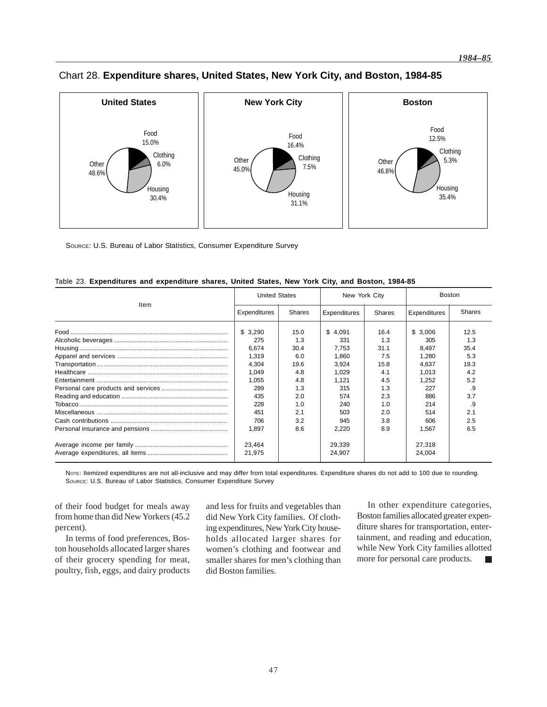

# Chart 28. **Expenditure shares, United States, New York City, and Boston, 1984-85**

SOURCE: U.S. Bureau of Labor Statistics, Consumer Expenditure Survey

| Table 23. Expenditures and expenditure shares, United States, New York City, and Boston, 1984-85 |  |  |  |  |  |
|--------------------------------------------------------------------------------------------------|--|--|--|--|--|
|                                                                                                  |  |  |  |  |  |
|                                                                                                  |  |  |  |  |  |

|      | <b>United States</b>                                                                           |                                                                                     | New York City                                                                                  |                                                                                     | <b>Boston</b>                                                                                  |                                                                                   |  |
|------|------------------------------------------------------------------------------------------------|-------------------------------------------------------------------------------------|------------------------------------------------------------------------------------------------|-------------------------------------------------------------------------------------|------------------------------------------------------------------------------------------------|-----------------------------------------------------------------------------------|--|
| Item | Expenditures                                                                                   | <b>Shares</b>                                                                       | Expenditures                                                                                   | Shares                                                                              | Expenditures                                                                                   | <b>Shares</b>                                                                     |  |
|      | \$3,290<br>275<br>6,674<br>1.319<br>4,304<br>1.049<br>1,055<br>289<br>435<br>228<br>451<br>706 | 15.0<br>1.3<br>30.4<br>6.0<br>19.6<br>4.8<br>4.8<br>1.3<br>2.0<br>1.0<br>2.1<br>3.2 | \$4,091<br>331<br>7,753<br>1.860<br>3,924<br>1.029<br>1,121<br>315<br>574<br>240<br>503<br>945 | 16.4<br>1.3<br>31.1<br>7.5<br>15.8<br>4.1<br>4.5<br>1.3<br>2.3<br>1.0<br>2.0<br>3.8 | \$3,006<br>305<br>8,497<br>1.280<br>4,637<br>1.013<br>1,252<br>227<br>886<br>214<br>514<br>606 | 12.5<br>1.3<br>35.4<br>5.3<br>19.3<br>4.2<br>5.2<br>.9<br>3.7<br>.9<br>2.1<br>2.5 |  |
|      | 1.897                                                                                          | 8.6                                                                                 | 2,220                                                                                          | 8.9                                                                                 | 1.567                                                                                          | 6.5                                                                               |  |
|      | 23.464<br>21,975                                                                               |                                                                                     | 29,339<br>24,907                                                                               |                                                                                     | 27,318<br>24,004                                                                               |                                                                                   |  |

NoTE: Itemized expenditures are not all-inclusive and may differ from total expenditures. Expenditure shares do not add to 100 due to rounding. SOURCE: U.S. Bureau of Labor Statistics, Consumer Expenditure Survey

of their food budget for meals away from home than did New Yorkers (45.2 percent).

In terms of food preferences, Boston households allocated larger shares of their grocery spending for meat, poultry, fish, eggs, and dairy products

and less for fruits and vegetables than did New York City families. Of clothing expenditures, New York City households allocated larger shares for women's clothing and footwear and smaller shares for men's clothing than did Boston families.

In other expenditure categories, Boston families allocated greater expenditure shares for transportation, entertainment, and reading and education, while New York City families allotted more for personal care products.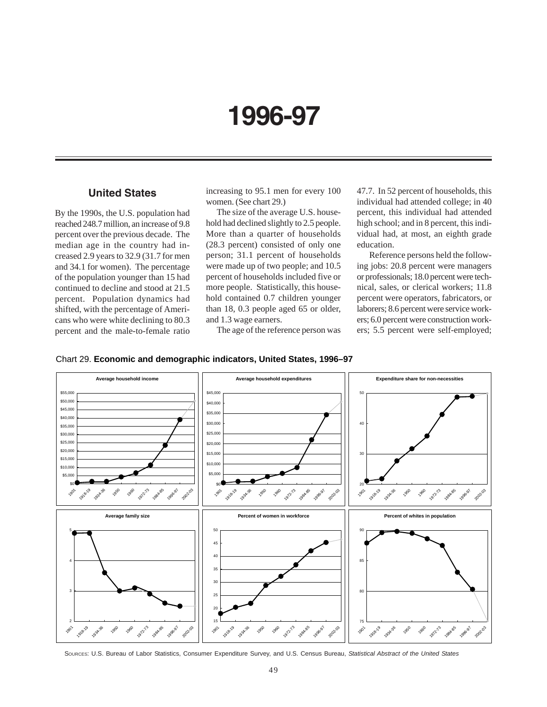# **1996-97**

# **United States**

By the 1990s, the U.S. population had reached 248.7 million, an increase of 9.8 percent over the previous decade. The median age in the country had increased 2.9 years to 32.9 (31.7 for men and 34.1 for women). The percentage of the population younger than 15 had continued to decline and stood at 21.5 percent. Population dynamics had shifted, with the percentage of Americans who were white declining to 80.3 percent and the male-to-female ratio

increasing to 95.1 men for every 100 women. (See chart 29.)

The size of the average U.S. household had declined slightly to 2.5 people. More than a quarter of households (28.3 percent) consisted of only one person; 31.1 percent of households were made up of two people; and 10.5 percent of households included five or more people. Statistically, this household contained 0.7 children younger than 18, 0.3 people aged 65 or older, and 1.3 wage earners.

The age of the reference person was

47.7. In 52 percent of households, this individual had attended college; in 40 percent, this individual had attended high school; and in 8 percent, this individual had, at most, an eighth grade education.

 Reference persons held the following jobs: 20.8 percent were managers or professionals; 18.0 percent were technical, sales, or clerical workers; 11.8 percent were operators, fabricators, or laborers; 8.6 percent were service workers; 6.0 percent were construction workers; 5.5 percent were self-employed;





SOURCES: U.S. Bureau of Labor Statistics, Consumer Expenditure Survey, and U.S. Census Bureau, *Statistical Abstract of the United States*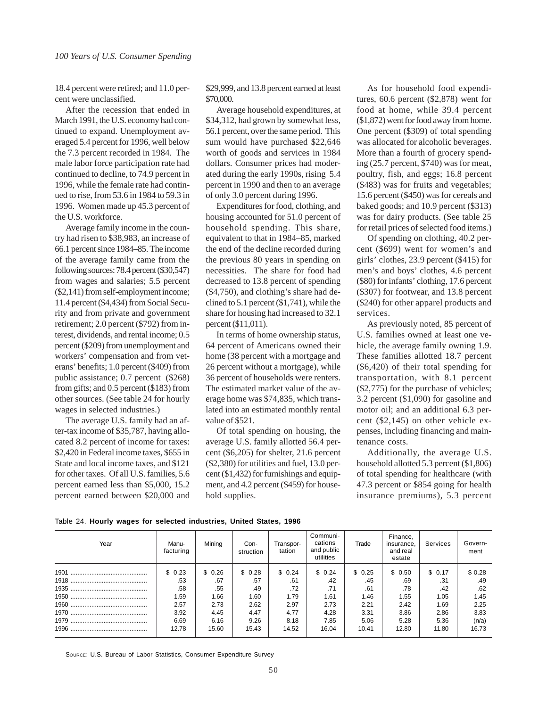18.4 percent were retired; and 11.0 percent were unclassified.

After the recession that ended in March 1991, the U.S. economy had continued to expand. Unemployment averaged 5.4 percent for 1996, well below the 7.3 percent recorded in 1984. The male labor force participation rate had continued to decline, to 74.9 percent in 1996, while the female rate had continued to rise, from 53.6 in 1984 to 59.3 in 1996. Women made up 45.3 percent of the U.S. workforce.

Average family income in the country had risen to \$38,983, an increase of 66.1 percent since 1984–85. The income of the average family came from the following sources: 78.4 percent (\$30,547) from wages and salaries; 5.5 percent (\$2,141) from self-employment income; 11.4 percent (\$4,434) from Social Security and from private and government retirement; 2.0 percent (\$792) from interest, dividends, and rental income; 0.5 percent (\$209) from unemployment and workers' compensation and from veterans' benefits; 1.0 percent (\$409) from public assistance; 0.7 percent (\$268) from gifts; and 0.5 percent (\$183) from other sources. (See table 24 for hourly wages in selected industries.)

The average U.S. family had an after-tax income of \$35,787, having allocated 8.2 percent of income for taxes: \$2,420 in Federal income taxes, \$655 in State and local income taxes, and \$121 for other taxes. Of all U.S. families, 5.6 percent earned less than \$5,000, 15.2 percent earned between \$20,000 and \$29,999, and 13.8 percent earned at least \$70,000.

Average household expenditures, at \$34,312, had grown by somewhat less, 56.1 percent, over the same period. This sum would have purchased \$22,646 worth of goods and services in 1984 dollars. Consumer prices had moderated during the early 1990s, rising 5.4 percent in 1990 and then to an average of only 3.0 percent during 1996.

Expenditures for food, clothing, and housing accounted for 51.0 percent of household spending. This share, equivalent to that in 1984–85, marked the end of the decline recorded during the previous 80 years in spending on necessities. The share for food had decreased to 13.8 percent of spending (\$4,750), and clothing's share had declined to 5.1 percent (\$1,741), while the share for housing had increased to 32.1 percent (\$11,011).

In terms of home ownership status, 64 percent of Americans owned their home (38 percent with a mortgage and 26 percent without a mortgage), while 36 percent of households were renters. The estimated market value of the average home was \$74,835, which translated into an estimated monthly rental value of \$521.

Of total spending on housing, the average U.S. family allotted 56.4 percent (\$6,205) for shelter, 21.6 percent (\$2,380) for utilities and fuel, 13.0 percent (\$1,432) for furnishings and equipment, and 4.2 percent (\$459) for household supplies.

As for household food expenditures, 60.6 percent (\$2,878) went for food at home, while 39.4 percent (\$1,872) went for food away from home. One percent (\$309) of total spending was allocated for alcoholic beverages. More than a fourth of grocery spending (25.7 percent, \$740) was for meat, poultry, fish, and eggs; 16.8 percent (\$483) was for fruits and vegetables; 15.6 percent (\$450) was for cereals and baked goods; and 10.9 percent (\$313) was for dairy products. (See table 25 for retail prices of selected food items.)

Of spending on clothing, 40.2 percent (\$699) went for women's and girls' clothes, 23.9 percent (\$415) for men's and boys' clothes, 4.6 percent (\$80) for infants' clothing, 17.6 percent (\$307) for footwear, and 13.8 percent (\$240) for other apparel products and services.

As previously noted, 85 percent of U.S. families owned at least one vehicle, the average family owning 1.9. These families allotted 18.7 percent (\$6,420) of their total spending for transportation, with 8.1 percent (\$2,775) for the purchase of vehicles; 3.2 percent (\$1,090) for gasoline and motor oil; and an additional 6.3 percent (\$2,145) on other vehicle expenses, including financing and maintenance costs.

Additionally, the average U.S. household allotted 5.3 percent (\$1,806) of total spending for healthcare (with 47.3 percent or \$854 going for health insurance premiums), 5.3 percent

|  |  |  |  |  | Table 24. Hourly wages for selected industries, United States, 1996 |  |  |  |
|--|--|--|--|--|---------------------------------------------------------------------|--|--|--|
|--|--|--|--|--|---------------------------------------------------------------------|--|--|--|

| Year | Manu-<br>facturing | Mining | Con-<br>struction | Transpor-<br>tation | Communi-<br>cations<br>and public<br>utilities | Trade  | Finance,<br>insurance,<br>and real<br>estate | Services | Govern-<br>ment |
|------|--------------------|--------|-------------------|---------------------|------------------------------------------------|--------|----------------------------------------------|----------|-----------------|
|      | \$0.23             | \$0.26 | \$0.28            | \$0.24              | \$0.24                                         | \$0.25 | \$ 0.50                                      | \$0.17   | \$0.28          |
|      | .53                | .67    | .57               | .61                 | .42                                            | .45    | .69                                          | .31      | .49             |
|      | .58                | .55    | .49               | .72                 | .71                                            | .61    | .78                                          | .42      | .62             |
|      | 1.59               | 1.66   | 1.60              | 1.79                | 1.61                                           | 1.46   | 1.55                                         | 1.05     | 1.45            |
|      | 2.57               | 2.73   | 2.62              | 2.97                | 2.73                                           | 2.21   | 2.42                                         | 1.69     | 2.25            |
|      | 3.92               | 4.45   | 4.47              | 4.77                | 4.28                                           | 3.31   | 3.86                                         | 2.86     | 3.83            |
|      | 6.69               | 6.16   | 9.26              | 8.18                | 7.85                                           | 5.06   | 5.28                                         | 5.36     | (n/a)           |
|      | 12.78              | 15.60  | 15.43             | 14.52               | 16.04                                          | 10.41  | 12.80                                        | 11.80    | 16.73           |

SOURCE: U.S. Bureau of Labor Statistics, Consumer Expenditure Survey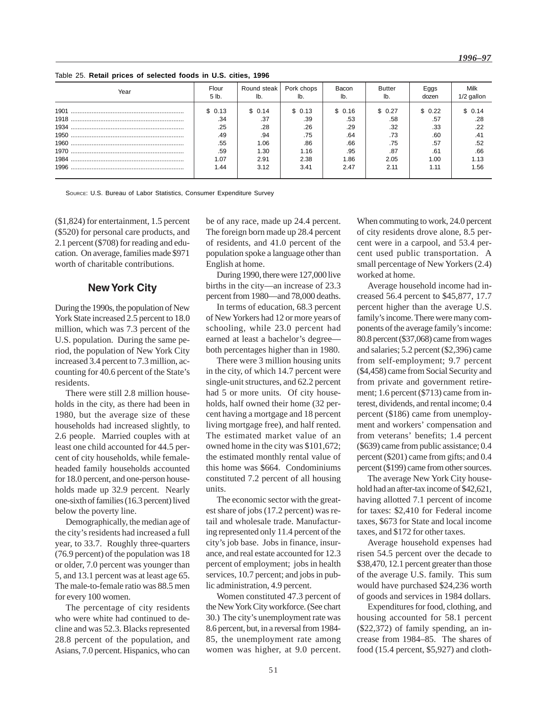Table 25. **Retail prices of selected foods in U.S. cities, 1996**

| Year | Flour<br>5 lb. | Round steak   Pork chops<br>lb. |         | Bacon<br>lb. | Butter<br>lb. | Eggs<br>dozen | Milk<br>1/2 gallon |
|------|----------------|---------------------------------|---------|--------------|---------------|---------------|--------------------|
| 1901 | \$0.13         | \$ 0.14                         | \$ 0.13 | \$ 0.16      | \$ 0.27       | \$0.22        | \$0.14             |
|      | .34            | .37                             | .39     | .53          | .58           | .57           | .28                |
|      | .25            | .28                             | .26     | .29          | .32           | .33           | .22                |
|      | .49            | .94                             | .75     | .64          | .73           | .60           | .41                |
|      | .55            | 1.06                            | .86     | .66          | .75           | .57           | .52                |
|      | .59            | 1.30                            | 1.16    | .95          | .87           | .61           | .66                |
|      | 1.07           | 2.91                            | 2.38    | 1.86         | 2.05          | 1.00          | 1.13               |
|      | 1.44           | 3.12                            | 3.41    | 2.47         | 2.11          | 1.11          | 1.56               |

SOURCE: U.S. Bureau of Labor Statistics, Consumer Expenditure Survey

(\$1,824) for entertainment, 1.5 percent (\$520) for personal care products, and 2.1 percent (\$708) for reading and education. On average, families made \$971 worth of charitable contributions.

### **New York City**

During the 1990s, the population of New York State increased 2.5 percent to 18.0 million, which was 7.3 percent of the U.S. population. During the same period, the population of New York City increased 3.4 percent to 7.3 million, accounting for 40.6 percent of the State's residents.

There were still 2.8 million households in the city, as there had been in 1980, but the average size of these households had increased slightly, to 2.6 people. Married couples with at least one child accounted for 44.5 percent of city households, while femaleheaded family households accounted for 18.0 percent, and one-person households made up 32.9 percent. Nearly one-sixth of families (16.3 percent) lived below the poverty line.

Demographically, the median age of the city's residents had increased a full year, to 33.7. Roughly three-quarters (76.9 percent) of the population was 18 or older, 7.0 percent was younger than 5, and 13.1 percent was at least age 65. The male-to-female ratio was 88.5 men for every 100 women.

The percentage of city residents who were white had continued to decline and was 52.3. Blacks represented 28.8 percent of the population, and Asians, 7.0 percent. Hispanics, who can be of any race, made up 24.4 percent. The foreign born made up 28.4 percent of residents, and 41.0 percent of the population spoke a language other than English at home.

During 1990, there were 127,000 live births in the city—an increase of 23.3 percent from 1980—and 78,000 deaths.

In terms of education, 68.3 percent of New Yorkers had 12 or more years of schooling, while 23.0 percent had earned at least a bachelor's degree both percentages higher than in 1980.

There were 3 million housing units in the city, of which 14.7 percent were single-unit structures, and 62.2 percent had 5 or more units. Of city households, half owned their home (32 percent having a mortgage and 18 percent living mortgage free), and half rented. The estimated market value of an owned home in the city was \$101,672; the estimated monthly rental value of this home was \$664. Condominiums constituted 7.2 percent of all housing units.

The economic sector with the greatest share of jobs (17.2 percent) was retail and wholesale trade. Manufacturing represented only 11.4 percent of the city's job base. Jobs in finance, insurance, and real estate accounted for 12.3 percent of employment; jobs in health services, 10.7 percent; and jobs in public administration, 4.9 percent.

Women constituted 47.3 percent of the New York City workforce. (See chart 30.) The city's unemployment rate was 8.6 percent, but, in a reversal from 1984- 85, the unemployment rate among women was higher, at 9.0 percent.

When commuting to work, 24.0 percent of city residents drove alone, 8.5 percent were in a carpool, and 53.4 percent used public transportation. A small percentage of New Yorkers (2.4) worked at home.

Average household income had increased 56.4 percent to \$45,877, 17.7 percent higher than the average U.S. family's income. There were many components of the average family's income: 80.8 percent (\$37,068) came from wages and salaries; 5.2 percent (\$2,396) came from self-employment; 9.7 percent (\$4,458) came from Social Security and from private and government retirement; 1.6 percent (\$713) came from interest, dividends, and rental income; 0.4 percent (\$186) came from unemployment and workers' compensation and from veterans' benefits; 1.4 percent (\$639) came from public assistance; 0.4 percent (\$201) came from gifts; and 0.4 percent (\$199) came from other sources.

The average New York City household had an after-tax income of \$42,621, having allotted 7.1 percent of income for taxes: \$2,410 for Federal income taxes, \$673 for State and local income taxes, and \$172 for other taxes.

Average household expenses had risen 54.5 percent over the decade to \$38,470, 12.1 percent greater than those of the average U.S. family. This sum would have purchased \$24,236 worth of goods and services in 1984 dollars.

Expenditures for food, clothing, and housing accounted for 58.1 percent (\$22,372) of family spending, an increase from 1984–85. The shares of food (15.4 percent, \$5,927) and cloth-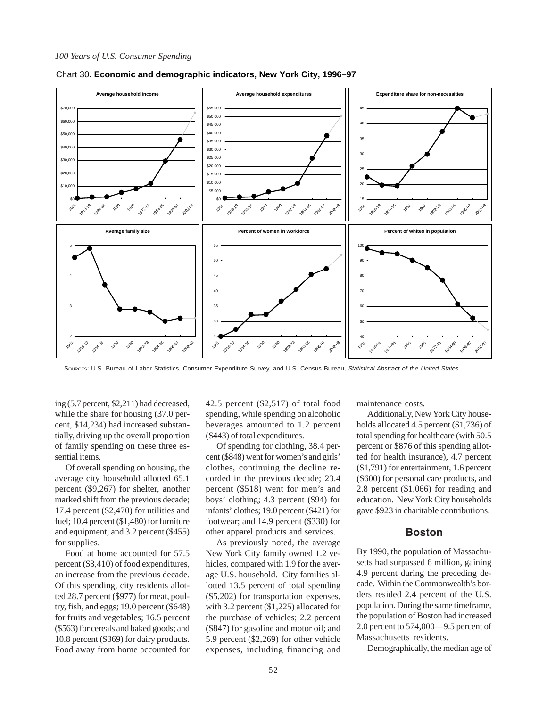

Chart 30. **Economic and demographic indicators, New York City, 1996–97**

SOURCES: U.S. Bureau of Labor Statistics, Consumer Expenditure Survey, and U.S. Census Bureau, *Statistical Abstract of the United States*

ing (5.7 percent, \$2,211) had decreased, while the share for housing (37.0 percent, \$14,234) had increased substantially, driving up the overall proportion of family spending on these three essential items.

Of overall spending on housing, the average city household allotted 65.1 percent (\$9,267) for shelter, another marked shift from the previous decade; 17.4 percent (\$2,470) for utilities and fuel; 10.4 percent (\$1,480) for furniture and equipment; and 3.2 percent (\$455) for supplies.

Food at home accounted for 57.5 percent (\$3,410) of food expenditures, an increase from the previous decade. Of this spending, city residents allotted 28.7 percent (\$977) for meat, poultry, fish, and eggs; 19.0 percent (\$648) for fruits and vegetables; 16.5 percent (\$563) for cereals and baked goods; and 10.8 percent (\$369) for dairy products. Food away from home accounted for 42.5 percent (\$2,517) of total food spending, while spending on alcoholic beverages amounted to 1.2 percent (\$443) of total expenditures.

Of spending for clothing, 38.4 percent (\$848) went for women's and girls' clothes, continuing the decline recorded in the previous decade; 23.4 percent (\$518) went for men's and boys' clothing; 4.3 percent (\$94) for infants' clothes; 19.0 percent (\$421) for footwear; and 14.9 percent (\$330) for other apparel products and services.

As previously noted, the average New York City family owned 1.2 vehicles, compared with 1.9 for the average U.S. household. City families allotted 13.5 percent of total spending (\$5,202) for transportation expenses, with 3.2 percent (\$1,225) allocated for the purchase of vehicles; 2.2 percent (\$847) for gasoline and motor oil; and 5.9 percent (\$2,269) for other vehicle expenses, including financing and

maintenance costs.

Additionally, New York City households allocated 4.5 percent (\$1,736) of total spending for healthcare (with 50.5 percent or \$876 of this spending allotted for health insurance), 4.7 percent (\$1,791) for entertainment, 1.6 percent (\$600) for personal care products, and 2.8 percent (\$1,066) for reading and education. New York City households gave \$923 in charitable contributions.

### **Boston**

By 1990, the population of Massachusetts had surpassed 6 million, gaining 4.9 percent during the preceding decade. Within the Commonwealth's borders resided 2.4 percent of the U.S. population. During the same timeframe, the population of Boston had increased 2.0 percent to 574,000—9.5 percent of Massachusetts residents.

Demographically, the median age of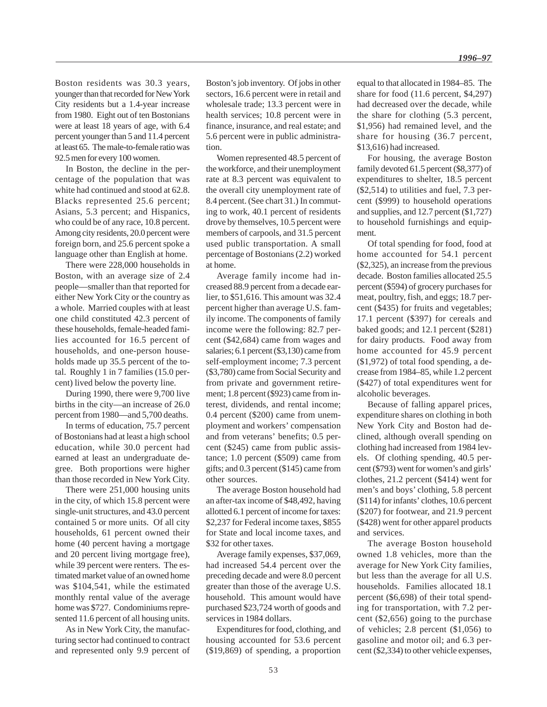Boston residents was 30.3 years, younger than that recorded for New York City residents but a 1.4-year increase from 1980. Eight out of ten Bostonians were at least 18 years of age, with 6.4 percent younger than 5 and 11.4 percent at least 65. The male-to-female ratio was 92.5 men for every 100 women.

In Boston, the decline in the percentage of the population that was white had continued and stood at 62.8. Blacks represented 25.6 percent; Asians, 5.3 percent; and Hispanics, who could be of any race, 10.8 percent. Among city residents, 20.0 percent were foreign born, and 25.6 percent spoke a language other than English at home.

There were 228,000 households in Boston, with an average size of 2.4 people—smaller than that reported for either New York City or the country as a whole. Married couples with at least one child constituted 42.3 percent of these households, female-headed families accounted for 16.5 percent of households, and one-person households made up 35.5 percent of the total. Roughly 1 in 7 families (15.0 percent) lived below the poverty line.

During 1990, there were 9,700 live births in the city—an increase of 26.0 percent from 1980—and 5,700 deaths.

In terms of education, 75.7 percent of Bostonians had at least a high school education, while 30.0 percent had earned at least an undergraduate degree. Both proportions were higher than those recorded in New York City.

There were 251,000 housing units in the city, of which 15.8 percent were single-unit structures, and 43.0 percent contained 5 or more units. Of all city households, 61 percent owned their home (40 percent having a mortgage and 20 percent living mortgage free), while 39 percent were renters. The estimated market value of an owned home was \$104,541, while the estimated monthly rental value of the average home was \$727. Condominiums represented 11.6 percent of all housing units.

As in New York City, the manufacturing sector had continued to contract and represented only 9.9 percent of Boston's job inventory. Of jobs in other sectors, 16.6 percent were in retail and wholesale trade; 13.3 percent were in health services; 10.8 percent were in finance, insurance, and real estate; and 5.6 percent were in public administration.

Women represented 48.5 percent of the workforce, and their unemployment rate at 8.3 percent was equivalent to the overall city unemployment rate of 8.4 percent. (See chart 31.) In commuting to work, 40.1 percent of residents drove by themselves, 10.5 percent were members of carpools, and 31.5 percent used public transportation. A small percentage of Bostonians (2.2) worked at home.

Average family income had increased 88.9 percent from a decade earlier, to \$51,616. This amount was 32.4 percent higher than average U.S. family income. The components of family income were the following: 82.7 percent (\$42,684) came from wages and salaries; 6.1 percent (\$3,130) came from self-employment income; 7.3 percent (\$3,780) came from Social Security and from private and government retirement; 1.8 percent (\$923) came from interest, dividends, and rental income; 0.4 percent (\$200) came from unemployment and workers' compensation and from veterans' benefits; 0.5 percent (\$245) came from public assistance; 1.0 percent (\$509) came from gifts; and 0.3 percent (\$145) came from other sources.

The average Boston household had an after-tax income of \$48,492, having allotted 6.1 percent of income for taxes: \$2,237 for Federal income taxes, \$855 for State and local income taxes, and \$32 for other taxes.

Average family expenses, \$37,069, had increased 54.4 percent over the preceding decade and were 8.0 percent greater than those of the average U.S. household. This amount would have purchased \$23,724 worth of goods and services in 1984 dollars.

Expenditures for food, clothing, and housing accounted for 53.6 percent (\$19,869) of spending, a proportion equal to that allocated in 1984–85. The share for food (11.6 percent, \$4,297) had decreased over the decade, while the share for clothing (5.3 percent, \$1,956) had remained level, and the share for housing (36.7 percent, \$13,616) had increased.

For housing, the average Boston family devoted 61.5 percent (\$8,377) of expenditures to shelter, 18.5 percent (\$2,514) to utilities and fuel, 7.3 percent (\$999) to household operations and supplies, and 12.7 percent (\$1,727) to household furnishings and equipment.

Of total spending for food, food at home accounted for 54.1 percent (\$2,325), an increase from the previous decade. Boston families allocated 25.5 percent (\$594) of grocery purchases for meat, poultry, fish, and eggs; 18.7 percent (\$435) for fruits and vegetables; 17.1 percent (\$397) for cereals and baked goods; and 12.1 percent (\$281) for dairy products. Food away from home accounted for 45.9 percent (\$1,972) of total food spending, a decrease from 1984–85, while 1.2 percent (\$427) of total expenditures went for alcoholic beverages.

Because of falling apparel prices, expenditure shares on clothing in both New York City and Boston had declined, although overall spending on clothing had increased from 1984 levels. Of clothing spending, 40.5 percent (\$793) went for women's and girls' clothes, 21.2 percent (\$414) went for men's and boys' clothing, 5.8 percent (\$114) for infants' clothes, 10.6 percent (\$207) for footwear, and 21.9 percent (\$428) went for other apparel products and services.

The average Boston household owned 1.8 vehicles, more than the average for New York City families, but less than the average for all U.S. households. Families allocated 18.1 percent (\$6,698) of their total spending for transportation, with 7.2 percent (\$2,656) going to the purchase of vehicles; 2.8 percent (\$1,056) to gasoline and motor oil; and 6.3 percent (\$2,334) to other vehicle expenses,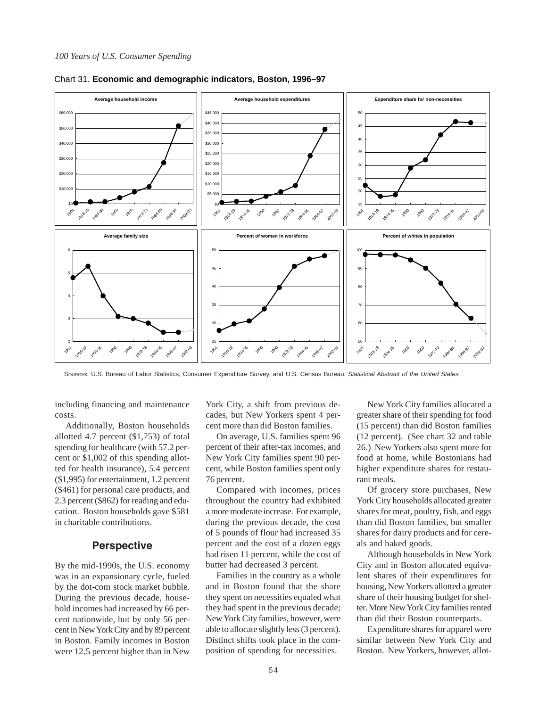

Chart 31. **Economic and demographic indicators, Boston, 1996–97**

SOURCES: U.S. Bureau of Labor Statistics, Consumer Expenditure Survey, and U.S. Census Bureau, *Statistical Abstract of the United States*

including financing and maintenance costs.

Additionally, Boston households allotted 4.7 percent (\$1,753) of total spending for healthcare (with 57.2 percent or \$1,002 of this spending allotted for health insurance), 5.4 percent (\$1,995) for entertainment, 1.2 percent (\$461) for personal care products, and 2.3 percent (\$862) for reading and education. Boston households gave \$581 in charitable contributions.

### **Perspective**

By the mid-1990s, the U.S. economy was in an expansionary cycle, fueled by the dot-com stock market bubble. During the previous decade, household incomes had increased by 66 percent nationwide, but by only 56 percent in New York City and by 89 percent in Boston. Family incomes in Boston were 12.5 percent higher than in New York City, a shift from previous decades, but New Yorkers spent 4 percent more than did Boston families.

On average, U.S. families spent 96 percent of their after-tax incomes, and New York City families spent 90 percent, while Boston families spent only 76 percent.

Compared with incomes, prices throughout the country had exhibited a more moderate increase. For example, during the previous decade, the cost of 5 pounds of flour had increased 35 percent and the cost of a dozen eggs had risen 11 percent, while the cost of butter had decreased 3 percent.

Families in the country as a whole and in Boston found that the share they spent on necessities equaled what they had spent in the previous decade; New York City families, however, were able to allocate slightly less (3 percent). Distinct shifts took place in the composition of spending for necessities.

New York City families allocated a greater share of their spending for food (15 percent) than did Boston families (12 percent). (See chart 32 and table 26.) New Yorkers also spent more for food at home, while Bostonians had higher expenditure shares for restaurant meals.

Of grocery store purchases, New York City households allocated greater shares for meat, poultry, fish, and eggs than did Boston families, but smaller shares for dairy products and for cereals and baked goods.

Although households in New York City and in Boston allocated equivalent shares of their expenditures for housing, New Yorkers allotted a greater share of their housing budget for shelter. More New York City families rented than did their Boston counterparts.

Expenditure shares for apparel were similar between New York City and Boston. New Yorkers, however, allot-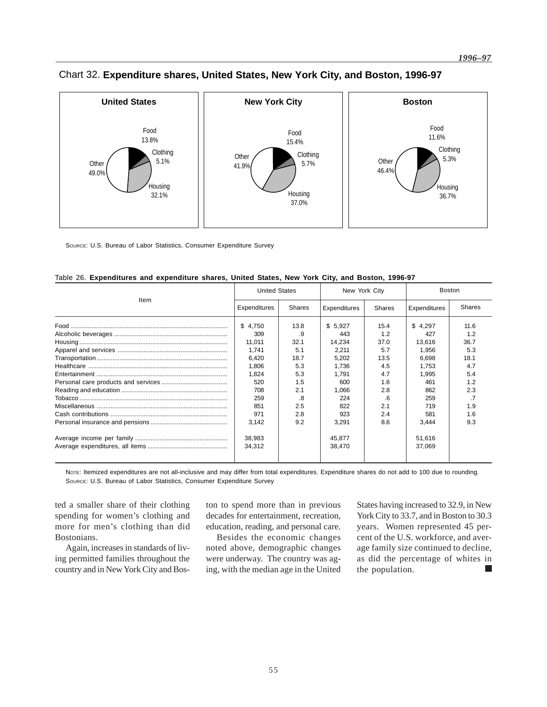

# Chart 32. **Expenditure shares, United States, New York City, and Boston, 1996-97**

SOURCE: U.S. Bureau of Labor Statistics, Consumer Expenditure Survey

|  | Table 26. Expenditures and expenditure shares, United States, New York City, and Boston, 1996-97 |
|--|--------------------------------------------------------------------------------------------------|
|  |                                                                                                  |

|      | <b>United States</b> |               | New York City |               | <b>Boston</b> |               |
|------|----------------------|---------------|---------------|---------------|---------------|---------------|
| Item | Expenditures         | <b>Shares</b> | Expenditures  | <b>Shares</b> | Expenditures  | <b>Shares</b> |
|      | \$4.750              | 13.8          | \$5,927       | 15.4          | \$4,297       | 11.6          |
|      | 309                  | .9            | 443           | 1.2           | 427           | 1.2           |
|      | 11,011               | 32.1          | 14.234        | 37.0          | 13,616        | 36.7          |
|      | 1,741                | 5.1           | 2,211         | 5.7           | 1,956         | 5.3           |
|      | 6,420                | 18.7          | 5,202         | 13.5          | 6,698         | 18.1          |
|      | 1.806                | 5.3           | 1.736         | 4.5           | 1.753         | 4.7           |
|      | 1,824                | 5.3           | 1.791         | 4.7           | 1.995         | 5.4           |
|      | 520                  | 1.5           | 600           | 1.6           | 461           | 1.2           |
|      | 708                  | 2.1           | 1.066         | 2.8           | 862           | 2.3           |
|      | 259                  | .8            | 224           | .6            | 259           | .7            |
|      | 851                  | 2.5           | 822           | 2.1           | 719           | 1.9           |
|      | 971                  | 2.8           | 923           | 2.4           | 581           | 1.6           |
|      | 3,142                | 9.2           | 3,291         | 8.6           | 3,444         | 9.3           |
|      | 38,983               |               | 45,877        |               | 51,616        |               |
|      | 34.312               |               | 38,470        |               | 37,069        |               |
|      |                      |               |               |               |               |               |

NoTE: Itemized expenditures are not all-inclusive and may differ from total expenditures. Expenditure shares do not add to 100 due to rounding. SOURCE: U.S. Bureau of Labor Statistics, Consumer Expenditure Survey

ted a smaller share of their clothing spending for women's clothing and more for men's clothing than did Bostonians.

Again, increases in standards of living permitted families throughout the country and in New York City and Boston to spend more than in previous decades for entertainment, recreation, education, reading, and personal care.

Besides the economic changes noted above, demographic changes were underway. The country was aging, with the median age in the United States having increased to 32.9, in New York City to 33.7, and in Boston to 30.3 years. Women represented 45 percent of the U.S. workforce, and average family size continued to decline, as did the percentage of whites in the population.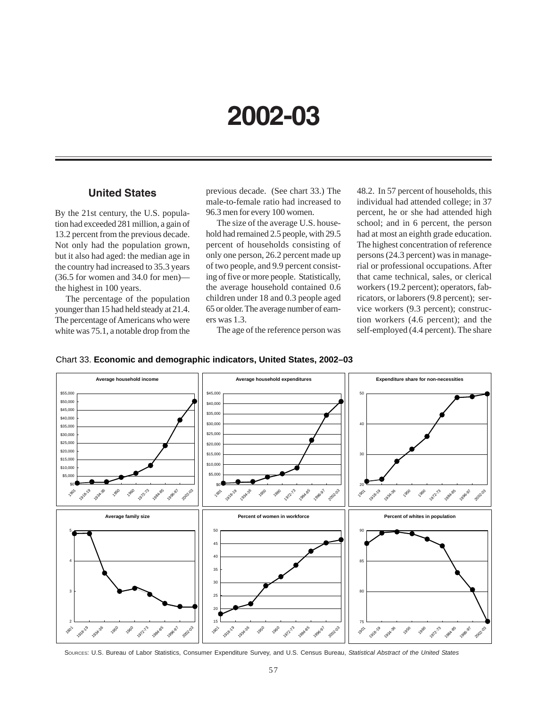# **2002-03**

# **United States**

By the 21st century, the U.S. population had exceeded 281 million, a gain of 13.2 percent from the previous decade. Not only had the population grown, but it also had aged: the median age in the country had increased to 35.3 years (36.5 for women and 34.0 for men) the highest in 100 years.

The percentage of the population younger than 15 had held steady at 21.4. The percentage of Americans who were white was 75.1, a notable drop from the

previous decade. (See chart 33.) The male-to-female ratio had increased to 96.3 men for every 100 women.

The size of the average U.S. household had remained 2.5 people, with 29.5 percent of households consisting of only one person, 26.2 percent made up of two people, and 9.9 percent consisting of five or more people. Statistically, the average household contained 0.6 children under 18 and 0.3 people aged 65 or older. The average number of earners was 1.3.

The age of the reference person was

48.2. In 57 percent of households, this individual had attended college; in 37 percent, he or she had attended high school; and in 6 percent, the person had at most an eighth grade education. The highest concentration of reference persons (24.3 percent) was in managerial or professional occupations. After that came technical, sales, or clerical workers (19.2 percent); operators, fabricators, or laborers (9.8 percent); service workers (9.3 percent); construction workers (4.6 percent); and the self-employed (4.4 percent). The share



### Chart 33. **Economic and demographic indicators, United States, 2002–03**

SOURCES: U.S. Bureau of Labor Statistics, Consumer Expenditure Survey, and U.S. Census Bureau, *Statistical Abstract of the United States*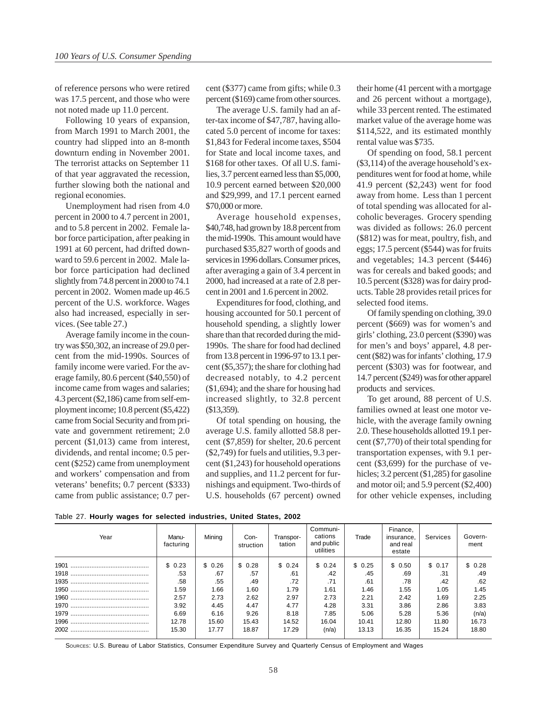of reference persons who were retired was 17.5 percent, and those who were not noted made up 11.0 percent.

Following 10 years of expansion, from March 1991 to March 2001, the country had slipped into an 8-month downturn ending in November 2001. The terrorist attacks on September 11 of that year aggravated the recession, further slowing both the national and regional economies.

Unemployment had risen from 4.0 percent in 2000 to 4.7 percent in 2001, and to 5.8 percent in 2002. Female labor force participation, after peaking in 1991 at 60 percent, had drifted downward to 59.6 percent in 2002. Male labor force participation had declined slightly from 74.8 percent in 2000 to 74.1 percent in 2002. Women made up 46.5 percent of the U.S. workforce. Wages also had increased, especially in services. (See table 27.)

Average family income in the country was \$50,302, an increase of 29.0 percent from the mid-1990s. Sources of family income were varied. For the average family, 80.6 percent (\$40,550) of income came from wages and salaries; 4.3 percent (\$2,186) came from self-employment income; 10.8 percent (\$5,422) came from Social Security and from private and government retirement; 2.0 percent (\$1,013) came from interest, dividends, and rental income; 0.5 percent (\$252) came from unemployment and workers' compensation and from veterans' benefits; 0.7 percent (\$333) came from public assistance; 0.7 percent (\$377) came from gifts; while 0.3 percent (\$169) came from other sources.

The average U.S. family had an after-tax income of \$47,787, having allocated 5.0 percent of income for taxes: \$1,843 for Federal income taxes, \$504 for State and local income taxes, and \$168 for other taxes. Of all U.S. families, 3.7 percent earned less than \$5,000, 10.9 percent earned between \$20,000 and \$29,999, and 17.1 percent earned \$70,000 or more.

Average household expenses, \$40,748, had grown by 18.8 percent from the mid-1990s. This amount would have purchased \$35,827 worth of goods and services in 1996 dollars. Consumer prices, after averaging a gain of 3.4 percent in 2000, had increased at a rate of 2.8 percent in 2001 and 1.6 percent in 2002.

Expenditures for food, clothing, and housing accounted for 50.1 percent of household spending, a slightly lower share than that recorded during the mid-1990s. The share for food had declined from 13.8 percent in 1996-97 to 13.1 percent (\$5,357); the share for clothing had decreased notably, to 4.2 percent (\$1,694); and the share for housing had increased slightly, to 32.8 percent (\$13,359).

Of total spending on housing, the average U.S. family allotted 58.8 percent (\$7,859) for shelter, 20.6 percent (\$2,749) for fuels and utilities, 9.3 percent (\$1,243) for household operations and supplies, and 11.2 percent for furnishings and equipment. Two-thirds of U.S. households (67 percent) owned

their home (41 percent with a mortgage and 26 percent without a mortgage), while 33 percent rented. The estimated market value of the average home was \$114,522, and its estimated monthly rental value was \$735.

Of spending on food, 58.1 percent (\$3,114) of the average household's expenditures went for food at home, while 41.9 percent (\$2,243) went for food away from home. Less than 1 percent of total spending was allocated for alcoholic beverages. Grocery spending was divided as follows: 26.0 percent (\$812) was for meat, poultry, fish, and eggs; 17.5 percent (\$544) was for fruits and vegetables; 14.3 percent (\$446) was for cereals and baked goods; and 10.5 percent (\$328) was for dairy products. Table 28 provides retail prices for selected food items.

Of family spending on clothing, 39.0 percent (\$669) was for women's and girls' clothing, 23.0 percent (\$390) was for men's and boys' apparel, 4.8 percent (\$82) was for infants' clothing, 17.9 percent (\$303) was for footwear, and 14.7 percent (\$249) was for other apparel products and services.

To get around, 88 percent of U.S. families owned at least one motor vehicle, with the average family owning 2.0. These households allotted 19.1 percent (\$7,770) of their total spending for transportation expenses, with 9.1 percent (\$3,699) for the purchase of vehicles; 3.2 percent (\$1,285) for gasoline and motor oil; and 5.9 percent (\$2,400) for other vehicle expenses, including

|  |  |  |  |  | Table 27. Hourly wages for selected industries, United States, 2002 |  |  |  |
|--|--|--|--|--|---------------------------------------------------------------------|--|--|--|
|--|--|--|--|--|---------------------------------------------------------------------|--|--|--|

| Year | Manu-<br>facturing | Mining | Con-<br>struction | Transpor-<br>tation | Communi-<br>cations<br>and public<br>utilities | Trade  | Finance,<br>insurance.<br>and real<br>estate | Services | Govern-<br>ment |
|------|--------------------|--------|-------------------|---------------------|------------------------------------------------|--------|----------------------------------------------|----------|-----------------|
| 1901 | \$0.23             | \$0.26 | \$0.28            | \$0.24              | \$0.24                                         | \$0.25 | \$ 0.50                                      | \$ 0.17  | \$ 0.28         |
|      | .53                | .67    | .57               | .61                 | .42                                            | .45    | .69                                          | .31      | .49             |
|      | .58                | .55    | .49               | .72                 | .71                                            | .61    | .78                                          | .42      | .62             |
|      | 1.59               | 1.66   | 1.60              | 1.79                | 1.61                                           | 1.46   | 1.55                                         | 1.05     | 1.45            |
|      | 2.57               | 2.73   | 2.62              | 2.97                | 2.73                                           | 2.21   | 2.42                                         | 1.69     | 2.25            |
|      | 3.92               | 4.45   | 4.47              | 4.77                | 4.28                                           | 3.31   | 3.86                                         | 2.86     | 3.83            |
|      | 6.69               | 6.16   | 9.26              | 8.18                | 7.85                                           | 5.06   | 5.28                                         | 5.36     | (n/a)           |
|      | 12.78              | 15.60  | 15.43             | 14.52               | 16.04                                          | 10.41  | 12.80                                        | 11.80    | 16.73           |
|      | 15.30              | 17.77  | 18.87             | 17.29               | (n/a)                                          | 13.13  | 16.35                                        | 15.24    | 18.80           |

SOURCES: U.S. Bureau of Labor Statistics, Consumer Expenditure Survey and Quarterly Census of Employment and Wages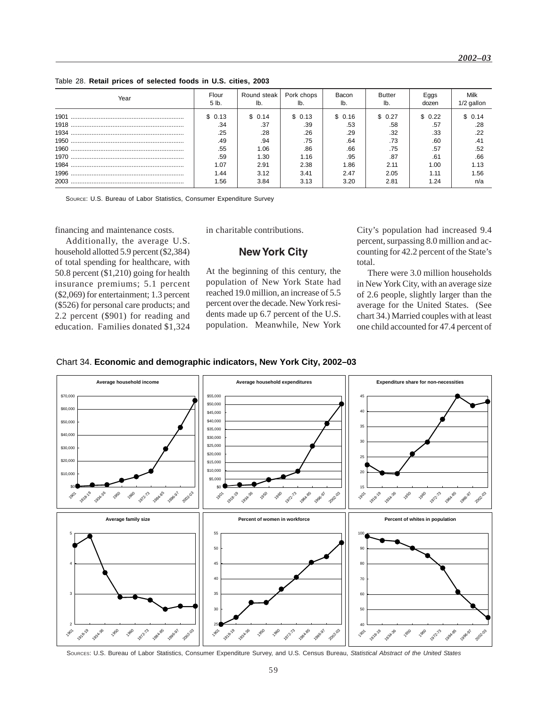#### Table 28. **Retail prices of selected foods in U.S. cities, 2003**

| Year | Flour<br>5 lb. | Round steak<br>lb. | Pork chops | Bacon<br>lb. | Butter<br>lb. | Eggs<br>dozen | Milk<br>1/2 gallon |
|------|----------------|--------------------|------------|--------------|---------------|---------------|--------------------|
| 1901 | \$ 0.13        | \$ 0.14            | \$0.13     | \$ 0.16      | \$ 0.27       | \$0.22        | \$0.14             |
|      | .34            | .37                | .39        | .53          | .58           | .57           | .28                |
| 1934 | .25            | .28                | .26        | .29          | .32           | .33           | .22                |
|      | .49            | .94                | .75        | .64          | .73           | .60           | .41                |
|      | .55            | 1.06               | .86        | .66          | .75           | .57           | .52                |
|      | .59            | 1.30               | 1.16       | .95          | .87           | .61           | .66                |
|      | 1.07           | 2.91               | 2.38       | 1.86         | 2.11          | 1.00          | 1.13               |
|      | 1.44           | 3.12               | 3.41       | 2.47         | 2.05          | 1.11          | 1.56               |
|      | 1.56           | 3.84               | 3.13       | 3.20         | 2.81          | 1.24          | n/a                |

SOURCE: U.S. Bureau of Labor Statistics, Consumer Expenditure Survey

financing and maintenance costs.

Additionally, the average U.S. household allotted 5.9 percent (\$2,384) of total spending for healthcare, with 50.8 percent (\$1,210) going for health insurance premiums; 5.1 percent (\$2,069) for entertainment; 1.3 percent (\$526) for personal care products; and 2.2 percent (\$901) for reading and education. Families donated \$1,324 in charitable contributions.

### **New York City**

At the beginning of this century, the population of New York State had reached 19.0 million, an increase of 5.5 percent over the decade. New York residents made up 6.7 percent of the U.S. population. Meanwhile, New York

City's population had increased 9.4 percent, surpassing 8.0 million and accounting for 42.2 percent of the State's total.

There were 3.0 million households in New York City, with an average size of 2.6 people, slightly larger than the average for the United States. (See chart 34.) Married couples with at least one child accounted for 47.4 percent of





SOURCES: U.S. Bureau of Labor Statistics, Consumer Expenditure Survey, and U.S. Census Bureau, *Statistical Abstract of the United States*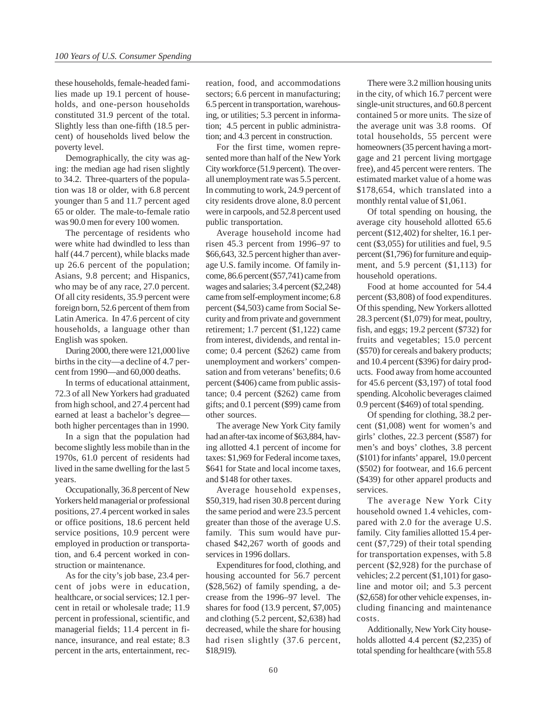these households, female-headed families made up 19.1 percent of households, and one-person households constituted 31.9 percent of the total. Slightly less than one-fifth (18.5 percent) of households lived below the poverty level.

Demographically, the city was aging: the median age had risen slightly to 34.2. Three-quarters of the population was 18 or older, with 6.8 percent younger than 5 and 11.7 percent aged 65 or older. The male-to-female ratio was 90.0 men for every 100 women.

The percentage of residents who were white had dwindled to less than half (44.7 percent), while blacks made up 26.6 percent of the population; Asians, 9.8 percent; and Hispanics, who may be of any race, 27.0 percent. Of all city residents, 35.9 percent were foreign born, 52.6 percent of them from Latin America. In 47.6 percent of city households, a language other than English was spoken.

During 2000, there were 121,000 live births in the city—a decline of 4.7 percent from 1990—and 60,000 deaths.

In terms of educational attainment, 72.3 of all New Yorkers had graduated from high school, and 27.4 percent had earned at least a bachelor's degree both higher percentages than in 1990.

In a sign that the population had become slightly less mobile than in the 1970s, 61.0 percent of residents had lived in the same dwelling for the last 5 years.

Occupationally, 36.8 percent of New Yorkers held managerial or professional positions, 27.4 percent worked in sales or office positions, 18.6 percent held service positions, 10.9 percent were employed in production or transportation, and 6.4 percent worked in construction or maintenance.

As for the city's job base, 23.4 percent of jobs were in education, healthcare, or social services; 12.1 percent in retail or wholesale trade; 11.9 percent in professional, scientific, and managerial fields; 11.4 percent in finance, insurance, and real estate; 8.3 percent in the arts, entertainment, recreation, food, and accommodations sectors; 6.6 percent in manufacturing; 6.5 percent in transportation, warehousing, or utilities; 5.3 percent in information; 4.5 percent in public administration; and 4.3 percent in construction.

For the first time, women represented more than half of the New York City workforce (51.9 percent). The overall unemployment rate was 5.5 percent. In commuting to work, 24.9 percent of city residents drove alone, 8.0 percent were in carpools, and 52.8 percent used public transportation.

Average household income had risen 45.3 percent from 1996–97 to \$66,643, 32.5 percent higher than average U.S. family income. Of family income, 86.6 percent (\$57,741) came from wages and salaries; 3.4 percent (\$2,248) came from self-employment income; 6.8 percent (\$4,503) came from Social Security and from private and government retirement; 1.7 percent (\$1,122) came from interest, dividends, and rental income; 0.4 percent (\$262) came from unemployment and workers' compensation and from veterans' benefits; 0.6 percent (\$406) came from public assistance; 0.4 percent (\$262) came from gifts; and 0.1 percent (\$99) came from other sources.

The average New York City family had an after-tax income of \$63,884, having allotted 4.1 percent of income for taxes: \$1,969 for Federal income taxes, \$641 for State and local income taxes, and \$148 for other taxes.

Average household expenses, \$50,319, had risen 30.8 percent during the same period and were 23.5 percent greater than those of the average U.S. family. This sum would have purchased \$42,267 worth of goods and services in 1996 dollars.

Expenditures for food, clothing, and housing accounted for 56.7 percent (\$28,562) of family spending, a decrease from the 1996–97 level. The shares for food (13.9 percent, \$7,005) and clothing (5.2 percent, \$2,638) had decreased, while the share for housing had risen slightly (37.6 percent, \$18,919).

There were 3.2 million housing units in the city, of which 16.7 percent were single-unit structures, and 60.8 percent contained 5 or more units. The size of the average unit was 3.8 rooms. Of total households, 55 percent were homeowners (35 percent having a mortgage and 21 percent living mortgage free), and 45 percent were renters. The estimated market value of a home was \$178,654, which translated into a monthly rental value of \$1,061.

Of total spending on housing, the average city household allotted 65.6 percent (\$12,402) for shelter, 16.1 percent (\$3,055) for utilities and fuel, 9.5 percent (\$1,796) for furniture and equipment, and 5.9 percent (\$1,113) for household operations.

Food at home accounted for 54.4 percent (\$3,808) of food expenditures. Of this spending, New Yorkers allotted 28.3 percent (\$1,079) for meat, poultry, fish, and eggs; 19.2 percent (\$732) for fruits and vegetables; 15.0 percent (\$570) for cereals and bakery products; and 10.4 percent (\$396) for dairy products. Food away from home accounted for 45.6 percent (\$3,197) of total food spending. Alcoholic beverages claimed 0.9 percent (\$469) of total spending.

Of spending for clothing, 38.2 percent (\$1,008) went for women's and girls' clothes, 22.3 percent (\$587) for men's and boys' clothes, 3.8 percent (\$101) for infants' apparel, 19.0 percent (\$502) for footwear, and 16.6 percent (\$439) for other apparel products and services.

The average New York City household owned 1.4 vehicles, compared with 2.0 for the average U.S. family. City families allotted 15.4 percent (\$7,729) of their total spending for transportation expenses, with 5.8 percent (\$2,928) for the purchase of vehicles; 2.2 percent (\$1,101) for gasoline and motor oil; and 5.3 percent (\$2,658) for other vehicle expenses, including financing and maintenance costs.

Additionally, New York City households allotted 4.4 percent (\$2,235) of total spending for healthcare (with 55.8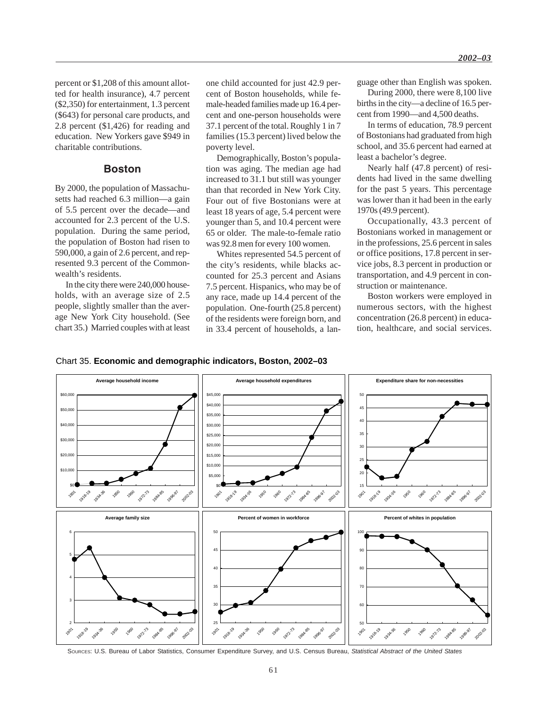percent or \$1,208 of this amount allotted for health insurance), 4.7 percent (\$2,350) for entertainment, 1.3 percent (\$643) for personal care products, and 2.8 percent (\$1,426) for reading and education. New Yorkers gave \$949 in charitable contributions.

### **Boston**

By 2000, the population of Massachusetts had reached 6.3 million—a gain of 5.5 percent over the decade—and accounted for 2.3 percent of the U.S. population. During the same period, the population of Boston had risen to 590,000, a gain of 2.6 percent, and represented 9.3 percent of the Commonwealth's residents.

In the city there were 240,000 households, with an average size of 2.5 people, slightly smaller than the average New York City household. (See chart 35.) Married couples with at least one child accounted for just 42.9 percent of Boston households, while female-headed families made up 16.4 percent and one-person households were 37.1 percent of the total. Roughly 1 in 7 families (15.3 percent) lived below the poverty level.

Demographically, Boston's population was aging. The median age had increased to 31.1 but still was younger than that recorded in New York City. Four out of five Bostonians were at least 18 years of age, 5.4 percent were younger than 5, and 10.4 percent were 65 or older. The male-to-female ratio was 92.8 men for every 100 women.

Whites represented 54.5 percent of the city's residents, while blacks accounted for 25.3 percent and Asians 7.5 percent. Hispanics, who may be of any race, made up 14.4 percent of the population. One-fourth (25.8 percent) of the residents were foreign born, and in 33.4 percent of households, a language other than English was spoken.

During 2000, there were 8,100 live births in the city—a decline of 16.5 percent from 1990—and 4,500 deaths.

In terms of education, 78.9 percent of Bostonians had graduated from high school, and 35.6 percent had earned at least a bachelor's degree.

Nearly half (47.8 percent) of residents had lived in the same dwelling for the past 5 years. This percentage was lower than it had been in the early 1970s (49.9 percent).

Occupationally, 43.3 percent of Bostonians worked in management or in the professions, 25.6 percent in sales or office positions, 17.8 percent in service jobs, 8.3 percent in production or transportation, and 4.9 percent in construction or maintenance.

Boston workers were employed in numerous sectors, with the highest concentration (26.8 percent) in education, healthcare, and social services.

#### Chart 35. **Economic and demographic indicators, Boston, 2002–03**



SOURCES: U.S. Bureau of Labor Statistics, Consumer Expenditure Survey, and U.S. Census Bureau, *Statistical Abstract of the United States*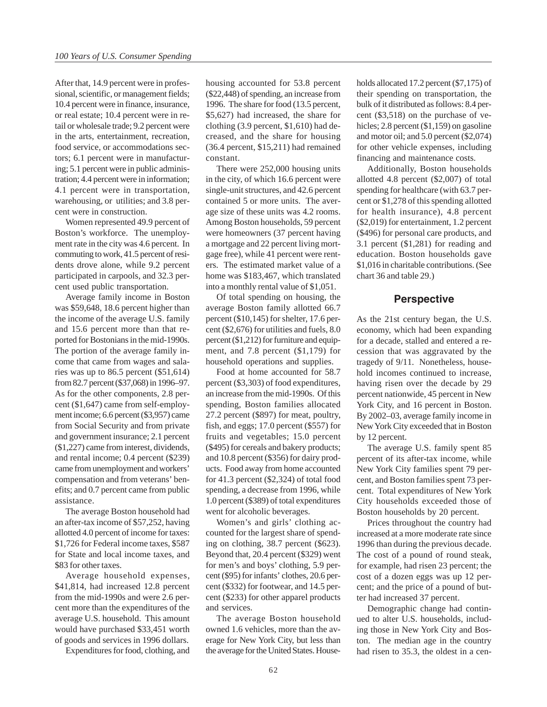After that, 14.9 percent were in professional, scientific, or management fields; 10.4 percent were in finance, insurance, or real estate; 10.4 percent were in retail or wholesale trade; 9.2 percent were in the arts, entertainment, recreation, food service, or accommodations sectors; 6.1 percent were in manufacturing; 5.1 percent were in public administration; 4.4 percent were in information; 4.1 percent were in transportation, warehousing, or utilities; and 3.8 percent were in construction.

Women represented 49.9 percent of Boston's workforce. The unemployment rate in the city was 4.6 percent. In commuting to work, 41.5 percent of residents drove alone, while 9.2 percent participated in carpools, and 32.3 percent used public transportation.

Average family income in Boston was \$59,648, 18.6 percent higher than the income of the average U.S. family and 15.6 percent more than that reported for Bostonians in the mid-1990s. The portion of the average family income that came from wages and salaries was up to 86.5 percent (\$51,614) from 82.7 percent (\$37,068) in 1996–97. As for the other components, 2.8 percent (\$1,647) came from self-employment income; 6.6 percent (\$3,957) came from Social Security and from private and government insurance; 2.1 percent (\$1,227) came from interest, dividends, and rental income; 0.4 percent (\$239) came from unemployment and workers' compensation and from veterans' benefits; and 0.7 percent came from public assistance.

The average Boston household had an after-tax income of \$57,252, having allotted 4.0 percent of income for taxes: \$1,726 for Federal income taxes, \$587 for State and local income taxes, and \$83 for other taxes.

Average household expenses, \$41,814, had increased 12.8 percent from the mid-1990s and were 2.6 percent more than the expenditures of the average U.S. household. This amount would have purchased \$33,451 worth of goods and services in 1996 dollars.

Expenditures for food, clothing, and

housing accounted for 53.8 percent (\$22,448) of spending, an increase from 1996. The share for food (13.5 percent, \$5,627) had increased, the share for clothing (3.9 percent, \$1,610) had decreased, and the share for housing (36.4 percent, \$15,211) had remained constant.

There were 252,000 housing units in the city, of which 16.6 percent were single-unit structures, and 42.6 percent contained 5 or more units. The average size of these units was 4.2 rooms. Among Boston households, 59 percent were homeowners (37 percent having a mortgage and 22 percent living mortgage free), while 41 percent were renters. The estimated market value of a home was \$183,467, which translated into a monthly rental value of \$1,051.

Of total spending on housing, the average Boston family allotted 66.7 percent (\$10,145) for shelter, 17.6 percent (\$2,676) for utilities and fuels, 8.0 percent (\$1,212) for furniture and equipment, and 7.8 percent (\$1,179) for household operations and supplies.

Food at home accounted for 58.7 percent (\$3,303) of food expenditures, an increase from the mid-1990s. Of this spending, Boston families allocated 27.2 percent (\$897) for meat, poultry, fish, and eggs; 17.0 percent (\$557) for fruits and vegetables; 15.0 percent (\$495) for cereals and bakery products; and 10.8 percent (\$356) for dairy products. Food away from home accounted for 41.3 percent (\$2,324) of total food spending, a decrease from 1996, while 1.0 percent (\$389) of total expenditures went for alcoholic beverages.

Women's and girls' clothing accounted for the largest share of spending on clothing, 38.7 percent (\$623). Beyond that, 20.4 percent (\$329) went for men's and boys' clothing, 5.9 percent (\$95) for infants' clothes, 20.6 percent (\$332) for footwear, and 14.5 percent (\$233) for other apparel products and services.

The average Boston household owned 1.6 vehicles, more than the average for New York City, but less than the average for the United States. Households allocated 17.2 percent (\$7,175) of their spending on transportation, the bulk of it distributed as follows: 8.4 percent (\$3,518) on the purchase of vehicles; 2.8 percent (\$1,159) on gasoline and motor oil; and 5.0 percent (\$2,074) for other vehicle expenses, including financing and maintenance costs.

Additionally, Boston households allotted 4.8 percent (\$2,007) of total spending for healthcare (with 63.7 percent or \$1,278 of this spending allotted for health insurance), 4.8 percent (\$2,019) for entertainment, 1.2 percent (\$496) for personal care products, and 3.1 percent (\$1,281) for reading and education. Boston households gave \$1,016 in charitable contributions. (See chart 36 and table 29.)

### **Perspective**

As the 21st century began, the U.S. economy, which had been expanding for a decade, stalled and entered a recession that was aggravated by the tragedy of 9/11. Nonetheless, household incomes continued to increase, having risen over the decade by 29 percent nationwide, 45 percent in New York City, and 16 percent in Boston. By 2002–03, average family income in New York City exceeded that in Boston by 12 percent.

The average U.S. family spent 85 percent of its after-tax income, while New York City families spent 79 percent, and Boston families spent 73 percent. Total expenditures of New York City households exceeded those of Boston households by 20 percent.

Prices throughout the country had increased at a more moderate rate since 1996 than during the previous decade. The cost of a pound of round steak, for example, had risen 23 percent; the cost of a dozen eggs was up 12 percent; and the price of a pound of butter had increased 37 percent.

Demographic change had continued to alter U.S. households, including those in New York City and Boston. The median age in the country had risen to 35.3, the oldest in a cen-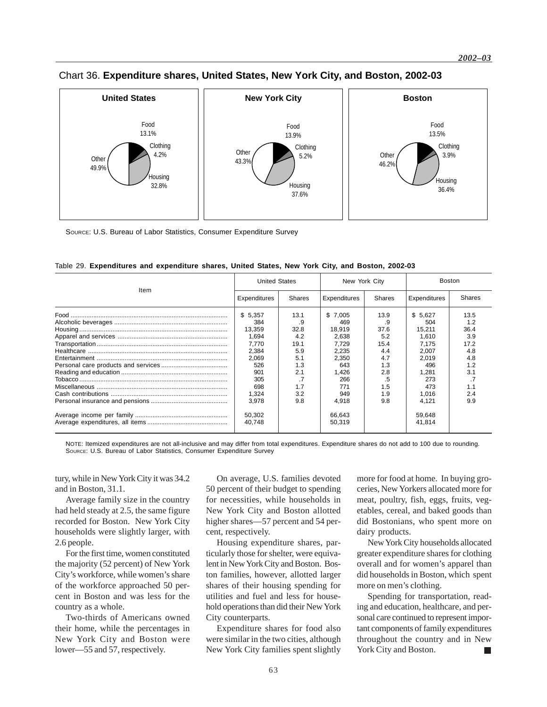

### Chart 36. **Expenditure shares, United States, New York City, and Boston, 2002-03**

SOURCE: U.S. Bureau of Labor Statistics, Consumer Expenditure Survey

|      | <b>United States</b> |        | New York City    |               | <b>Boston</b>    |               |
|------|----------------------|--------|------------------|---------------|------------------|---------------|
| Item | Expenditures         | Shares | Expenditures     | <b>Shares</b> | Expenditures     | <b>Shares</b> |
|      | \$5,357              | 13.1   | \$7,005          | 13.9          | \$5,627          | 13.5          |
|      | 384                  | .9     | 469              | .9            | 504              | 1.2           |
|      | 13,359               | 32.8   | 18,919           | 37.6          | 15,211           | 36.4          |
|      | 1,694                | 4.2    | 2,638            | 5.2           | 1,610            | 3.9           |
|      | 7.770                | 19.1   | 7.729            | 15.4          | 7.175            | 17.2          |
|      | 2,384                | 5.9    | 2,235            | 4.4           | 2,007            | 4.8           |
|      | 2,069                | 5.1    | 2,350            | 4.7           | 2,019            | 4.8           |
|      | 526                  | 1.3    | 643              | 1.3           | 496              | 1.2           |
|      | 901                  | 2.1    | 1,426            | 2.8           | 1,281            | 3.1           |
|      | 305                  | .7     | 266              | .5            | 273              |               |
|      | 698                  | 1.7    | 771              | 1.5           | 473              | 1.1           |
|      | 1,324                | 3.2    | 949              | 1.9           | 1,016            | 2.4           |
|      | 3.978                | 9.8    | 4,918            | 9.8           | 4,121            | 9.9           |
|      | 50,302<br>40.748     |        | 66,643<br>50,319 |               | 59,648<br>41,814 |               |
|      |                      |        |                  |               |                  |               |

Table 29. **Expenditures and expenditure shares, United States, New York City, and Boston, 2002-03**

NOTE: Itemized expenditures are not all-inclusive and may differ from total expenditures. Expenditure shares do not add to 100 due to rounding. SOURCE: U.S. Bureau of Labor Statistics, Consumer Expenditure Survey

tury, while in New York City it was 34.2 and in Boston, 31.1.

Average family size in the country had held steady at 2.5, the same figure recorded for Boston. New York City households were slightly larger, with 2.6 people.

For the first time, women constituted the majority (52 percent) of New York City's workforce, while women's share of the workforce approached 50 percent in Boston and was less for the country as a whole.

Two-thirds of Americans owned their home, while the percentages in New York City and Boston were lower—55 and 57, respectively.

On average, U.S. families devoted 50 percent of their budget to spending for necessities, while households in New York City and Boston allotted higher shares—57 percent and 54 percent, respectively.

Housing expenditure shares, particularly those for shelter, were equivalent in New York City and Boston. Boston families, however, allotted larger shares of their housing spending for utilities and fuel and less for household operations than did their New York City counterparts.

Expenditure shares for food also were similar in the two cities, although New York City families spent slightly

more for food at home. In buying groceries, New Yorkers allocated more for meat, poultry, fish, eggs, fruits, vegetables, cereal, and baked goods than did Bostonians, who spent more on dairy products.

New York City households allocated greater expenditure shares for clothing overall and for women's apparel than did households in Boston, which spent more on men's clothing.

Spending for transportation, reading and education, healthcare, and personal care continued to represent important components of family expenditures throughout the country and in New York City and Boston.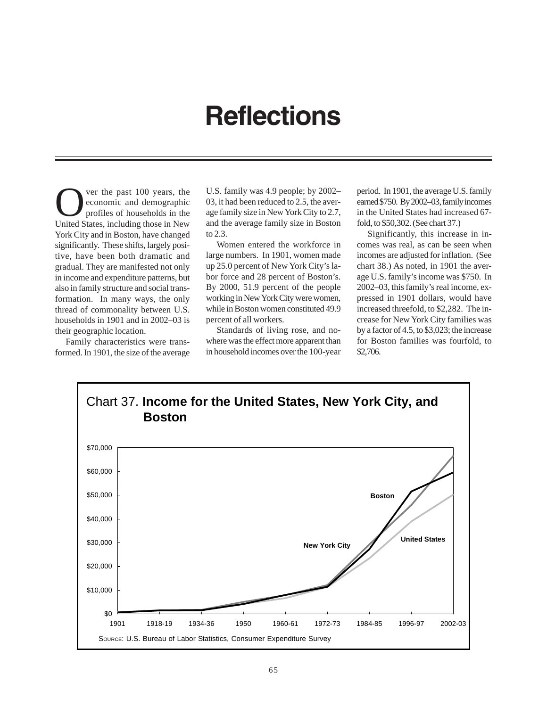# **Reflections**

**OVERTUAN SET UP:** The past 100 years, the economic and demographic profiles of households in the United States including these in New economic and demographic United States, including those in New York City and in Boston, have changed significantly. These shifts, largely positive, have been both dramatic and gradual. They are manifested not only in income and expenditure patterns, but also in family structure and social transformation. In many ways, the only thread of commonality between U.S. households in 1901 and in 2002–03 is their geographic location.

Family characteristics were transformed. In 1901, the size of the average U.S. family was 4.9 people; by 2002– 03, it had been reduced to 2.5, the average family size in New York City to 2.7, and the average family size in Boston to 2.3.

Women entered the workforce in large numbers. In 1901, women made up 25.0 percent of New York City's labor force and 28 percent of Boston's. By 2000, 51.9 percent of the people working in New York City were women, while in Boston women constituted 49.9 percent of all workers.

Standards of living rose, and nowhere was the effect more apparent than in household incomes over the 100-year period. In 1901, the average U.S. family earned \$750. By 2002–03, family incomes in the United States had increased 67 fold, to \$50,302. (See chart 37.)

Significantly, this increase in incomes was real, as can be seen when incomes are adjusted for inflation. (See chart 38.) As noted, in 1901 the average U.S. family's income was \$750. In 2002–03, this family's real income, expressed in 1901 dollars, would have increased threefold, to \$2,282. The increase for New York City families was by a factor of 4.5, to \$3,023; the increase for Boston families was fourfold, to \$2,706.

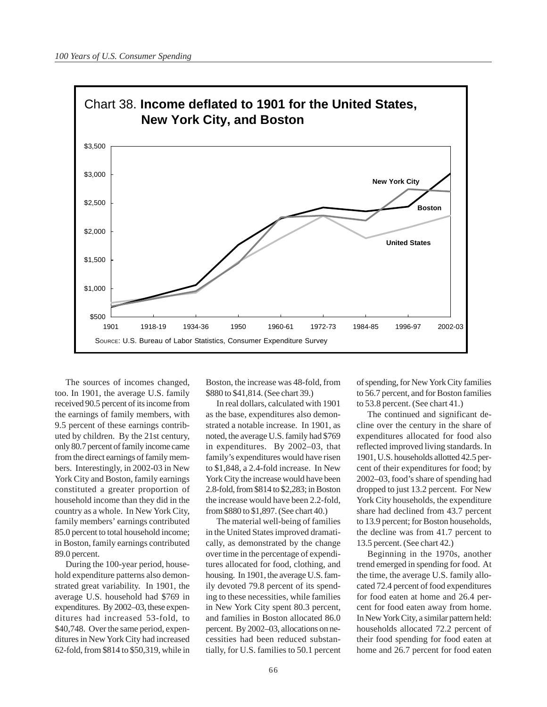

The sources of incomes changed, too. In 1901, the average U.S. family received 90.5 percent of its income from the earnings of family members, with 9.5 percent of these earnings contributed by children. By the 21st century, only 80.7 percent of family income came from the direct earnings of family members. Interestingly, in 2002-03 in New York City and Boston, family earnings constituted a greater proportion of household income than they did in the country as a whole. In New York City, family members' earnings contributed 85.0 percent to total household income; in Boston, family earnings contributed 89.0 percent.

During the 100-year period, household expenditure patterns also demonstrated great variability. In 1901, the average U.S. household had \$769 in expenditures. By 2002–03, these expenditures had increased 53-fold, to \$40,748. Over the same period, expenditures in New York City had increased 62-fold, from \$814 to \$50,319, while in Boston, the increase was 48-fold, from \$880 to \$41,814. (See chart 39.)

In real dollars, calculated with 1901 as the base, expenditures also demonstrated a notable increase. In 1901, as noted, the average U.S. family had \$769 in expenditures. By 2002–03, that family's expenditures would have risen to \$1,848, a 2.4-fold increase. In New York City the increase would have been 2.8-fold, from \$814 to \$2,283; in Boston the increase would have been 2.2-fold, from \$880 to \$1,897. (See chart 40.)

The material well-being of families in the United States improved dramatically, as demonstrated by the change over time in the percentage of expenditures allocated for food, clothing, and housing. In 1901, the average U.S. family devoted 79.8 percent of its spending to these necessities, while families in New York City spent 80.3 percent, and families in Boston allocated 86.0 percent. By 2002–03, allocations on necessities had been reduced substantially, for U.S. families to 50.1 percent of spending, for New York City families to 56.7 percent, and for Boston families to 53.8 percent. (See chart 41.)

The continued and significant decline over the century in the share of expenditures allocated for food also reflected improved living standards. In 1901, U.S. households allotted 42.5 percent of their expenditures for food; by 2002–03, food's share of spending had dropped to just 13.2 percent. For New York City households, the expenditure share had declined from 43.7 percent to 13.9 percent; for Boston households, the decline was from 41.7 percent to 13.5 percent. (See chart 42.)

Beginning in the 1970s, another trend emerged in spending for food. At the time, the average U.S. family allocated 72.4 percent of food expenditures for food eaten at home and 26.4 percent for food eaten away from home. In New York City, a similar pattern held: households allocated 72.2 percent of their food spending for food eaten at home and 26.7 percent for food eaten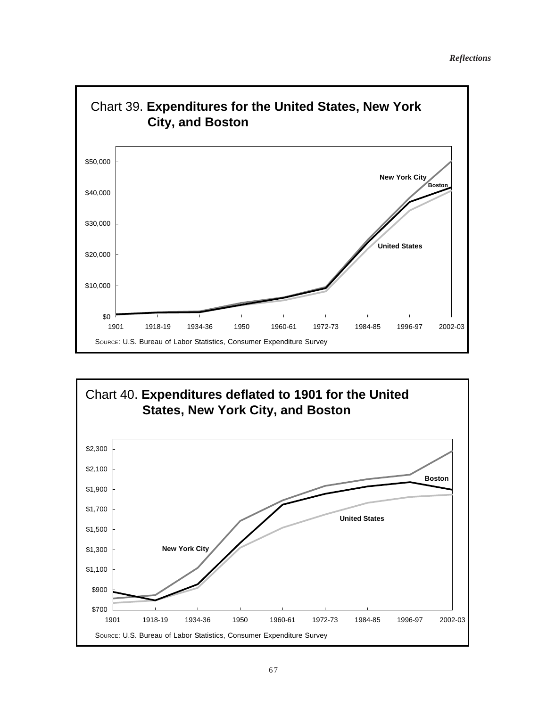

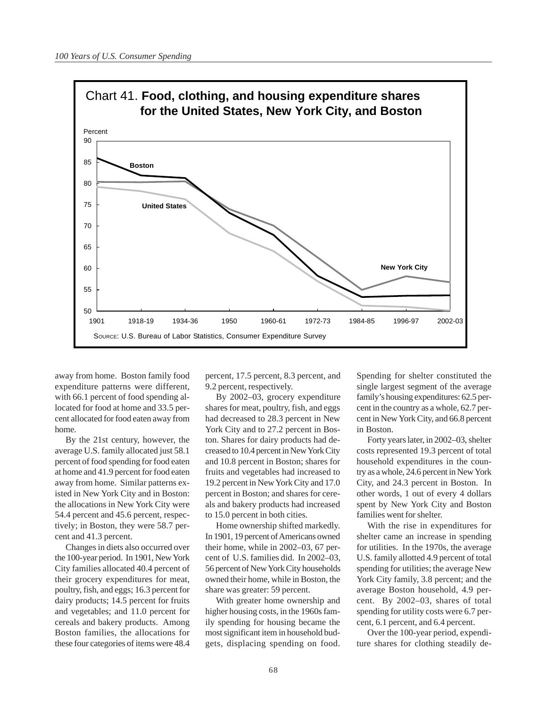

away from home. Boston family food expenditure patterns were different, with 66.1 percent of food spending allocated for food at home and 33.5 percent allocated for food eaten away from home.

By the 21st century, however, the average U.S. family allocated just 58.1 percent of food spending for food eaten at home and 41.9 percent for food eaten away from home. Similar patterns existed in New York City and in Boston: the allocations in New York City were 54.4 percent and 45.6 percent, respectively; in Boston, they were 58.7 percent and 41.3 percent.

Changes in diets also occurred over the 100-year period. In 1901, New York City families allocated 40.4 percent of their grocery expenditures for meat, poultry, fish, and eggs; 16.3 percent for dairy products; 14.5 percent for fruits and vegetables; and 11.0 percent for cereals and bakery products. Among Boston families, the allocations for these four categories of items were 48.4

percent, 17.5 percent, 8.3 percent, and 9.2 percent, respectively.

By 2002–03, grocery expenditure shares for meat, poultry, fish, and eggs had decreased to 28.3 percent in New York City and to 27.2 percent in Boston. Shares for dairy products had decreased to 10.4 percent in New York City and 10.8 percent in Boston; shares for fruits and vegetables had increased to 19.2 percent in New York City and 17.0 percent in Boston; and shares for cereals and bakery products had increased to 15.0 percent in both cities.

Home ownership shifted markedly. In 1901, 19 percent of Americans owned their home, while in 2002–03, 67 percent of U.S. families did. In 2002–03, 56 percent of New York City households owned their home, while in Boston, the share was greater: 59 percent.

With greater home ownership and higher housing costs, in the 1960s family spending for housing became the most significant item in household budgets, displacing spending on food. Spending for shelter constituted the single largest segment of the average family's housing expenditures: 62.5 percent in the country as a whole, 62.7 percent in New York City, and 66.8 percent in Boston.

Forty years later, in 2002–03, shelter costs represented 19.3 percent of total household expenditures in the country as a whole, 24.6 percent in New York City, and 24.3 percent in Boston. In other words, 1 out of every 4 dollars spent by New York City and Boston families went for shelter.

With the rise in expenditures for shelter came an increase in spending for utilities. In the 1970s, the average U.S. family allotted 4.9 percent of total spending for utilities; the average New York City family, 3.8 percent; and the average Boston household, 4.9 percent. By 2002–03, shares of total spending for utility costs were 6.7 percent, 6.1 percent, and 6.4 percent.

Over the 100-year period, expenditure shares for clothing steadily de-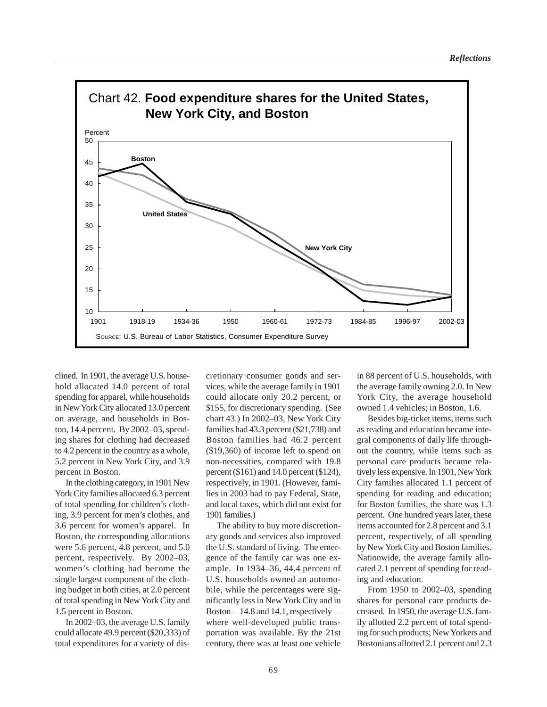

clined. In 1901, the average U.S. household allocated 14.0 percent of total spending for apparel, while households in New York City allocated 13.0 percent on average, and households in Boston, 14.4 percent. By 2002–03, spending shares for clothing had decreased to 4.2 percent in the country as a whole, 5.2 percent in New York City, and 3.9 percent in Boston.

In the clothing category, in 1901 New York City families allocated 6.3 percent of total spending for children's clothing, 3.9 percent for men's clothes, and 3.6 percent for women's apparel. In Boston, the corresponding allocations were 5.6 percent, 4.8 percent, and 5.0 percent, respectively. By 2002–03, women's clothing had become the single largest component of the clothing budget in both cities, at 2.0 percent of total spending in New York City and 1.5 percent in Boston.

In 2002–03, the average U.S. family could allocate 49.9 percent (\$20,333) of total expenditures for a variety of discretionary consumer goods and services, while the average family in 1901 could allocate only 20.2 percent, or \$155, for discretionary spending. (See chart 43.) In 2002–03, New York City families had 43.3 percent (\$21,738) and Boston families had 46.2 percent (\$19,360) of income left to spend on non-necessities, compared with 19.8 percent (\$161) and 14.0 percent (\$124), respectively, in 1901. (However, families in 2003 had to pay Federal, State, and local taxes, which did not exist for 1901 families.)

The ability to buy more discretionary goods and services also improved the U.S. standard of living. The emergence of the family car was one example. In 1934–36, 44.4 percent of U.S. households owned an automobile, while the percentages were significantly less in New York City and in Boston—14.8 and 14.1, respectively where well-developed public transportation was available. By the 21st century, there was at least one vehicle

in 88 percent of U.S. households, with the average family owning 2.0. In New York City, the average household owned 1.4 vehicles; in Boston, 1.6.

Besides big-ticket items, items such as reading and education became integral components of daily life throughout the country, while items such as personal care products became relatively less expensive. In 1901, New York City families allocated 1.1 percent of spending for reading and education; for Boston families, the share was 1.3 percent. One hundred years later, these items accounted for 2.8 percent and 3.1 percent, respectively, of all spending by New York City and Boston families. Nationwide, the average family allocated 2.1 percent of spending for reading and education.

From 1950 to 2002–03, spending shares for personal care products decreased. In 1950, the average U.S. family allotted 2.2 percent of total spending for such products; New Yorkers and Bostonians allotted 2.1 percent and 2.3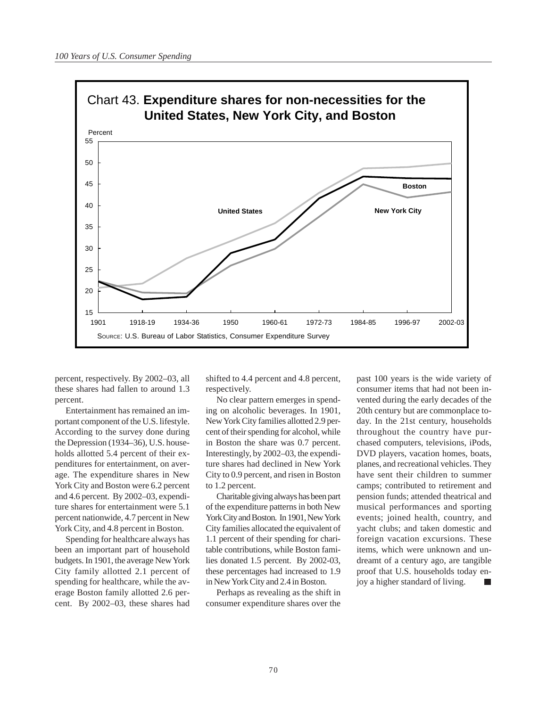

percent, respectively. By 2002–03, all these shares had fallen to around 1.3 percent.

Entertainment has remained an important component of the U.S. lifestyle. According to the survey done during the Depression (1934–36), U.S. households allotted 5.4 percent of their expenditures for entertainment, on average. The expenditure shares in New York City and Boston were 6.2 percent and 4.6 percent. By 2002–03, expenditure shares for entertainment were 5.1 percent nationwide, 4.7 percent in New York City, and 4.8 percent in Boston.

Spending for healthcare always has been an important part of household budgets. In 1901, the average New York City family allotted 2.1 percent of spending for healthcare, while the average Boston family allotted 2.6 percent. By 2002–03, these shares had

shifted to 4.4 percent and 4.8 percent, respectively.

No clear pattern emerges in spending on alcoholic beverages. In 1901, New York City families allotted 2.9 percent of their spending for alcohol, while in Boston the share was 0.7 percent. Interestingly, by 2002–03, the expenditure shares had declined in New York City to 0.9 percent, and risen in Boston to 1.2 percent.

Charitable giving always has been part of the expenditure patterns in both New York City and Boston. In 1901, New York City families allocated the equivalent of 1.1 percent of their spending for charitable contributions, while Boston families donated 1.5 percent. By 2002-03, these percentages had increased to 1.9 in New York City and 2.4 in Boston.

Perhaps as revealing as the shift in consumer expenditure shares over the

past 100 years is the wide variety of consumer items that had not been invented during the early decades of the 20th century but are commonplace today. In the 21st century, households throughout the country have purchased computers, televisions, iPods, DVD players, vacation homes, boats, planes, and recreational vehicles. They have sent their children to summer camps; contributed to retirement and pension funds; attended theatrical and musical performances and sporting events; joined health, country, and yacht clubs; and taken domestic and foreign vacation excursions. These items, which were unknown and undreamt of a century ago, are tangible proof that U.S. households today enjoy a higher standard of living.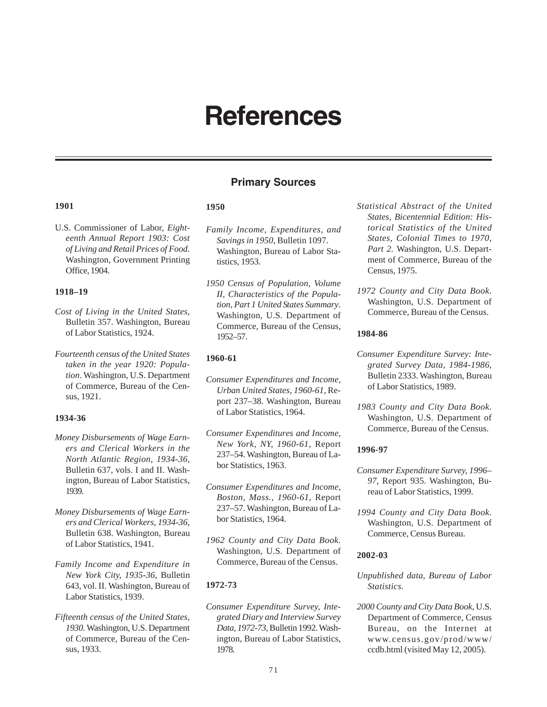# **References**

## **Primary Sources**

### **1901**

U.S. Commissioner of Labor, *Eighteenth Annual Report 1903: Cost of Living and Retail Prices of Food.* Washington, Government Printing Office, 1904.

#### **1918–19**

- *Cost of Living in the United States*, Bulletin 357. Washington, Bureau of Labor Statistics, 1924.
- *Fourteenth census of the United States taken in the year 1920: Population*. Washington, U.S. Department of Commerce, Bureau of the Census, 1921.

### **1934-36**

- *Money Disbursements of Wage Earners and Clerical Workers in the North Atlantic Region*, *1934-36*, Bulletin 637, vols. I and II. Washington, Bureau of Labor Statistics, 1939.
- *Money Disbursements of Wage Earners and Clerical Workers, 1934-36*, Bulletin 638. Washington, Bureau of Labor Statistics, 1941.
- *Family Income and Expenditure in New York City, 1935-36*, Bulletin 643, vol. II. Washington, Bureau of Labor Statistics, 1939.
- *Fifteenth census of the United States, 1930.* Washington, U.S. Department of Commerce, Bureau of the Census, 1933.

### **1950**

- *Family Income, Expenditures, and Savings in 1950*, Bulletin 1097. Washington, Bureau of Labor Statistics, 1953.
- *1950 Census of Population, Volume II, Characteristics of the Population, Part 1 United States Summary*. Washington, U.S. Department of Commerce, Bureau of the Census, 1952–57.

### **1960-61**

- *Consumer Expenditures and Income, Urban United States, 1960-61*, Report 237–38. Washington, Bureau of Labor Statistics, 1964.
- *Consumer Expenditures and Income, New York, NY, 1960-61*, Report 237–54. Washington, Bureau of Labor Statistics, 1963.
- *Consumer Expenditures and Income, Boston, Mass., 1960-61*, Report 237–57. Washington, Bureau of Labor Statistics, 1964.
- *1962 County and City Data Book.* Washington, U.S. Department of Commerce, Bureau of the Census.

### **1972-73**

*Consumer Expenditure Survey, Integrated Diary and Interview Survey Data, 1972-73*, Bulletin 1992. Washington, Bureau of Labor Statistics, 1978.

- *Statistical Abstract of the United States, Bicentennial Edition: Historical Statistics of the United States, Colonial Times to 1970, Part 2.* Washington, U.S. Department of Commerce, Bureau of the Census, 1975.
- *1972 County and City Data Book*. Washington, U.S. Department of Commerce, Bureau of the Census.

#### **1984-86**

- *Consumer Expenditure Survey: Integrated Survey Data, 1984-1986*, Bulletin 2333. Washington, Bureau of Labor Statistics, 1989.
- *1983 County and City Data Book.* Washington, U.S. Department of Commerce, Bureau of the Census.

#### **1996-97**

- *Consumer Expenditure Survey, 1996– 97*, Report 935. Washington, Bureau of Labor Statistics, 1999.
- *1994 County and City Data Book.* Washington, U.S. Department of Commerce, Census Bureau.

#### **2002-03**

- *Unpublished data, Bureau of Labor Statistics.*
- *2000 County and City Data Book*, U.S. Department of Commerce, Census Bureau, on the Internet at www.census.gov/prod/www/ ccdb.html (visited May 12, 2005).